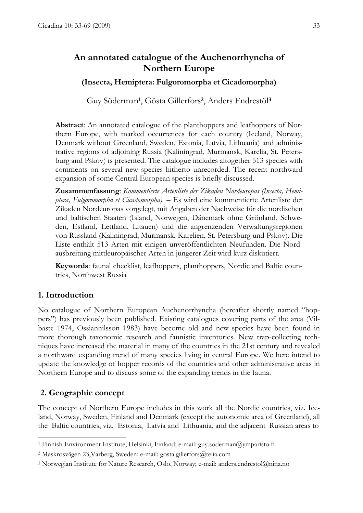# An annotated catalogue of the Auchenorrhyncha of Northern Europe

### (Insecta, Hemiptera: Fulgoromorpha et Cicadomorpha)

Guy Söderman<sup>1</sup>, Gösta Gillerfors<sup>2</sup>, Anders Endrestöl<sup>3</sup>

Abstract: An annotated catalogue of the planthoppers and leafhoppers of Northern Europe, with marked occurrences for each country (Iceland, Norway, Denmark without Greenland, Sweden, Estonia, Latvia, Lithuania) and administrative regions of adjoining Russia (Kaliningrad, Murmansk, Karelia, St. Petersburg and Pskov) is presented. The catalogue includes altogether 513 species with comments on several new species hitherto unrecorded. The recent northward expansion of some Central European species is briefly discussed.

Zusammenfassung: Kommentierte Artenliste der Zikaden Nordeuropas (Insecta, Hemiptera, Fulgoromorpha et Cicadomorpha). – Es wird eine kommentierte Artenliste der Zikaden Nordeuropas vorgelegt, mit Angaben der Nachweise für die nordischen und baltischen Staaten (Island, Norwegen, Dänemark ohne Grönland, Schweden, Estland, Lettland, Litauen) und die angrenzenden Verwaltungsregionen von Russland (Kaliningrad, Murmansk, Karelien, St. Petersburg und Pskov). Die Liste enthält 513 Arten mit einigen unveröffentlichten Neufunden. Die Nordausbreitung mittleuropäischer Arten in jüngerer Zeit wird kurz diskutiert.

Keywords: faunal checklist, leafhoppers, planthoppers, Nordic and Baltic countries, Northwest Russia

## 1. Introduction

No catalogue of Northern European Auchenorrhyncha (hereafter shortly named "hoppers") has previously been published. Existing catalogues covering parts of the area (Vilbaste 1974, Ossiannilsson 1983) have become old and new species have been found in more thorough taxonomic research and faunistic inventories. New trap-collecting techniques have increased the material in many of the countries in the 21st century and revealed a northward expanding trend of many species living in central Europe. We here intend to update the knowledge of hopper records of the countries and other administrative areas in Northern Europe and to discuss some of the expanding trends in the fauna.

#### 2. Geographic concept

 $\overline{a}$ 

The concept of Northern Europe includes in this work all the Nordic countries, viz. Iceland, Norway, Sweden, Finland and Denmark (except the autonomic area of Greenland), all the Baltic countries, viz. Estonia, Latvia and Lithuania, and the adjacent Russian areas to

<sup>1</sup> Finnish Environment Institute, Helsinki, Finland; e-mail: guy.soderman@ymparisto.fi

<sup>2</sup> Maskrosvägen 23,Varberg, Sweden; e-mail: gosta.gillerfors@telia.com

<sup>3</sup> Norwegian Institute for Nature Research, Oslo, Norway; e-mail: anders.endrestol@nina.no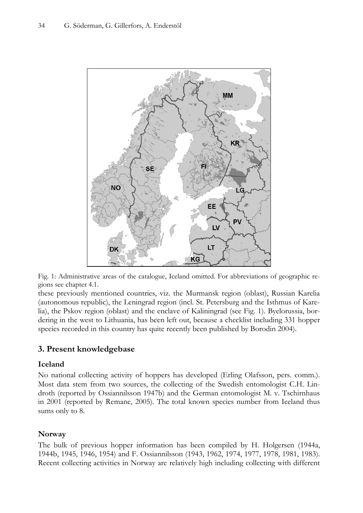

Fig. 1: Administrative areas of the catalogue, Iceland omitted. For abbreviations of geographic regions see chapter 4.1.

these previously mentioned countries, viz. the Murmansk region (oblast), Russian Karelia (autonomous republic), the Leningrad region (incl. St. Petersburg and the Isthmus of Karelia), the Pskov region (oblast) and the enclave of Kaliningrad (see Fig. 1). Byelorussia, bordering in the west to Lithuania, has been left out, because a checklist including 331 hopper species recorded in this country has quite recently been published by Borodin 2004).

# 3. Present knowledgebase

#### Iceland

No national collecting activity of hoppers has developed (Erling Olafsson, pers. comm.). Most data stem from two sources, the collecting of the Swedish entomologist C.H. Lindroth (reported by Ossiannilsson 1947b) and the German entomologist M. v. Tschirnhaus in 2001 (reported by Remane, 2005). The total known species number from Iceland thus sums only to 8.

## **Norway**

The bulk of previous hopper information has been compiled by H. Holgersen (1944a, 1944b, 1945, 1946, 1954) and F. Ossiannilsson (1943, 1962, 1974, 1977, 1978, 1981, 1983). Recent collecting activities in Norway are relatively high including collecting with different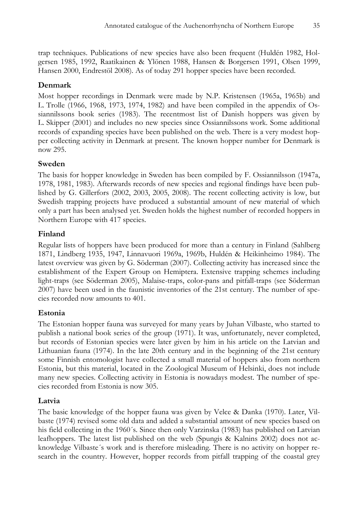trap techniques. Publications of new species have also been frequent (Huldén 1982, Holgersen 1985, 1992, Raatikainen & Ylönen 1988, Hansen & Borgersen 1991, Olsen 1999, Hansen 2000, Endrestöl 2008). As of today 291 hopper species have been recorded.

# Denmark

Most hopper recordings in Denmark were made by N.P. Kristensen (1965a, 1965b) and L. Trolle (1966, 1968, 1973, 1974, 1982) and have been compiled in the appendix of Ossiannilssons book series (1983). The recentmost list of Danish hoppers was given by L. Skipper (2001) and includes no new species since Ossiannilssons work. Some additional records of expanding species have been published on the web. There is a very modest hopper collecting activity in Denmark at present. The known hopper number for Denmark is now 295.

# Sweden

The basis for hopper knowledge in Sweden has been compiled by F. Ossiannilsson (1947a, 1978, 1981, 1983). Afterwards records of new species and regional findings have been published by G. Gillerfors (2002, 2003, 2005, 2008). The recent collecting activity is low, but Swedish trapping projects have produced a substantial amount of new material of which only a part has been analysed yet. Sweden holds the highest number of recorded hoppers in Northern Europe with 417 species.

# Finland

Regular lists of hoppers have been produced for more than a century in Finland (Sahlberg 1871, Lindberg 1935, 1947, Linnavuori 1969a, 1969b, Huldén & Heikinheimo 1984). The latest overview was given by G. Söderman (2007). Collecting activity has increased since the establishment of the Expert Group on Hemiptera. Extensive trapping schemes including light-traps (see Söderman 2005), Malaise-traps, color-pans and pitfall-traps (see Söderman 2007) have been used in the faunistic inventories of the 21st century. The number of species recorded now amounts to 401.

# Estonia

The Estonian hopper fauna was surveyed for many years by Juhan Vilbaste, who started to publish a national book series of the group (1971). It was, unfortunately, never completed, but records of Estonian species were later given by him in his article on the Latvian and Lithuanian fauna (1974). In the late 20th century and in the beginning of the 21st century some Finnish entomologist have collected a small material of hoppers also from northern Estonia, but this material, located in the Zoological Museum of Helsinki, does not include many new species. Collecting activity in Estonia is nowadays modest. The number of species recorded from Estonia is now 305.

# Latvia

The basic knowledge of the hopper fauna was given by Velce & Danka (1970). Later, Vilbaste (1974) revised some old data and added a substantial amount of new species based on his field collecting in the 1960´s. Since then only Varzinska (1983) has published on Latvian leafhoppers. The latest list published on the web (Spungis & Kalnins 2002) does not acknowledge Vilbaste´s work and is therefore misleading. There is no activity on hopper research in the country. However, hopper records from pitfall trapping of the coastal grey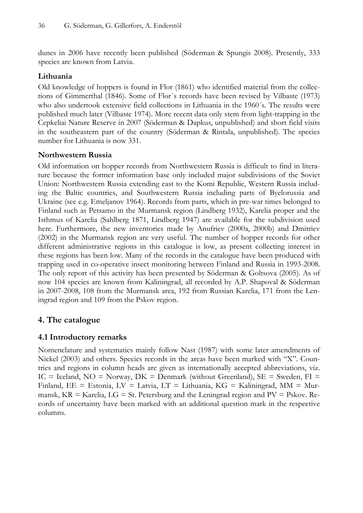dunes in 2006 have recently been published (Söderman & Spungis 2008). Presently, 333 species are known from Latvia.

# Lithuania

Old knowledge of hoppers is found in Flor (1861) who identified material from the collections of Gimmerthal (1846). Some of Flor´s records have been revised by Vilbaste (1973) who also undertook extensive field collections in Lithuania in the 1960´s. The results were published much later (Vilbaste 1974). More recent data only stem from light-trapping in the Cepkeliai Nature Reserve in 2007 (Söderman & Dapkus, unpublished) and short field visits in the southeastern part of the country (Söderman & Rintala, unpublished). The species number for Lithuania is now 331.

## Northwestern Russia

Old information on hopper records from Northwestern Russia is difficult to find in literature because the former information base only included major subdivisions of the Soviet Union: Northwestern Russia extending east to the Komi Republic, Western Russia including the Baltic countries, and Southwestern Russia including parts of Byelorussia and Ukraine (see e.g. Emeljanov 1964). Records from parts, which in pre-war times belonged to Finland such as Petsamo in the Murmansk region (Lindberg 1932), Karelia proper and the Isthmus of Karelia (Sahlberg 1871, Lindberg 1947) are available for the subdivision used here. Furthermore, the new inventories made by Anufriev (2000a, 2000b) and Dmitriev (2002) in the Murmansk region are very useful. The number of hopper records for other different administrative regions in this catalogue is low, as present collecting interest in these regions has been low. Many of the records in the catalogue have been produced with trapping used in co-operative insect monitoring between Finland and Russia in 1993-2008. The only report of this activity has been presented by Söderman & Goltsova (2005). As of now 104 species are known from Kaliningrad, all recorded by A.P. Shapoval & Söderman in 2007-2008, 108 from the Murmansk area, 192 from Russian Karelia, 171 from the Leningrad region and 109 from the Pskov region.

# 4. The catalogue

# 4.1 Introductory remarks

Nomenclature and systematics mainly follow Nast (1987) with some later amendments of Nickel (2003) and others. Species records in the areas have been marked with "X". Countries and regions in column heads are given as internationally accepted abbreviations, viz. IC = Iceland,  $NO = Norway$ ,  $DK = Denmark$  (without Greenland),  $SE = Sweden$ ,  $FI =$ Finland, EE = Estonia, LV = Latvia, LT = Lithuania, KG = Kaliningrad, MM = Murmansk,  $KR =$  Karelia,  $LG =$  St. Petersburg and the Leningrad region and  $PV =$  Pskov. Records of uncertainty have been marked with an additional question mark in the respective columns.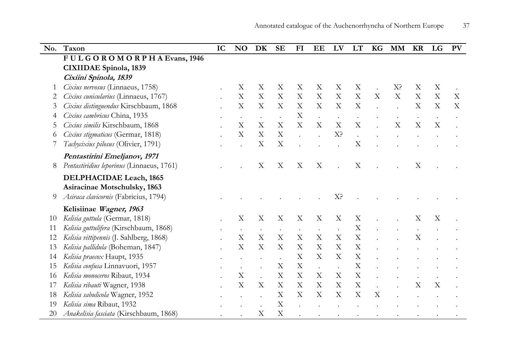| No.      | Taxon                                     | IC | <b>NO</b>                 | DK                        | <b>SE</b>                 | FI                        | <b>EE</b>                 | LV                        | LT                        | <b>KG</b> | <b>MM</b>                 | <b>KR</b>                 | LG | PV                        |
|----------|-------------------------------------------|----|---------------------------|---------------------------|---------------------------|---------------------------|---------------------------|---------------------------|---------------------------|-----------|---------------------------|---------------------------|----|---------------------------|
|          | FULGOROMORPHAEvans, 1946                  |    |                           |                           |                           |                           |                           |                           |                           |           |                           |                           |    |                           |
|          | <b>CIXIIDAE</b> Spinola, 1839             |    |                           |                           |                           |                           |                           |                           |                           |           |                           |                           |    |                           |
|          | Cixiini Spinola, 1839                     |    |                           |                           |                           |                           |                           |                           |                           |           |                           |                           |    |                           |
| 1        | Cixius nervosus (Linnaeus, 1758)          |    | X                         | X                         | X                         | X                         | X                         | X                         | X                         |           | X <sup>2</sup>            | X                         | X  |                           |
| 2        | Cixius cunicularius (Linnaeus, 1767)      |    | X                         | X                         | X                         | X                         | X                         | $\mathbf X$               | X                         | X         | $\boldsymbol{\mathrm{X}}$ | X                         | X  | $\boldsymbol{\mathrm{X}}$ |
| 3        | Cixius distinguendus Kirschbaum, 1868     |    | X                         | X                         | X                         | X                         | $\boldsymbol{X}$          | $\boldsymbol{\mathrm{X}}$ | X                         |           |                           | X                         | X  | $\boldsymbol{\mathrm{X}}$ |
| 4        | Cixius cambricus China, 1935              |    |                           | $\cdot$                   |                           | X                         | $\ddot{\phantom{a}}$      |                           | $\ddot{\phantom{a}}$      |           |                           |                           |    |                           |
| 5        | Cixius similis Kirschbaum, 1868           |    | X                         | X                         | X                         | X                         | X                         | $\boldsymbol{\mathrm{X}}$ | X                         |           | $\boldsymbol{\mathrm{X}}$ | $\boldsymbol{\mathrm{X}}$ | X  |                           |
| $\sigma$ | Cixius stigmaticus (Germar, 1818)         |    | $\boldsymbol{\mathrm{X}}$ | $\boldsymbol{\mathrm{X}}$ | X                         |                           |                           | X?                        |                           |           |                           |                           |    |                           |
|          | Tachycixius pilosus (Olivier, 1791)       |    |                           | X                         | X                         |                           |                           |                           | $\rm\overline{X}$         |           |                           |                           |    |                           |
|          | Pentastirini Emeljanov, 1971              |    |                           |                           |                           |                           |                           |                           |                           |           |                           |                           |    |                           |
| 8        | Pentastiridius leporinus (Linnaeus, 1761) |    |                           | X                         | X                         | X                         | X                         |                           | X                         |           |                           | X                         |    |                           |
|          | <b>DELPHACIDAE Leach, 1865</b>            |    |                           |                           |                           |                           |                           |                           |                           |           |                           |                           |    |                           |
|          | Asiracinae Motschulsky, 1863              |    |                           |                           |                           |                           |                           |                           |                           |           |                           |                           |    |                           |
| 9        | Asiraca clavicornis (Fabricius, 1794)     |    |                           |                           |                           |                           |                           | X <sup>2</sup>            |                           |           |                           |                           |    |                           |
|          | Kelisiinae Wagner, 1963                   |    |                           |                           |                           |                           |                           |                           |                           |           |                           |                           |    |                           |
| 10       | Kelisia guttula (Germar, 1818)            |    | X                         | X                         | X                         | X                         | X                         | X                         | X                         |           |                           | X                         | X  |                           |
| 11       | Kelisia guttulifera (Kirschbaum, 1868)    |    |                           |                           |                           |                           |                           |                           | $\boldsymbol{\mathrm{X}}$ |           |                           |                           |    |                           |
| 12       | Kelisia vittipennis (J. Sahlberg, 1868)   |    | $\boldsymbol{\mathrm{X}}$ | $\boldsymbol{\mathrm{X}}$ | X                         | $\boldsymbol{\mathrm{X}}$ | X                         | $\boldsymbol{\mathrm{X}}$ | X                         |           |                           | X                         |    |                           |
| 13       | Kelisia pallidula (Boheman, 1847)         |    | $\rm\overline{X}$         | $\boldsymbol{\mathrm{X}}$ | X                         | X                         | $\boldsymbol{\mathrm{X}}$ | $\boldsymbol{\mathrm{X}}$ | X                         |           |                           |                           |    |                           |
| 14       | Kelisia praecox Haupt, 1935               |    |                           |                           |                           | X                         | $\boldsymbol{\mathrm{X}}$ | $\boldsymbol{\mathrm{X}}$ | X                         |           |                           |                           |    |                           |
| 15       | Kelisia confusa Linnavuori, 1957          |    |                           |                           | X                         | X                         | $\ddot{\phantom{a}}$      | $\bullet$                 | X                         |           |                           |                           |    |                           |
| 16       | Kelisia monoceros Ribaut, 1934            |    | $\mathbf X$               | $\cdot$                   | X                         | X                         | X                         | $\boldsymbol{\mathrm{X}}$ | X                         |           |                           |                           |    |                           |
| 17       | Kelisia ribauti Wagner, 1938              |    | X                         | $\boldsymbol{\mathrm{X}}$ | X                         | X                         | X                         | X                         | X                         |           |                           | X                         | X  |                           |
| 18       | Kelisia sabulicola Wagner, 1952           |    |                           |                           | $\boldsymbol{\mathrm{X}}$ | X                         | $\boldsymbol{\mathrm{X}}$ | $\boldsymbol{\mathrm{X}}$ | $\boldsymbol{\mathrm{X}}$ | X         |                           |                           |    |                           |
| 19       | Kelisia sima Ribaut, 1932                 |    |                           |                           | $\boldsymbol{\mathrm{X}}$ |                           |                           |                           |                           |           |                           |                           |    |                           |
| 20       | Anakelisia fasciata (Kirschbaum, 1868)    |    |                           | X                         | X                         |                           |                           |                           |                           |           |                           |                           |    |                           |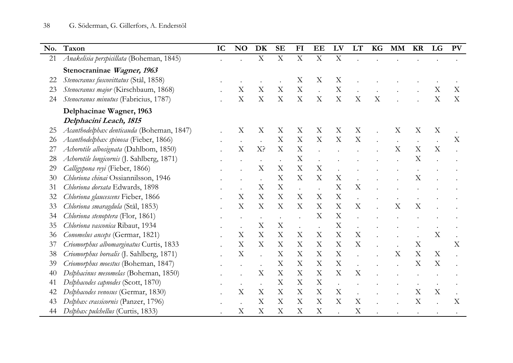| No. | Taxon                                      | IC | <b>NO</b>                 | DK                        | <b>SE</b>                 | $FI$                      | EE                        | LV                        | LT                        | KG | <b>MM</b> | <b>KR</b>                 | LG                        | <b>PV</b>                 |
|-----|--------------------------------------------|----|---------------------------|---------------------------|---------------------------|---------------------------|---------------------------|---------------------------|---------------------------|----|-----------|---------------------------|---------------------------|---------------------------|
| 21  | Anakelisia perspicillata (Boheman, 1845)   |    |                           | $\boldsymbol{\mathrm{X}}$ | $\mathbf X$               | X                         | $\mathbf X$               | $\mathbf X$               |                           |    |           |                           |                           |                           |
|     | Stenocraninae Wagner, 1963                 |    |                           |                           |                           |                           |                           |                           |                           |    |           |                           |                           |                           |
| 22  | Stenocranus fuscovittatus (Stål, 1858)     |    |                           |                           |                           | X                         | X                         | $\boldsymbol{\mathrm{X}}$ |                           |    |           |                           |                           |                           |
| 23  | Stenocranus major (Kirschbaum, 1868)       |    | $\boldsymbol{\mathrm{X}}$ | X                         | X                         | $\boldsymbol{\mathrm{X}}$ |                           | $\boldsymbol{\mathrm{X}}$ |                           |    |           |                           | X                         | X                         |
| 24  | Stenocranus minutus (Fabricius, 1787)      |    | $\boldsymbol{\mathrm{X}}$ | $\boldsymbol{\mathrm{X}}$ | X                         | $\boldsymbol{\mathrm{X}}$ | X                         | $\mathbf X$               | X                         | X  |           |                           | X                         | X                         |
|     | Delphacinae Wagner, 1963                   |    |                           |                           |                           |                           |                           |                           |                           |    |           |                           |                           |                           |
|     | Delphacini Leach, 1815                     |    |                           |                           |                           |                           |                           |                           |                           |    |           |                           |                           |                           |
| 25  | Acanthodelphax denticauda (Boheman, 1847)  |    | X                         | X                         | X                         | X                         | X                         | X                         | X                         |    | X         | X                         | X                         |                           |
| 26  | Acanthodelphax spinosa (Fieber, 1866)      |    |                           |                           | $\boldsymbol{\mathrm{X}}$ | $\boldsymbol{\mathrm{X}}$ | $\boldsymbol{\mathrm{X}}$ | X                         | X                         |    |           |                           |                           | X                         |
| 27  | Achorotile albosignata (Dahlbom, 1850)     |    | $\boldsymbol{\mathrm{X}}$ | X?                        | X                         | $\mathbf X$               |                           |                           |                           |    | X         | $\boldsymbol{\mathrm{X}}$ | X                         |                           |
| 28  | Achorotile longicornis (J. Sahlberg, 1871) |    |                           |                           |                           | $\mathbf X$               |                           |                           |                           |    |           | X                         |                           |                           |
| 29  | Calligypona reyi (Fieber, 1866)            |    |                           | X                         | $\boldsymbol{\mathrm{X}}$ | $\mathbf X$               | $\boldsymbol{\mathrm{X}}$ |                           |                           |    |           |                           |                           |                           |
| 30  | Chloriona chinai Ossiannilsson, 1946       |    |                           |                           | X                         | $\boldsymbol{\mathrm{X}}$ | X                         | $\boldsymbol{\mathrm{X}}$ |                           |    |           | $\rm X$                   |                           |                           |
| 31  | Chloriona dorsata Edwards, 1898            |    |                           | X                         | $\mathbf X$               |                           |                           | $\mathbf X$               | X                         |    |           |                           |                           |                           |
| 32  | Chloriona glaucescens Fieber, 1866         |    | X                         | $\boldsymbol{\mathrm{X}}$ | $\boldsymbol{\mathrm{X}}$ | X                         | X                         | $\boldsymbol{\mathrm{X}}$ |                           |    |           |                           |                           |                           |
| 33  | Chloriona smaragdula (Stål, 1853)          |    | X                         | $\boldsymbol{\mathrm{X}}$ | X                         | $\boldsymbol{\mathrm{X}}$ | X                         | X                         | X                         |    | X         | $\boldsymbol{\mathrm{X}}$ |                           |                           |
| 34  | Chloriona stenoptera (Flor, 1861)          |    |                           |                           |                           |                           | X                         | $\mathbf X$               |                           |    |           |                           |                           |                           |
| 35  | Chloriona vasconica Ribaut, 1934           |    |                           | $\boldsymbol{\mathrm{X}}$ | X                         |                           |                           | $\mathbf X$               |                           |    |           |                           |                           |                           |
| 36  | Conomelus anceps (Germar, 1821)            |    | $\boldsymbol{\mathrm{X}}$ | X                         | X                         | $\boldsymbol{\mathrm{X}}$ | X                         | $\mathbf X$               | X                         |    |           |                           | X                         |                           |
| 37  | Criomorphus albomarginatus Curtis, 1833    |    | $\boldsymbol{\mathrm{X}}$ | $\rm X$                   | $\boldsymbol{\mathrm{X}}$ | X                         | X                         | $\boldsymbol{\mathrm{X}}$ | $\boldsymbol{\mathrm{X}}$ |    |           | $\boldsymbol{\mathrm{X}}$ |                           | $\boldsymbol{\mathrm{X}}$ |
| 38  | Criomorphus borealis (J. Sahlberg, 1871)   |    | $\boldsymbol{\mathrm{X}}$ |                           | X                         | $\boldsymbol{\mathrm{X}}$ | $\boldsymbol{\mathrm{X}}$ | $\mathbf X$               |                           |    | X         | $\boldsymbol{\mathrm{X}}$ | X                         |                           |
| 39  | Criomorphus moestus (Boheman, 1847)        |    |                           |                           | X                         | $\mathbf X$               | X                         | $\mathbf X$               |                           |    |           | X                         | X                         |                           |
| 40  | Delphacinus mesomelas (Boheman, 1850)      |    |                           | X                         | X                         | $\boldsymbol{\mathrm{X}}$ | X                         | $\boldsymbol{\mathrm{X}}$ | X                         |    |           |                           |                           |                           |
| 41  | Delphacodes capnodes (Scott, 1870)         |    |                           |                           | X                         | X                         | X                         |                           |                           |    |           |                           |                           |                           |
| 42  | Delphacodes venosus (Germar, 1830)         |    | $\boldsymbol{\mathrm{X}}$ | $\boldsymbol{\mathrm{X}}$ | $\boldsymbol{\mathrm{X}}$ | $\mathbf X$               | $\boldsymbol{\mathrm{X}}$ | X                         |                           |    |           | $\boldsymbol{\mathrm{X}}$ | $\boldsymbol{\mathrm{X}}$ |                           |
| 43  | Delphax crassicornis (Panzer, 1796)        |    |                           | $\boldsymbol{\mathrm{X}}$ | X                         | $\boldsymbol{\mathrm{X}}$ | X                         | X                         | X                         |    |           | X                         |                           | X                         |
| 44  | Delphax pulchellus (Curtis, 1833)          |    | X                         | $\boldsymbol{\mathrm{X}}$ | X                         | X                         | X                         |                           | X                         |    |           |                           |                           |                           |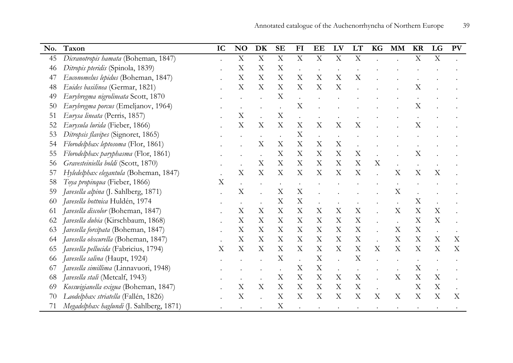| No. | Taxon                                    | IC                        | NO                        | DK                        | $\mathbf{SE}$             | FI                        | EE                        | LV                        | LT                        | KG | <b>MM</b>                 | <b>KR</b>                 | LG          | <b>PV</b>                 |
|-----|------------------------------------------|---------------------------|---------------------------|---------------------------|---------------------------|---------------------------|---------------------------|---------------------------|---------------------------|----|---------------------------|---------------------------|-------------|---------------------------|
| 45  | Dicranotropis hamata (Boheman, 1847)     |                           | $\boldsymbol{\mathrm{X}}$ | $\boldsymbol{\mathrm{X}}$ | $\boldsymbol{\mathrm{X}}$ | X                         | X                         | $\boldsymbol{\mathrm{X}}$ | $\mathbf X$               |    |                           | $\mathbf X$               | $\mathbf X$ |                           |
| 46  | Ditropis pteridis (Spinola, 1839)        |                           | $\boldsymbol{\mathrm{X}}$ | X                         | $\boldsymbol{\mathrm{X}}$ | $\ddot{\phantom{a}}$      |                           |                           |                           |    |                           |                           |             |                           |
| 47  | Euconomelus lepidus (Boheman, 1847)      |                           | $\boldsymbol{\mathrm{X}}$ | $\mathbf X$               | $\mathbf X$               | $\mathbf X$               | $\boldsymbol{\mathrm{X}}$ | $\boldsymbol{\mathrm{X}}$ | $\mathbf X$               |    |                           |                           |             |                           |
| 48  | Euides basilinea (Germar, 1821)          |                           | $\boldsymbol{\mathrm{X}}$ | X                         | $\mathbf X$               | $\boldsymbol{\mathrm{X}}$ | $\boldsymbol{\mathrm{X}}$ | $\boldsymbol{\mathrm{X}}$ |                           |    |                           | $\boldsymbol{\mathrm{X}}$ |             |                           |
| 49  | Eurybregma nigrolineata Scott, 1870      |                           |                           |                           | X                         |                           |                           |                           |                           |    |                           |                           |             |                           |
| 50  | Eurybregma porcus (Emeljanov, 1964)      |                           |                           |                           |                           | X                         |                           |                           |                           |    |                           | $\mathbf X$               |             |                           |
| 51  | Eurysa lineata (Perris, 1857)            |                           | X                         |                           | $\mathbf X$               |                           |                           |                           |                           |    |                           |                           |             |                           |
| 52  | Eurysula lurida (Fieber, 1866)           |                           | X                         | X                         | X                         | $\boldsymbol{\mathrm{X}}$ | $\boldsymbol{\mathrm{X}}$ | X                         | X                         |    |                           | X                         |             |                           |
| 53  | Ditropsis flavipes (Signoret, 1865)      |                           |                           |                           | $\ddot{\phantom{0}}$      | $\mathbf X$               |                           |                           |                           |    |                           |                           |             |                           |
| 54  | Florodelphax leptosoma (Flor, 1861)      |                           |                           | X                         | $\mathbf X$               | $\boldsymbol{\mathrm{X}}$ | X                         | X                         |                           |    |                           |                           |             |                           |
| 55  | Florodelphax paryphasma (Flor, 1861)     |                           |                           |                           | $\mathbf X$               | X                         | X                         | $\boldsymbol{\mathrm{X}}$ | $\mathbf X$               |    |                           | X                         |             |                           |
| 56  | Gravesteiniella boldi (Scott, 1870)      |                           |                           | X                         | $\mathbf X$               | $\mathbf X$               | X                         | X                         | X                         | X  |                           |                           |             |                           |
| 57  | Hyledelphax elegantula (Boheman, 1847)   |                           | $\boldsymbol{\mathrm{X}}$ | $\boldsymbol{\mathrm{X}}$ | $\mathbf X$               | $\boldsymbol{\mathrm{X}}$ | X                         | $\mathbf X$               | $\mathbf X$               |    | X                         | X                         | $\mathbf X$ |                           |
| 58  | Toya propinqua (Fieber, 1866)            | X                         |                           |                           |                           |                           |                           |                           |                           |    |                           |                           |             |                           |
| 59  | Javesella alpina (J. Sahlberg, 1871)     |                           | $\mathbf X$               |                           | X                         | X                         |                           |                           |                           |    | $\boldsymbol{\mathrm{X}}$ |                           |             |                           |
| 60  | Javesella bottnica Huldén, 1974          |                           |                           |                           | X                         | $\mathbf X$               |                           |                           |                           |    |                           | $\boldsymbol{\mathrm{X}}$ |             |                           |
| 61  | Javesella discolor (Boheman, 1847)       |                           | $\boldsymbol{\mathrm{X}}$ | X                         | $\boldsymbol{\mathrm{X}}$ | $\mathbf X$               | X                         | X                         | $\mathbf X$               |    | X                         | $\mathbf X$               | $\mathbf X$ |                           |
| 62  | Javesella dubia (Kirschbaum, 1868)       |                           | X                         | X                         | X                         | $\boldsymbol{\mathrm{X}}$ | X                         | X                         | $\mathbf X$               |    |                           | $\mathbf X$               | $\mathbf X$ |                           |
| 63  | Javesella forcipata (Boheman, 1847)      |                           | $\boldsymbol{\mathrm{X}}$ | X                         | X                         | X                         | X                         | X                         | X                         |    | X                         | X                         |             |                           |
| 64  | Javesella obscurella (Boheman, 1847)     |                           | X                         | X                         | X                         | X                         | X                         | X                         | $\boldsymbol{\mathrm{X}}$ |    | X                         | X                         | X           | X                         |
| 65  | Javesella pellucida (Fabricius, 1794)    | $\boldsymbol{\mathrm{X}}$ | X                         | $\boldsymbol{\mathrm{X}}$ | $\mathbf X$               | $\boldsymbol{\mathrm{X}}$ | X                         | X                         | $\boldsymbol{\mathrm{X}}$ | X  | $\boldsymbol{\mathrm{X}}$ | $\mathbf X$               | $\mathbf X$ | $\boldsymbol{\mathrm{X}}$ |
| 66  | Javesella salina (Haupt, 1924)           |                           |                           |                           | X                         |                           | $\mathbf X$               | $\ddot{\phantom{a}}$      | $\mathbf X$               |    |                           |                           |             |                           |
| 67  | Javesella simillima (Linnavuori, 1948)   |                           |                           |                           | $\bullet$                 | $\boldsymbol{\mathrm{X}}$ | X                         |                           |                           |    |                           | $\boldsymbol{\mathrm{X}}$ |             |                           |
| 68  | Javesella stali (Metcalf, 1943)          |                           |                           |                           | $\mathbf X$               | $\mathbf X$               | $\boldsymbol{\mathrm{X}}$ | X                         | $\mathbf X$               |    | $\mathbf X$               | $\mathbf X$               | $\mathbf X$ |                           |
| 69  | Kosswigianella exigua (Boheman, 1847)    |                           | $\mathbf X$               | $\boldsymbol{\mathrm{X}}$ | $\mathbf X$               | $\mathbf X$               | $\mathbf X$               | $\mathbf X$               | $\mathbf X$               |    |                           | $\boldsymbol{\mathrm{X}}$ | $\mathbf X$ |                           |
| 70  | Laodelphax striatella (Fallén, 1826)     |                           | $\boldsymbol{\mathrm{X}}$ |                           | $\boldsymbol{\mathrm{X}}$ | X                         | $\boldsymbol{\mathrm{X}}$ | $\boldsymbol{\mathrm{X}}$ | $\boldsymbol{\mathrm{X}}$ | X  | X                         | X                         | $\mathbf X$ | X                         |
| 71  | Megadelphax haglundi (J. Sahlberg, 1871) |                           |                           |                           | $\mathbf X$               |                           |                           |                           |                           |    |                           |                           |             |                           |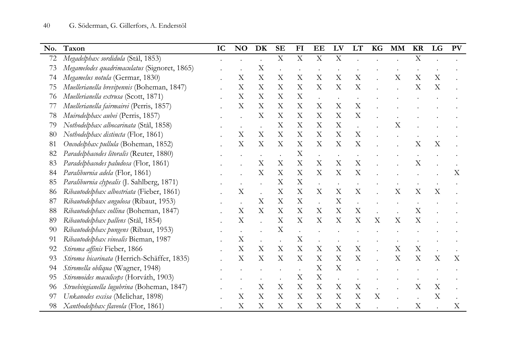| No. | Taxon                                        | IC | NO                        | DK                        | <b>SE</b>                 | F1                        | EE                        | LV                        | LT                        | <b>KG</b>                 | <b>MM</b> | <b>KR</b>                 | LG                        | <b>PV</b> |
|-----|----------------------------------------------|----|---------------------------|---------------------------|---------------------------|---------------------------|---------------------------|---------------------------|---------------------------|---------------------------|-----------|---------------------------|---------------------------|-----------|
| 72  | Megadelphax sordidula (Stål, 1853)           |    |                           |                           | $\boldsymbol{\mathrm{X}}$ | $\mathbf X$               | $\mathbf X$               | X                         |                           |                           |           | $\mathbf X$               |                           |           |
| 73  | Megamelodes quadrimaculatus (Signoret, 1865) |    |                           | $\mathbf X$               |                           |                           |                           |                           |                           |                           |           |                           |                           |           |
| 74  | Megamelus notula (Germar, 1830)              |    | $\boldsymbol{\mathrm{X}}$ | $\mathbf X$               | $\boldsymbol{\mathrm{X}}$ | X                         | $\boldsymbol{\mathrm{X}}$ | $\mathbf X$               | $\boldsymbol{\mathrm{X}}$ |                           | X         | X                         | $\boldsymbol{\mathrm{X}}$ |           |
| 75  | Muellerianella brevipennis (Boheman, 1847)   |    | X                         | $\boldsymbol{\mathrm{X}}$ | $\mathbf X$               | $\mathbf X$               | $\boldsymbol{\mathrm{X}}$ | $\mathbf X$               | $\boldsymbol{\mathrm{X}}$ |                           |           | X                         | $\boldsymbol{\mathrm{X}}$ |           |
| 76  | Muellerianella extrusa (Scott, 1871)         |    | X                         | X                         | X                         | $\mathbf X$               |                           |                           |                           |                           |           |                           |                           |           |
| 77  | Muellerianella fairmairei (Perris, 1857)     |    | $\boldsymbol{\mathrm{X}}$ | X                         | $\boldsymbol{\mathrm{X}}$ | $\mathbf X$               | X                         | $\mathbf X$               | $\mathbf X$               |                           |           |                           |                           |           |
| 78  | Muirodelphax aubei (Perris, 1857)            |    |                           | X                         | X                         | $\mathbf X$               | X                         | $\boldsymbol{\mathrm{X}}$ | X                         |                           |           |                           |                           |           |
| 79  | Nothodelphax albocarinata (Stål, 1858)       |    |                           |                           | X                         | $\mathbf X$               | X                         | $\mathbf X$               |                           |                           | X         |                           |                           |           |
| 80  | Nothodelphax distincta (Flor, 1861)          |    | $\boldsymbol{\mathrm{X}}$ | X                         | X                         | $\boldsymbol{\mathrm{X}}$ | X                         | X                         | $\mathbf X$               |                           |           |                           |                           |           |
| 81  | Oncodelphax pullula (Boheman, 1852)          |    | $\boldsymbol{\mathrm{X}}$ | X                         | $\boldsymbol{\mathrm{X}}$ | $\mathbf X$               | X                         | X                         | $\boldsymbol{\mathrm{X}}$ |                           |           | X                         | $\mathbf X$               |           |
| 82  | Paradelphacodes litoralis (Reuter, 1880)     |    |                           |                           |                           | X                         |                           |                           |                           |                           |           |                           |                           |           |
| 83  | Paradelphacodes paludosa (Flor, 1861)        |    |                           | $\boldsymbol{\mathrm{X}}$ | X                         | $\mathbf X$               | X                         | $\boldsymbol{\mathrm{X}}$ | $\boldsymbol{\mathrm{X}}$ |                           |           | X                         |                           |           |
| 84  | Paraliburnia adela (Flor, 1861)              |    |                           | X                         | X                         | $\mathbf X$               | X                         | $\boldsymbol{\mathrm{X}}$ | $\boldsymbol{\mathrm{X}}$ |                           |           |                           |                           | X         |
| 85  | Paraliburnia clypealis (J. Sahlberg, 1871)   |    |                           |                           | X                         | $\mathbf X$               |                           |                           |                           |                           |           |                           |                           |           |
| 86  | Ribautodelphax albostriata (Fieber, 1861)    |    | X                         |                           | $\boldsymbol{\mathrm{X}}$ | $\mathbf X$               | X                         | $\mathbf X$               | $\boldsymbol{\mathrm{X}}$ |                           | X         | $\mathbf X$               | X                         |           |
| 87  | Ribautodelphax angulosa (Ribaut, 1953)       |    |                           | X                         | $\boldsymbol{\mathrm{X}}$ | $\boldsymbol{\mathrm{X}}$ |                           | $\boldsymbol{\mathrm{X}}$ | $\ddot{\phantom{0}}$      |                           |           |                           |                           |           |
| 88  | Ribautodelphax collina (Boheman, 1847)       |    | $\boldsymbol{\mathrm{X}}$ | $\boldsymbol{\mathrm{X}}$ | X                         | $\boldsymbol{\mathrm{X}}$ | X                         | $\mathbf X$               | $\mathbf X$               |                           |           | X                         |                           |           |
| 89  | Ribautodelphax pallens (Stål, 1854)          |    | $\boldsymbol{\mathrm{X}}$ |                           | $\boldsymbol{\mathrm{X}}$ | X                         | X                         | X                         | $\mathbf X$               | $\boldsymbol{\mathrm{X}}$ | X         | X                         |                           |           |
| 90  | Ribautodelphax pungens (Ribaut, 1953)        |    |                           |                           | X                         |                           |                           |                           |                           |                           |           |                           |                           |           |
| 91  | Ribautodelphax vinealis Bieman, 1987         |    | $\boldsymbol{\mathrm{X}}$ |                           |                           | $\mathbf X$               |                           |                           |                           |                           |           |                           |                           |           |
| 92  | Stiroma affinis Fieber, 1866                 |    | $\boldsymbol{\mathrm{X}}$ | X                         | $\boldsymbol{\mathrm{X}}$ | $\mathbf X$               | X                         | $\boldsymbol{\mathrm{X}}$ | $\boldsymbol{\mathrm{X}}$ |                           | X         | $\boldsymbol{\mathrm{X}}$ |                           |           |
| 93  | Stiroma bicarinata (Herrich-Schäffer, 1835)  |    | $\boldsymbol{\mathrm{X}}$ | X                         | X                         | X                         | X                         | X                         | $\boldsymbol{\mathrm{X}}$ |                           | X         | X                         | X                         | X         |
| 94  | Stiromella obliqua (Wagner, 1948)            |    |                           |                           |                           |                           | X                         | X                         |                           |                           |           |                           |                           |           |
| 95  | Stiromoides maculiceps (Horváth, 1903)       |    |                           |                           |                           | $\mathbf X$               | $\boldsymbol{\mathrm{X}}$ | $\ddot{\phantom{0}}$      |                           |                           |           |                           |                           |           |
| 96  | Struebingianella lugubrina (Boheman, 1847)   |    |                           | $\boldsymbol{\mathrm{X}}$ | X                         | X                         | X                         | X                         | $\mathbf X$               |                           |           | X                         | $\boldsymbol{\mathrm{X}}$ |           |
| 97  | Unkanodes excisa (Melichar, 1898)            |    | $\boldsymbol{\mathrm{X}}$ | X                         | X                         | X                         | X                         | $\boldsymbol{\mathrm{X}}$ | $\mathbf X$               | $\boldsymbol{\mathrm{X}}$ |           |                           | X                         |           |
| 98  | Xanthodelphax flaveola (Flor, 1861)          |    | $\boldsymbol{\mathrm{X}}$ | X                         | $\boldsymbol{\mathrm{X}}$ | $\boldsymbol{\mathrm{X}}$ | X                         | X                         | $\mathbf X$               |                           |           | $\boldsymbol{\mathrm{X}}$ |                           | X         |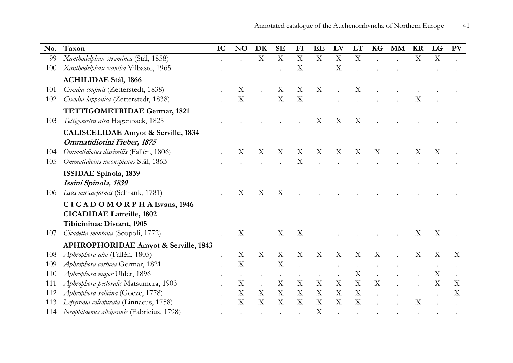| No. | Taxon                                          | IC | <b>NO</b>                 | DK          | <b>SE</b>   | FI                        | EE          | LV          | LT                        | KG | <b>MM</b> | <b>KR</b>   | LG                        | <b>PV</b> |
|-----|------------------------------------------------|----|---------------------------|-------------|-------------|---------------------------|-------------|-------------|---------------------------|----|-----------|-------------|---------------------------|-----------|
| 99  | Xanthodelphax straminea (Stål, 1858)           |    |                           | $\mathbf X$ | $\mathbf X$ | $\boldsymbol{\mathrm{X}}$ | $\mathbf X$ | $\mathbf X$ | $\mathbf X$               |    |           | $\mathbf X$ | $\mathbf X$               |           |
| 100 | Xanthodelphax xantha Vilbaste, 1965            |    |                           |             |             | X                         |             | X           |                           |    |           |             |                           |           |
|     | <b>ACHILIDAE Stål, 1866</b>                    |    |                           |             |             |                           |             |             |                           |    |           |             |                           |           |
| 101 | Cixidia confinis (Zetterstedt, 1838)           |    | X                         |             | X           | X                         | X           |             | X                         |    |           |             |                           |           |
| 102 | Cixidia lapponica (Zetterstedt, 1838)          |    | $\boldsymbol{\mathrm{X}}$ |             | $\mathbf X$ | $\boldsymbol{\mathrm{X}}$ |             |             |                           |    |           | X           |                           |           |
|     | TETTIGOMETRIDAE Germar, 1821                   |    |                           |             |             |                           |             |             |                           |    |           |             |                           |           |
| 103 | Tettigometra atra Hagenback, 1825              |    |                           |             |             |                           | X           | X           | X                         |    |           |             |                           |           |
|     | <b>CALISCELIDAE Amyot &amp; Serville, 1834</b> |    |                           |             |             |                           |             |             |                           |    |           |             |                           |           |
|     | Ommatidiotini Fieber, 1875                     |    |                           |             |             |                           |             |             |                           |    |           |             |                           |           |
| 104 | Ommatidiotus dissimilis (Fallén, 1806)         |    | X                         | X           | X           | $\boldsymbol{\mathrm{X}}$ | X           | X           | $\boldsymbol{\mathrm{X}}$ | X  |           | X           | $\boldsymbol{\mathrm{X}}$ |           |
| 105 | Ommatidiotus inconspicuus Stål, 1863           |    |                           |             |             | X                         |             |             |                           |    |           |             |                           |           |
|     | <b>ISSIDAE Spinola, 1839</b>                   |    |                           |             |             |                           |             |             |                           |    |           |             |                           |           |
|     | Issini Spinola, 1839                           |    |                           |             |             |                           |             |             |                           |    |           |             |                           |           |
| 106 | Issus muscaeformis (Schrank, 1781)             |    | X                         | X           | X           |                           |             |             |                           |    |           |             |                           |           |
|     | CICADOMORPHAEvans, 1946                        |    |                           |             |             |                           |             |             |                           |    |           |             |                           |           |
|     | <b>CICADIDAE Latreille, 1802</b>               |    |                           |             |             |                           |             |             |                           |    |           |             |                           |           |
|     | Tibicininae Distant, 1905                      |    |                           |             |             |                           |             |             |                           |    |           |             |                           |           |
| 107 | Cicadetta montana (Scopoli, 1772)              |    | X                         |             | X           | X                         |             |             |                           |    |           | X           | X                         |           |
|     | APHROPHORIDAE Amyot & Serville, 1843           |    |                           |             |             |                           |             |             |                           |    |           |             |                           |           |
| 108 | Aphrophora alni (Fallén, 1805)                 |    | X                         | X           | X           | X                         | X           | X           | X                         | X  |           | X           | X                         | X         |
| 109 | Aphrophora corticea Germar, 1821               |    | X                         |             | X           |                           |             |             |                           |    |           |             |                           |           |
| 110 | Aphrophora major Uhler, 1896                   |    |                           |             |             |                           |             |             | X                         |    |           |             | X                         |           |
| 111 | Aphrophora pectoralis Matsumura, 1903          |    | X                         |             | X           | X                         | X           | X           | $\boldsymbol{\mathrm{X}}$ | X  |           |             | Χ                         | Χ         |
| 112 | Aphrophora salicina (Goeze, 1778)              |    | X                         | X           | X           | X                         | X           | X           | $\boldsymbol{\mathrm{X}}$ |    |           |             |                           | X         |
| 113 | Lepyronia coleoptrata (Linnaeus, 1758)         |    | X                         | X           | X           | X                         | X           | X           | X                         |    |           | X           |                           |           |
|     | 114 Neophilaenus albipennis (Fabricius, 1798)  |    |                           |             |             |                           | X           |             |                           |    |           |             |                           |           |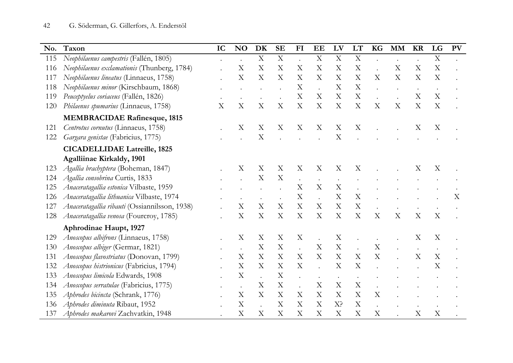| No. | Taxon                                         | IC | <b>NO</b>                 | DK                        | <b>SE</b>                 | F1                        | EE                        | LV                        | LT                        | <b>KG</b>                 | <b>MM</b> | <b>KR</b>                 | LG                        | <b>PV</b>                 |
|-----|-----------------------------------------------|----|---------------------------|---------------------------|---------------------------|---------------------------|---------------------------|---------------------------|---------------------------|---------------------------|-----------|---------------------------|---------------------------|---------------------------|
| 115 | Neophilaenus campestris (Fallén, 1805)        |    |                           | $\mathbf X$               | $\mathbf X$               |                           | X                         | $\mathbf X$               | $\boldsymbol{\mathrm{X}}$ |                           |           |                           | $\mathbf X$               |                           |
| 116 | Neophilaenus exclamationis (Thunberg, 1784)   |    | X                         | X                         | X                         | X                         | $\boldsymbol{\mathrm{X}}$ | $\mathbf X$               | $\mathbf X$               |                           | X         | $\boldsymbol{\mathrm{X}}$ | $\mathbf X$               |                           |
| 117 | Neophilaenus lineatus (Linnaeus, 1758)        |    | $\overline{X}$            | X                         | $\boldsymbol{\mathrm{X}}$ | X                         | $\boldsymbol{\mathrm{X}}$ | $\mathbf X$               | $\mathbf X$               | X                         | X         | $\mathbf X$               | X                         |                           |
| 118 | Neophilaenus minor (Kirschbaum, 1868)         |    |                           |                           |                           | X                         |                           | X                         | $\boldsymbol{\mathrm{X}}$ |                           |           |                           |                           |                           |
| 119 | Peuceptyelus coriaceus (Fallén, 1826)         |    |                           |                           |                           | $\mathbf X$               | $\boldsymbol{\mathrm{X}}$ | $\boldsymbol{\mathrm{X}}$ | $\mathbf X$               |                           |           | X                         | $\boldsymbol{\mathrm{X}}$ |                           |
| 120 | Philaenus spumarius (Linnaeus, 1758)          | X  | X                         | X                         | X                         | $\boldsymbol{\mathrm{X}}$ | $\boldsymbol{\mathrm{X}}$ | $\boldsymbol{\mathrm{X}}$ | $\boldsymbol{\mathrm{X}}$ | $\boldsymbol{\mathrm{X}}$ | X         | X                         | X                         |                           |
|     | <b>MEMBRACIDAE Rafinesque, 1815</b>           |    |                           |                           |                           |                           |                           |                           |                           |                           |           |                           |                           |                           |
| 121 | Centrotus cornutus (Linnaeus, 1758)           |    | X                         | X                         | X                         | X                         | X                         | X                         | $\boldsymbol{\mathrm{X}}$ |                           |           | Χ                         | X                         |                           |
| 122 | Gargara genistae (Fabricius, 1775)            |    |                           | X                         |                           |                           |                           | X                         |                           |                           |           |                           |                           |                           |
|     | <b>CICADELLIDAE Latreille, 1825</b>           |    |                           |                           |                           |                           |                           |                           |                           |                           |           |                           |                           |                           |
|     | <b>Agalliinae Kirkaldy, 1901</b>              |    |                           |                           |                           |                           |                           |                           |                           |                           |           |                           |                           |                           |
| 123 | Agallia brachyptera (Boheman, 1847)           |    | X                         | X                         | X                         | X                         | X                         | X                         | X                         |                           |           | X                         | X                         |                           |
| 124 | Agallia consobrina Curtis, 1833               |    |                           | X                         | X                         |                           |                           |                           |                           |                           |           |                           |                           |                           |
| 125 | Anaceratagallia estonica Vilbaste, 1959       |    |                           |                           |                           | X                         | $\boldsymbol{\mathrm{X}}$ | X                         |                           |                           |           |                           |                           |                           |
| 126 | Anaceratagallia lithuanica Vilbaste, 1974     |    |                           |                           |                           | $\mathbf X$               | $\ddot{\phantom{a}}$      | $\mathbf X$               | $\mathbf X$               |                           |           |                           |                           | $\boldsymbol{\mathrm{X}}$ |
| 127 | Anaceratagallia ribauti (Ossiannilsson, 1938) |    | X                         | $\boldsymbol{\mathrm{X}}$ | X                         | $\boldsymbol{\mathrm{X}}$ | $\boldsymbol{\mathrm{X}}$ | $\boldsymbol{\mathrm{X}}$ | $\mathbf X$               |                           |           |                           |                           |                           |
| 128 | Anaceratagallia venosa (Fourcroy, 1785)       |    | X                         | $\boldsymbol{\mathrm{X}}$ | X                         | X                         | $\mathbf X$               | X                         | $\boldsymbol{\mathrm{X}}$ | $\boldsymbol{\mathrm{X}}$ | X         | $\boldsymbol{\mathrm{X}}$ | $\boldsymbol{\mathrm{X}}$ |                           |
|     | Aphrodinae Haupt, 1927                        |    |                           |                           |                           |                           |                           |                           |                           |                           |           |                           |                           |                           |
| 129 | Anoscopus albifrons (Linnaeus, 1758)          |    | X                         | X                         | X                         | X                         |                           | X                         |                           |                           |           | X                         | X                         |                           |
| 130 | Anoscopus albiger (Germar, 1821)              |    |                           | $\mathbf X$               | $\mathbf X$               |                           | X                         | $\mathbf X$               |                           | $\boldsymbol{\mathrm{X}}$ |           |                           |                           |                           |
| 131 | Anoscopus flavostriatus (Donovan, 1799)       |    | $\boldsymbol{\mathrm{X}}$ | $\boldsymbol{\mathrm{X}}$ | $\mathbf X$               | $\mathbf X$               | $\mathbf X$               | $\mathbf X$               | $\mathbf X$               | $\boldsymbol{\mathrm{X}}$ |           | $\mathbf X$               | $\mathbf X$               |                           |
| 132 | Anoscopus histrionicus (Fabricius, 1794)      |    | X                         | X                         | $\boldsymbol{\mathrm{X}}$ | $\boldsymbol{\mathrm{X}}$ |                           | X                         | $\boldsymbol{\mathrm{X}}$ |                           |           |                           | X                         |                           |
| 133 | Anoscopus limicola Edwards, 1908              |    | X                         |                           | $\boldsymbol{\mathrm{X}}$ |                           |                           |                           |                           |                           |           |                           |                           |                           |
| 134 | Anoscopus serratulae (Fabricius, 1775)        |    |                           | X                         | X                         |                           | X                         | X                         | X                         |                           |           |                           |                           |                           |
| 135 | Aphrodes bicincta (Schrank, 1776)             |    | $\boldsymbol{\mathrm{X}}$ | $\boldsymbol{\mathrm{X}}$ | $\boldsymbol{\mathrm{X}}$ | X                         | X                         | X                         | $\mathbf X$               | X                         |           |                           |                           |                           |
| 136 | Aphrodes diminuta Ribaut, 1952                |    | X                         |                           | X                         | X                         | X                         | X <sup>2</sup>            | $\boldsymbol{\mathrm{X}}$ |                           |           |                           |                           |                           |
| 137 | Aphrodes makarovi Zachvatkin, 1948            |    | X                         | X                         | X                         | X                         | $\boldsymbol{\mathrm{X}}$ | X                         | X                         | X                         |           | $\mathbf X$               | X                         |                           |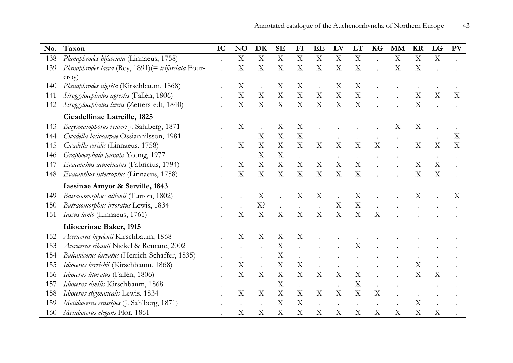| No. | Taxon                                               | IC | N <sub>O</sub>            | DK                        | <b>SE</b>                 | FI                        | EE                        | LV                        | LT                        | <b>KG</b>                 | <b>MM</b>   | <b>KR</b>                 | LG                        | <b>PV</b> |
|-----|-----------------------------------------------------|----|---------------------------|---------------------------|---------------------------|---------------------------|---------------------------|---------------------------|---------------------------|---------------------------|-------------|---------------------------|---------------------------|-----------|
| 138 | Planaphrodes bifasciata (Linnaeus, 1758)            |    | $\boldsymbol{\mathrm{X}}$ | $\mathbf X$               | $\mathbf X$               | $\mathbf X$               | $\boldsymbol{\mathrm{X}}$ | $\mathbf X$               | $\mathbf X$               |                           | $\mathbf X$ | $\boldsymbol{\mathrm{X}}$ | $\boldsymbol{\mathrm{X}}$ |           |
| 139 | Planaphrodes laeva (Rey, 1891) (= trifasciata Four- |    | X                         | X                         | X                         | X                         | X                         | X                         | X                         |                           | X           | X                         |                           |           |
|     | $\text{croy}$ )                                     |    |                           |                           |                           |                           |                           |                           |                           |                           |             |                           |                           |           |
| 140 | Planaphrodes nigrita (Kirschbaum, 1868)             |    | Χ                         |                           | X                         | X                         |                           | X                         | X                         |                           |             |                           |                           |           |
| 141 | Stroggylocephalus agrestis (Fallén, 1806)           |    | X                         | $\boldsymbol{\mathrm{X}}$ | $\mathbf X$               | X                         | X                         | $\mathbf X$               | $\mathbf X$               |                           |             | X                         | X                         | X         |
| 142 | Stroggylocephalus livens (Zetterstedt, 1840)        |    | X                         | $\mathbf X$               | $\boldsymbol{\mathrm{X}}$ | X                         | $\rm X$                   | $\boldsymbol{\mathrm{X}}$ | $\boldsymbol{\mathrm{X}}$ |                           |             | $\boldsymbol{\mathrm{X}}$ |                           |           |
|     | Cicadellinae Latreille, 1825                        |    |                           |                           |                           |                           |                           |                           |                           |                           |             |                           |                           |           |
| 143 | Batysmatophorus reuteri J. Sahlberg, 1871           |    | X                         |                           | $\boldsymbol{\mathrm{X}}$ | $\boldsymbol{\mathrm{X}}$ |                           |                           |                           |                           | X           | X                         |                           |           |
| 144 | Cicadella lasiocarpae Ossiannilsson, 1981           |    |                           | X                         | $\mathbf X$               | $\mathbf X$               |                           |                           |                           |                           |             |                           |                           | X         |
| 145 | Cicadella viridis (Linnaeus, 1758)                  |    | X                         | $\boldsymbol{\mathrm{X}}$ | $\boldsymbol{\mathrm{X}}$ | X                         | X                         | $\boldsymbol{\mathrm{X}}$ | X                         | X                         |             | X                         | X                         | X         |
| 146 | Graphocephala fennahi Young, 1977                   |    |                           | X                         | X                         |                           |                           |                           |                           |                           |             |                           |                           |           |
| 147 | Evacanthus acuminatus (Fabricius, 1794)             |    | X                         | X                         | $\boldsymbol{\mathrm{X}}$ | X                         | X                         | $\mathbf X$               | $\boldsymbol{\mathrm{X}}$ |                           |             | $\mathbf X$               | $\boldsymbol{\mathrm{X}}$ |           |
| 148 | Evacanthus interruptus (Linnaeus, 1758)             |    | X                         | X                         | $\boldsymbol{\mathrm{X}}$ | X                         | X                         | $\boldsymbol{\mathrm{X}}$ | X                         |                           |             | $\boldsymbol{\mathrm{X}}$ | X                         |           |
|     | Iassinae Amyot & Serville, 1843                     |    |                           |                           |                           |                           |                           |                           |                           |                           |             |                           |                           |           |
| 149 | Batracomorphus allionii (Turton, 1802)              |    |                           | X                         |                           | X                         | X                         |                           | X                         |                           |             | Χ                         |                           | X         |
| 150 | Batracomorphus irroratus Lewis, 1834                |    |                           | X?                        | $\bullet$                 |                           |                           | $\mathbf X$               | $\mathbf X$               |                           |             |                           |                           |           |
| 151 | Iassus lanio (Linnaeus, 1761)                       |    | X                         | X                         | X                         | X                         | X                         | $\boldsymbol{\mathrm{X}}$ | X                         | X                         |             |                           |                           |           |
|     | Idiocerinae Baker, 1915                             |    |                           |                           |                           |                           |                           |                           |                           |                           |             |                           |                           |           |
| 152 | Acericerus heydenii Kirschbaum, 1868                |    | X                         | X                         | X                         | X                         |                           |                           |                           |                           |             |                           |                           |           |
| 153 | Acericerus ribauti Nickel & Remane, 2002            |    |                           |                           | $\mathbf X$               |                           |                           |                           | X                         |                           |             |                           |                           |           |
| 154 | Balcanicerus larvatus (Herrich-Schäffer, 1835)      |    |                           |                           | $\mathbf X$               |                           |                           |                           |                           |                           |             |                           |                           |           |
| 155 | Idiocerus herrichii (Kirschbaum, 1868)              |    | X                         |                           | $\boldsymbol{\mathrm{X}}$ | $\boldsymbol{\mathrm{X}}$ |                           |                           |                           |                           |             | $\mathbf X$               |                           |           |
| 156 | Idiocerus lituratus (Fallén, 1806)                  |    | $\overline{X}$            | X                         | $\boldsymbol{\mathrm{X}}$ | X                         | $\boldsymbol{\mathrm{X}}$ | $\boldsymbol{\mathrm{X}}$ | $\boldsymbol{\mathrm{X}}$ |                           |             | X                         | X                         |           |
| 157 | Idiocerus similis Kirschbaum, 1868                  |    |                           |                           | $\boldsymbol{\mathrm{X}}$ |                           |                           |                           | X                         |                           |             |                           |                           |           |
| 158 | Idiocerus stigmaticalis Lewis, 1834                 |    | X                         | X                         | X                         | X                         | X                         | X                         | X                         | X                         |             |                           |                           |           |
| 159 | Metidiocerus crassipes (J. Sahlberg, 1871)          |    |                           |                           | X                         | X                         |                           |                           |                           |                           |             | $\boldsymbol{\mathrm{X}}$ |                           |           |
| 160 | Metidiocerus elegans Flor, 1861                     |    | X                         | X                         | $\boldsymbol{\mathrm{X}}$ | X                         | X                         | $\mathbf X$               | X                         | $\boldsymbol{\mathrm{X}}$ | X           | $\boldsymbol{\mathrm{X}}$ | $\boldsymbol{\mathrm{X}}$ |           |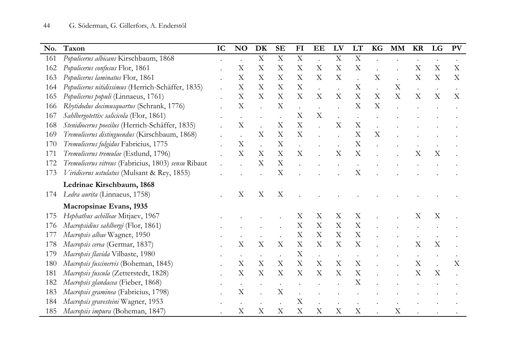| No. | Taxon                                               | IC | <b>NO</b>                 | DK                        | <b>SE</b>                 | F <sub>I</sub>            | EE                        | LV                        | LT                        | <b>KG</b>                 | <b>MM</b> | <b>KR</b>                 | LG | PV                        |
|-----|-----------------------------------------------------|----|---------------------------|---------------------------|---------------------------|---------------------------|---------------------------|---------------------------|---------------------------|---------------------------|-----------|---------------------------|----|---------------------------|
| 161 | Populicerus albicans Kirschbaum, 1868               |    |                           | $\mathbf X$               | $\mathbf X$               | $\boldsymbol{\mathrm{X}}$ |                           | $\mathbf X$               | $\boldsymbol{\mathrm{X}}$ |                           |           |                           |    |                           |
| 162 | Populicerus confusus Flor, 1861                     |    | X                         | X                         | $\mathbf X$               | X                         | X                         | $\boldsymbol{\mathrm{X}}$ | $\mathbf X$               |                           |           | X                         | X  | $\mathbf X$               |
| 163 | Populicerus laminatus Flor, 1861                    |    | X                         | X                         | X                         | X                         | $\boldsymbol{\mathrm{X}}$ | $\boldsymbol{\mathrm{X}}$ |                           | X                         |           | $\boldsymbol{\mathrm{X}}$ | X  | $\boldsymbol{\mathrm{X}}$ |
| 164 | Populicerus nitidissimus (Herrich-Schäffer, 1835)   |    | X                         | X                         | X                         | X                         |                           |                           | X                         |                           | X         |                           |    |                           |
| 165 | Populicerus populi (Linnaeus, 1761)                 |    | X                         | X                         | $\mathbf X$               | X                         | X                         | X                         | X                         | $\boldsymbol{\mathrm{X}}$ | X         | $\boldsymbol{\mathrm{X}}$ | X  | X                         |
| 166 | Rhytidodus decimusquartus (Schrank, 1776)           |    | $\boldsymbol{\mathrm{X}}$ |                           | $\mathbf X$               |                           |                           |                           | X                         | X                         |           |                           |    |                           |
| 167 | Sahlbergotettix salicicola (Flor, 1861)             |    |                           |                           |                           | $\boldsymbol{\mathrm{X}}$ | $\boldsymbol{\mathrm{X}}$ |                           |                           |                           |           |                           |    |                           |
| 168 | Stenidiocerus poecilus (Herrich-Schäffer, 1835)     |    | $\rm X$                   |                           | X                         | $\boldsymbol{\mathrm{X}}$ |                           | X                         | $\mathbf X$               |                           |           |                           |    |                           |
| 169 | Tremulicerus distinguendus (Kirschbaum, 1868)       |    |                           | X                         | X                         | X                         |                           |                           | X                         | X                         |           |                           |    |                           |
| 170 | Tremulicerus fulgidus Fabricius, 1775               |    | $\boldsymbol{\mathrm{X}}$ |                           | $\mathbf X$               |                           |                           |                           | $\boldsymbol{\mathrm{X}}$ |                           |           |                           |    |                           |
| 171 | Tremulicerus tremulae (Estlund, 1796)               |    | X                         | X                         | $\boldsymbol{\mathrm{X}}$ | X                         |                           | X                         | X                         |                           |           | X                         | X  |                           |
| 172 | Tremulicerus vitreus (Fabricius, 1803) sensu Ribaut |    |                           | X                         | $\boldsymbol{\mathrm{X}}$ |                           |                           |                           |                           |                           |           |                           |    |                           |
| 173 | Viridicerus ustulatus (Mulsant & Rey, 1855)         |    |                           |                           | $\boldsymbol{\mathrm{X}}$ |                           |                           |                           | X                         |                           |           |                           |    |                           |
|     | Ledrinae Kirschbaum, 1868                           |    |                           |                           |                           |                           |                           |                           |                           |                           |           |                           |    |                           |
| 174 | Ledra aurita (Linnaeus, 1758)                       |    | X                         | X                         | X                         |                           |                           |                           |                           |                           |           |                           |    |                           |
|     | Macropsinae Evans, 1935                             |    |                           |                           |                           |                           |                           |                           |                           |                           |           |                           |    |                           |
| 175 | Hephathus achilleae Mitjaev, 1967                   |    |                           |                           |                           | Χ                         | X                         | X                         | X                         |                           |           | Χ                         | X  |                           |
| 176 | Macropsidius sahlbergi (Flor, 1861)                 |    |                           |                           |                           | X                         | X                         | X                         | X                         |                           |           |                           |    |                           |
| 177 | Macropsis albae Wagner, 1950                        |    |                           |                           |                           | $\mathbf X$               | X                         | $\boldsymbol{\mathrm{X}}$ | $\mathbf X$               |                           |           |                           |    |                           |
| 178 | Macropsis cerea (Germar, 1837)                      |    | X                         | X                         | X                         | X                         | X                         | X                         | X                         |                           |           | $\boldsymbol{\mathrm{X}}$ | X  |                           |
| 179 | Macropsis flavida Vilbaste, 1980                    |    |                           |                           |                           | X                         |                           |                           |                           |                           |           |                           |    |                           |
| 180 | Macropsis fuscinervis (Boheman, 1845)               |    | X                         | X                         | $\boldsymbol{\mathrm{X}}$ | $\mathbf X$               | $\boldsymbol{\mathrm{X}}$ | $\boldsymbol{\mathrm{X}}$ | $\boldsymbol{\mathrm{X}}$ |                           |           | $\boldsymbol{\mathrm{X}}$ |    | X                         |
| 181 | Macropsis fuscula (Zetterstedt, 1828)               |    | Х                         | X                         | X                         | X                         | X                         | X                         | X                         |                           |           | X                         | X  |                           |
| 182 | Macropsis glandacea (Fieber, 1868)                  |    |                           |                           |                           |                           |                           |                           | X                         |                           |           |                           |    |                           |
| 183 | Macropsis graminea (Fabricius, 1798)                |    | X                         |                           | $\mathbf X$               |                           |                           |                           |                           |                           |           |                           |    |                           |
| 184 | Macropsis gravesteini Wagner, 1953                  |    |                           |                           |                           | $\boldsymbol{\mathrm{X}}$ |                           |                           |                           |                           |           |                           |    |                           |
| 185 | Macropsis impura (Boheman, 1847)                    |    | X                         | $\boldsymbol{\mathrm{X}}$ | $\boldsymbol{\mathrm{X}}$ | X                         | $\boldsymbol{\mathrm{X}}$ | X                         | X                         |                           | X         |                           |    |                           |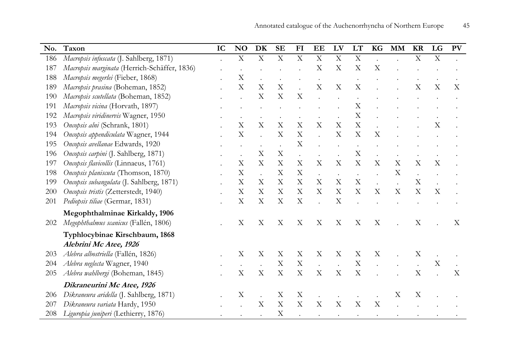| No. | Taxon                                        | IC | N <sub>O</sub>            | DK                   | <b>SE</b>                 | FI                        | EE                        | LV                        | LT                        | KG                        | <b>MM</b>                 | <b>KR</b>                 | LG          | <b>PV</b> |
|-----|----------------------------------------------|----|---------------------------|----------------------|---------------------------|---------------------------|---------------------------|---------------------------|---------------------------|---------------------------|---------------------------|---------------------------|-------------|-----------|
| 186 | Macropsis infuscata (J. Sahlberg, 1871)      |    | $\boldsymbol{\mathrm{X}}$ | $\mathbf X$          | $\mathbf X$               | $\mathbf X$               | X                         | X                         | $\mathbf X$               |                           |                           | X                         | $\mathbf X$ |           |
| 187 | Macropsis marginata (Herrich-Schäffer, 1836) |    |                           |                      |                           |                           | X                         | X                         | $\boldsymbol{\mathrm{X}}$ | X                         |                           |                           |             |           |
| 188 | Macropsis megerlei (Fieber, 1868)            |    | X                         |                      |                           |                           |                           |                           |                           |                           |                           |                           |             |           |
| 189 | Macropsis prasina (Boheman, 1852)            |    | X                         | X                    | X                         |                           | X                         | $\mathbf X$               | X                         |                           |                           | X                         | X           | X         |
| 190 | Macropsis scutellata (Boheman, 1852)         |    |                           | X                    | X                         | X                         |                           |                           |                           |                           |                           |                           |             |           |
| 191 | Macropsis vicina (Horvath, 1897)             |    |                           |                      |                           |                           |                           |                           | X                         |                           |                           |                           |             |           |
| 192 | Macropsis viridinervis Wagner, 1950          |    |                           |                      |                           |                           |                           |                           | $\boldsymbol{\mathrm{X}}$ |                           |                           |                           |             |           |
| 193 | Oncopsis alni (Schrank, 1801)                |    | X                         | X                    | $\boldsymbol{\mathrm{X}}$ | $\boldsymbol{\mathrm{X}}$ | $\boldsymbol{\mathrm{X}}$ | X                         | $\mathbf X$               |                           |                           |                           | X           |           |
| 194 | Oncopsis appendiculata Wagner, 1944          |    | $\rm\overline{X}$         |                      | $\boldsymbol{\mathrm{X}}$ | X                         |                           | $\boldsymbol{\mathrm{X}}$ | X                         | X                         |                           |                           |             |           |
| 195 | Oncopsis avellanae Edwards, 1920             |    |                           |                      | $\ddot{\phantom{a}}$      | X                         |                           | $\ddot{\phantom{0}}$      | $\bullet$                 |                           |                           |                           |             |           |
| 196 | Oncopsis carpini (J. Sahlberg, 1871)         |    |                           | X                    | $\boldsymbol{\mathrm{X}}$ |                           |                           | $\bullet$                 | $\boldsymbol{\mathrm{X}}$ |                           |                           |                           |             |           |
| 197 | Oncopsis flavicollis (Linnaeus, 1761)        |    | X                         | X                    | X                         | $\mathbf X$               | X                         | $\boldsymbol{\mathrm{X}}$ | $\mathbf X$               | X                         | X                         | $\boldsymbol{\mathrm{X}}$ | X           |           |
| 198 | Oncopsis planiscuta (Thomson, 1870)          |    | X                         |                      | X                         | X                         | $\ddot{\phantom{a}}$      | $\bullet$                 |                           |                           | X                         | $\ddot{\phantom{a}}$      |             |           |
| 199 | Oncopsis subangulata (J. Sahlberg, 1871)     |    | $\boldsymbol{\mathrm{X}}$ | X                    | $\mathbf X$               | $\mathbf X$               | X                         | $\mathbf X$               | $\mathbf X$               |                           |                           | $\mathbf X$               |             |           |
| 200 | Oncopsis tristis (Zetterstedt, 1940)         |    | X                         | X                    | X                         | X                         | X                         | X                         | $\boldsymbol{\mathrm{X}}$ | $\boldsymbol{\mathrm{X}}$ | $\boldsymbol{\mathrm{X}}$ | X                         | X           |           |
| 201 | Pediopsis tiliae (Germar, 1831)              |    | $\boldsymbol{\mathrm{X}}$ | X                    | $\boldsymbol{\mathrm{X}}$ | X                         |                           | X                         |                           |                           |                           |                           |             |           |
|     | Megophthalminae Kirkaldy, 1906               |    |                           |                      |                           |                           |                           |                           |                           |                           |                           |                           |             |           |
| 202 | Megophthalmus scanicus (Fallén, 1806)        |    | X                         | X                    | X                         | X                         | X                         | X                         | X                         | X                         |                           | X                         |             | X         |
|     | Typhlocybinae Kirschbaum, 1868               |    |                           |                      |                           |                           |                           |                           |                           |                           |                           |                           |             |           |
|     | Alebrini Mc Atee, 1926                       |    |                           |                      |                           |                           |                           |                           |                           |                           |                           |                           |             |           |
| 203 | Alebra albostriella (Fallén, 1826)           |    | X                         | X                    | X                         | X                         | X                         | X                         | X                         | X                         |                           | X                         |             |           |
| 204 | Alebra neglecta Wagner, 1940                 |    |                           |                      | $\mathbf X$               | $\boldsymbol{\mathrm{X}}$ | $\ddot{\phantom{a}}$      | $\ddot{\phantom{a}}$      | $\mathbf X$               |                           |                           |                           | X           |           |
| 205 | Alebra wahlbergi (Boheman, 1845)             |    | X                         | X                    | X                         | $\boldsymbol{\mathrm{X}}$ | $\mathbf X$               | $\mathbf X$               | $\mathbf X$               |                           |                           | X                         |             | X         |
|     | Dikraneurini Mc Atee, 1926                   |    |                           |                      |                           |                           |                           |                           |                           |                           |                           |                           |             |           |
| 206 | Dikraneura aridella (J. Sahlberg, 1871)      |    | X                         | $\ddot{\phantom{a}}$ | X                         | X                         |                           |                           |                           |                           | X                         | X                         |             |           |
| 207 | Dikraneura variata Hardy, 1950               |    |                           | X                    | X                         | X                         | X                         | X                         | X                         | X                         |                           |                           |             |           |
| 208 | Liguropia juniperi (Lethierry, 1876)         |    |                           |                      | $\mathbf X$               |                           |                           |                           |                           |                           |                           |                           |             |           |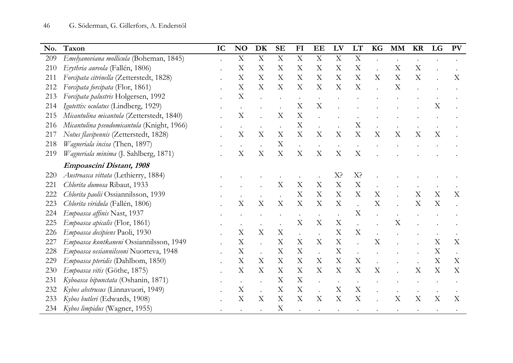| No. | Taxon                                      | IC | N <sub>O</sub> | DK          | <b>SE</b>                 | FI                        | EE          | LV                        | LT                        | <b>KG</b> | <b>MM</b> | <b>KR</b>                 | LG                        | <b>PV</b> |
|-----|--------------------------------------------|----|----------------|-------------|---------------------------|---------------------------|-------------|---------------------------|---------------------------|-----------|-----------|---------------------------|---------------------------|-----------|
| 209 | Emelyanoviana mollicula (Boheman, 1845)    |    | X              | $\mathbf X$ | $\boldsymbol{\mathrm{X}}$ | $\mathbf X$               | $\mathbf X$ | $\boldsymbol{\mathrm{X}}$ | $\boldsymbol{\mathrm{X}}$ |           |           |                           |                           |           |
| 210 | Erythria aureola (Fallén, 1806)            |    | X              | X           | $\boldsymbol{\mathrm{X}}$ | X                         | X           | X                         | X                         |           | X         | $\boldsymbol{\mathrm{X}}$ |                           |           |
| 211 | Forcipata citrinella (Zetterstedt, 1828)   |    | X              | X           | X                         | X                         | X           | X                         | X                         | X         | X         | X                         |                           | X         |
| 212 | Forcipata forcipata (Flor, 1861)           |    | X              | X           | X                         | X                         | X           | X                         | X                         |           | X         |                           |                           |           |
| 213 | Forcipata palustris Holgersen, 1992        |    | X              |             |                           | $\bullet$                 |             |                           |                           |           |           |                           |                           |           |
| 214 | Igutettix oculatus (Lindberg, 1929)        |    |                |             |                           | X                         | X           |                           |                           |           |           |                           | $\boldsymbol{\mathrm{X}}$ |           |
| 215 | Micantulina micantula (Zetterstedt, 1840)  |    | X              |             | $\boldsymbol{\mathrm{X}}$ | X                         |             |                           |                           |           |           |                           |                           |           |
| 216 | Micantulina pseudomicantula (Knight, 1966) |    |                |             |                           | X                         |             |                           | X                         |           |           |                           |                           |           |
| 217 | Notus flavipennis (Zetterstedt, 1828)      |    | X              | X           | X                         | X                         | X           | X                         | X                         | X         | X         | X                         | X                         |           |
| 218 | Wagneriala incisa (Then, 1897)             |    |                |             | $\mathbf X$               |                           |             |                           |                           |           |           |                           |                           |           |
| 219 | Wagneriala minima (J. Sahlberg, 1871)      |    | X              | X           | X                         | $\boldsymbol{\mathrm{X}}$ | X           | X                         | X                         |           |           |                           |                           |           |
|     | Empoascini Distant, 1908                   |    |                |             |                           |                           |             |                           |                           |           |           |                           |                           |           |
| 220 | Austroasca vittata (Lethierry, 1884)       |    |                |             |                           |                           |             | X?                        | X <sup>2</sup>            |           |           |                           |                           |           |
| 221 | Chlorita dumosa Ribaut, 1933               |    |                |             | X                         | X                         | X           | X                         | $\mathbf X$               |           |           |                           |                           |           |
| 222 | Chlorita paolii Ossiannilsson, 1939        |    |                |             |                           | X                         | X           | X                         | X                         | X         |           | $\boldsymbol{\mathrm{X}}$ | X                         | X         |
| 223 | Chlorita viridula (Fallén, 1806)           |    | Х              | X           | X                         | X                         | X           | X                         |                           | X         |           | X                         | X                         |           |
| 224 | Empoasca affinis Nast, 1937                |    |                |             |                           |                           |             |                           | X                         |           |           |                           |                           |           |
| 225 | Empoasca apicalis (Flor, 1861)             |    |                |             |                           | X                         | X           | X                         |                           |           | X         |                           |                           |           |
| 226 | Empoasca decipiens Paoli, 1930             |    | X              | $\mathbf X$ | $\mathbf X$               |                           |             | $\mathbf X$               | $\mathbf X$               |           |           |                           |                           |           |
| 227 | Empoasca kontkaneni Ossiannilsson, 1949    |    | X              |             | $\boldsymbol{\mathrm{X}}$ | X                         | X           | $\boldsymbol{\mathrm{X}}$ |                           | X         |           |                           | X                         | X         |
| 228 | Empoasca ossiannilssoni Nuorteva, 1948     |    | X              |             | X                         | X                         |             | X                         |                           |           |           |                           | X                         |           |
| 229 | Empoasca pteridis (Dahlbom, 1850)          |    | X              | X           | X                         | X                         | X           | X                         | $\boldsymbol{\mathrm{X}}$ |           |           |                           | X                         | X         |
| 230 | Empoasca vitis (Göthe, 1875)               |    | X              | X           | X                         | X                         | X           | X                         | X                         | X         |           | X                         | X                         | X         |
| 231 | Kyboasca bipunctata (Oshanin, 1871)        |    |                |             | $\boldsymbol{\mathrm{X}}$ | $\boldsymbol{\mathrm{X}}$ |             | $\bullet$                 | $\bullet$                 |           |           |                           |                           |           |
| 232 | Kybos abstrusus (Linnavuori, 1949)         |    | X              | $\cdot$     | $\boldsymbol{\mathrm{X}}$ | X                         |             | $\mathbf X$               | $\boldsymbol{\mathrm{X}}$ |           |           | $\bullet$                 |                           |           |
| 233 | Kybos butleri (Edwards, 1908)              |    | X              | X           | $\boldsymbol{\mathrm{X}}$ | X                         | X           | X                         | X                         |           | X         | X                         | X                         | X         |
|     | 234 Kybos limpidus (Wagner, 1955)          |    |                |             | $\boldsymbol{\mathrm{X}}$ |                           |             |                           |                           |           |           |                           |                           |           |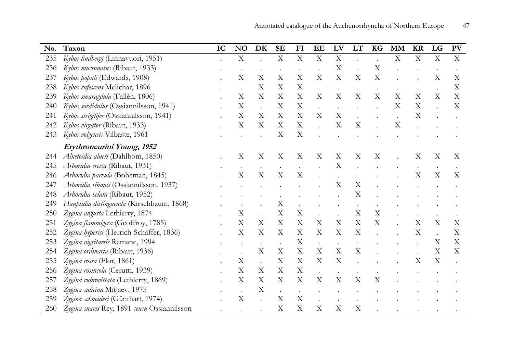| No. | Taxon                                       | IC | N <sub>O</sub>            | DK                        | <b>SE</b>                 | FI                        | EE                        | LV                        | LT                        | <b>KG</b>                 | <b>MM</b>   | <b>KR</b>                 | LG                        | PV |
|-----|---------------------------------------------|----|---------------------------|---------------------------|---------------------------|---------------------------|---------------------------|---------------------------|---------------------------|---------------------------|-------------|---------------------------|---------------------------|----|
| 235 | Kybos lindbergi (Linnavuori, 1951)          |    | $\mathbf X$               |                           | $\mathbf X$               | $\mathbf X$               | X                         | $\mathbf X$               |                           |                           | $\mathbf X$ | $\boldsymbol{\mathrm{X}}$ | $\mathbf X$               | X  |
| 236 | Kybos mucronatus (Ribaut, 1933)             |    |                           |                           |                           |                           |                           | $\mathbf X$               |                           | X                         |             |                           |                           |    |
| 237 | Kybos populi (Edwards, 1908)                |    | X                         | X                         | X                         | X                         | $\boldsymbol{\mathrm{X}}$ | X                         | $\mathbf X$               | $\boldsymbol{\mathrm{X}}$ |             |                           | X                         | X  |
| 238 | Kybos rufescens Melichar, 1896              |    |                           | X                         | X                         | X                         |                           |                           |                           |                           |             |                           |                           | X  |
| 239 | Kybos smaragdula (Fallén, 1806)             |    | X                         | X                         | $\boldsymbol{\mathrm{X}}$ | $\boldsymbol{\mathrm{X}}$ | X                         | $\boldsymbol{\mathrm{X}}$ | X                         | X                         | X           | X                         | X                         | X  |
| 240 | Kybos sordidulus (Ossiannilsson, 1941)      |    | X                         |                           | X                         | X                         |                           |                           |                           |                           | X           | X                         |                           | X  |
| 241 | Kybos strigilifer (Ossiannilsson, 1941)     |    | X                         | X                         | X                         | X                         | X                         | $\boldsymbol{\mathrm{X}}$ |                           |                           | $\bullet$   | $\boldsymbol{\mathrm{X}}$ |                           |    |
| 242 | Kybos virgator (Ribaut, 1933)               |    | X                         | X                         | X                         | $\boldsymbol{\mathrm{X}}$ |                           | X                         | X                         |                           | X           |                           |                           |    |
| 243 | Kybos volgensis Vilbaste, 1961              |    |                           |                           | X                         | X                         |                           |                           |                           |                           |             |                           |                           |    |
|     | Erythroneurini Young, 1952                  |    |                           |                           |                           |                           |                           |                           |                           |                           |             |                           |                           |    |
| 244 | Alnetoidia alneti (Dahlbom, 1850)           |    | Χ                         | $\mathbf X$               | X                         | X                         | X                         | X                         | X                         | X                         |             | X                         | X                         | X  |
| 245 | Arboridia erecta (Ribaut, 1931)             |    |                           |                           |                           |                           |                           | $\boldsymbol{\mathrm{X}}$ |                           |                           |             |                           |                           |    |
| 246 | Arboridia parvula (Boheman, 1845)           |    | $\boldsymbol{\mathrm{X}}$ | $\boldsymbol{\mathrm{X}}$ | $\boldsymbol{\mathrm{X}}$ | $\mathbf X$               |                           |                           |                           |                           |             | X                         | $\mathbf X$               | X  |
| 247 | Arboridia ribauti (Ossiannilsson, 1937)     |    |                           |                           |                           |                           |                           | $\boldsymbol{\mathrm{X}}$ | $\mathbf X$               |                           |             |                           |                           |    |
| 248 | Arboridia velata (Ribaut, 1952)             |    |                           |                           |                           |                           |                           |                           | $\boldsymbol{\mathrm{X}}$ |                           |             |                           |                           |    |
| 249 | Hauptidia distinguenda (Kirschbaum, 1868)   |    |                           |                           | $\boldsymbol{\mathrm{X}}$ |                           |                           |                           |                           |                           |             |                           |                           |    |
| 250 | Zygina angusta Lethierry, 1874              |    | X                         |                           | $\boldsymbol{\mathrm{X}}$ | $\mathbf X$               |                           |                           | $\mathbf X$               | X                         |             |                           |                           |    |
| 251 | Zygina flammigera (Geoffroy, 1785)          |    | X                         | X                         | X                         | X                         | X                         | X                         | $\mathbf X$               | X                         |             | X                         | X                         | Χ  |
| 252 | Zygina hyperici (Herrich-Schäffer, 1836)    |    | $\boldsymbol{\mathrm{X}}$ | X                         | X                         | $\boldsymbol{\mathrm{X}}$ | X                         | $\boldsymbol{\mathrm{X}}$ | $\mathbf X$               |                           |             | $\boldsymbol{\mathrm{X}}$ |                           | X  |
| 253 | Zygina nigritarsis Remane, 1994             |    |                           |                           |                           | X                         | $\ddot{\phantom{a}}$      |                           |                           |                           |             |                           | X                         | X  |
| 254 | Zygina ordinaria (Ribaut, 1936)             |    |                           | X                         | X                         | X                         | X                         | X                         | X                         |                           |             |                           | X                         | X  |
| 255 | Zygina rosea (Flor, 1861)                   |    | X                         |                           | X                         | X                         | X                         | $\boldsymbol{\mathrm{X}}$ |                           |                           |             | $\boldsymbol{\mathrm{X}}$ | $\boldsymbol{\mathrm{X}}$ |    |
| 256 | Zygina rosincola (Cerutti, 1939)            |    | $\boldsymbol{\mathrm{X}}$ | X                         | $\boldsymbol{\mathrm{X}}$ | $\boldsymbol{\mathrm{X}}$ |                           |                           |                           |                           |             |                           |                           |    |
| 257 | Zygina rubrovittata (Lethierry, 1869)       |    | $\boldsymbol{\mathrm{X}}$ | $\mathbf X$               | X                         | $\mathbf X$               | $\boldsymbol{\mathrm{X}}$ | $\mathbf X$               | $\mathbf X$               | X                         |             |                           |                           |    |
| 258 | Zygina salicina Mitjaev, 1975               |    |                           | X                         | $\ddot{\phantom{a}}$      |                           |                           |                           |                           |                           |             |                           |                           |    |
| 259 | Zygina schneideri (Günthart, 1974)          |    | X                         |                           | X                         | X                         |                           |                           |                           |                           |             |                           |                           |    |
| 260 | Zygina suavis Rey, 1891 sensu Ossiannilsson |    |                           |                           | $\boldsymbol{\mathrm{X}}$ | $\boldsymbol{\mathrm{X}}$ | $\boldsymbol{\mathrm{X}}$ | $\mathbf X$               | $\mathbf X$               |                           |             |                           |                           |    |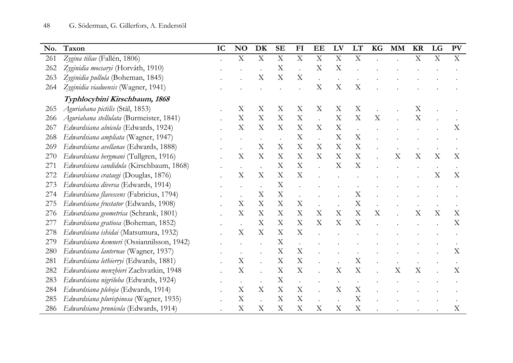| No. | Taxon                                     | IC | N <sub>O</sub>            | <b>DK</b>                 | <b>SE</b>                 | FI                        | EE                   | LV                        | LT                        | KG                        | <b>MM</b>                 | <b>KR</b>                 | LG                        | PV                        |
|-----|-------------------------------------------|----|---------------------------|---------------------------|---------------------------|---------------------------|----------------------|---------------------------|---------------------------|---------------------------|---------------------------|---------------------------|---------------------------|---------------------------|
| 261 | Zygina tiliae (Fallén, 1806)              |    | $\mathbf X$               | $\mathbf X$               | $\mathbf X$               | $\mathbf X$               | X                    | $\mathbf X$               | $\mathbf X$               |                           |                           | $\mathbf X$               | $\mathbf X$               | $\boldsymbol{\mathrm{X}}$ |
| 262 | Zyginidia mocsaryi (Horváth, 1910)        |    |                           |                           | $\mathbf X$               |                           | X                    | $\mathbf X$               |                           |                           |                           |                           |                           |                           |
| 263 | Zyginidia pullula (Boheman, 1845)         |    |                           | X                         | $\boldsymbol{\mathrm{X}}$ | X                         |                      |                           |                           |                           |                           |                           |                           |                           |
| 264 | Zyginidia viaduensis (Wagner, 1941)       |    |                           |                           |                           |                           | X                    | $\boldsymbol{\mathrm{X}}$ | X                         |                           |                           |                           |                           |                           |
|     | Typhlocybini Kirschbaum, 1868             |    |                           |                           |                           |                           |                      |                           |                           |                           |                           |                           |                           |                           |
| 265 | Aguriahana pictilis (Stål, 1853)          |    | Χ                         | X                         | X                         | X                         | X                    | X                         | X                         |                           |                           | X                         |                           |                           |
| 266 | Aguriahana stellulata (Burmeister, 1841)  |    | X                         | $\boldsymbol{\mathrm{X}}$ | $\mathbf X$               | $\boldsymbol{\mathrm{X}}$ | $\ddot{\phantom{a}}$ | $\mathbf X$               | $\boldsymbol{\mathrm{X}}$ | $\boldsymbol{\mathrm{X}}$ |                           | $\boldsymbol{\mathrm{X}}$ |                           |                           |
| 267 | Edwardsiana alnicola (Edwards, 1924)      |    | $\boldsymbol{\mathrm{X}}$ | $\mathbf X$               | $\boldsymbol{\mathrm{X}}$ | $\boldsymbol{\mathrm{X}}$ | $\mathbf X$          | $\mathbf X$               |                           |                           |                           |                           |                           | X                         |
| 268 | Edwardsiana ampliata (Wagner, 1947)       |    |                           |                           |                           | X                         |                      | $\mathbf X$               | X                         |                           |                           |                           |                           |                           |
| 269 | Edwardsiana avellanae (Edwards, 1888)     |    |                           | X                         | X                         | X                         | X                    | X                         | $\boldsymbol{\mathrm{X}}$ |                           |                           |                           |                           |                           |
| 270 | Edwardsiana bergmani (Tullgren, 1916)     |    | $\boldsymbol{\mathrm{X}}$ | X                         | $\boldsymbol{\mathrm{X}}$ | X                         | X                    | X                         | $\boldsymbol{\mathrm{X}}$ |                           | $\boldsymbol{\mathrm{X}}$ | $\boldsymbol{\mathrm{X}}$ | $\boldsymbol{\mathrm{X}}$ | X                         |
| 271 | Edwardsiana candidula (Kirschbaum, 1868)  |    |                           |                           | $\mathbf X$               | X                         |                      | $\mathbf X$               | $\mathbf X$               |                           |                           |                           |                           |                           |
| 272 | Edwardsiana crataegi (Douglas, 1876)      |    | Х                         | X                         | $\mathbf X$               | $\boldsymbol{\mathrm{X}}$ |                      |                           |                           |                           |                           |                           | X                         | X                         |
| 273 | Edwardsiana diversa (Edwards, 1914)       |    |                           |                           | $\boldsymbol{\mathrm{X}}$ |                           |                      |                           |                           |                           |                           |                           |                           |                           |
| 274 | Edwardsiana flavescens (Fabricius, 1794)  |    |                           | $\mathbf X$               | $\mathbf X$               |                           |                      |                           | $\mathbf X$               |                           |                           |                           |                           |                           |
| 275 | Edwardsiana frustator (Edwards, 1908)     |    | X                         | $\boldsymbol{\mathrm{X}}$ | $\boldsymbol{\mathrm{X}}$ | $\boldsymbol{\mathrm{X}}$ |                      |                           | $\mathbf X$               |                           |                           |                           |                           |                           |
| 276 | Edwardsiana geometrica (Schrank, 1801)    |    | X                         | X                         | X                         | X                         | X                    | X                         | X                         | X                         |                           | X                         | X                         | X                         |
| 277 | Edwardsiana gratiosa (Boheman, 1852)      |    |                           | X                         | X                         | X                         | X                    | X                         | X                         |                           |                           |                           |                           | X                         |
| 278 | Edwardsiana ishidai (Matsumura, 1932)     |    | X                         | $\boldsymbol{\mathrm{X}}$ | $\mathbf X$               | X                         |                      |                           |                           |                           |                           |                           |                           |                           |
| 279 | Edwardsiana kemneri (Ossiannilsson, 1942) |    |                           |                           | $\mathbf X$               |                           |                      |                           |                           |                           |                           |                           |                           |                           |
| 280 | Edwardsiana lanternae (Wagner, 1937)      |    |                           |                           | $\boldsymbol{\mathrm{X}}$ | $\boldsymbol{\mathrm{X}}$ |                      |                           |                           |                           |                           |                           |                           | X                         |
| 281 | Edwardsiana lethierryi (Edwards, 1881)    |    | $\boldsymbol{\mathrm{X}}$ |                           | $\boldsymbol{\mathrm{X}}$ | X                         |                      |                           | X                         |                           |                           |                           |                           |                           |
| 282 | Edwardsiana menzbieri Zachvatkin, 1948    |    | $\boldsymbol{\mathrm{X}}$ |                           | $\mathbf X$               | X                         |                      | $\boldsymbol{\mathrm{X}}$ | X                         |                           | X                         | X                         |                           | X                         |
| 283 | Edwardsiana nigriloba (Edwards, 1924)     |    |                           |                           | $\boldsymbol{\mathrm{X}}$ |                           |                      |                           |                           |                           |                           |                           |                           |                           |
| 284 | Edwardsiana plebeja (Edwards, 1914)       |    | X                         | X                         | $\mathbf X$               | $\mathbf X$               |                      | $\boldsymbol{\mathrm{X}}$ | $\mathbf X$               |                           |                           |                           |                           |                           |
| 285 | Edwardsiana plurispinosa (Wagner, 1935)   |    | X                         |                           | $\mathbf X$               | X                         |                      |                           | $\mathbf X$               |                           |                           |                           |                           |                           |
| 286 | Edwardsiana prunicola (Edwards, 1914)     |    | X                         | $\mathbf X$               | $\boldsymbol{\mathrm{X}}$ | X                         | X                    | $\mathbf X$               | $\mathbf X$               |                           |                           |                           |                           | $\mathbf X$               |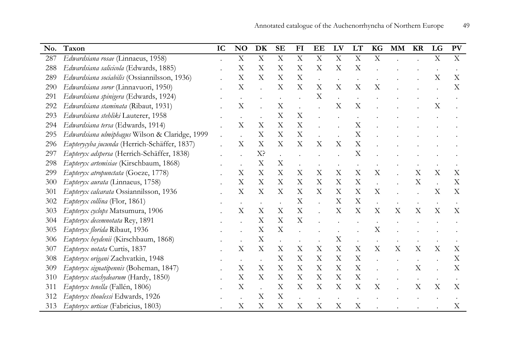| No. | Taxon                                          | IC | N <sub>O</sub>            | DK                        | <b>SE</b>                 | F <sub>I</sub>            | EE                        | LV                        | LT                        | KG                        | <b>MM</b> | <b>KR</b>                 | LG                        | PV                        |
|-----|------------------------------------------------|----|---------------------------|---------------------------|---------------------------|---------------------------|---------------------------|---------------------------|---------------------------|---------------------------|-----------|---------------------------|---------------------------|---------------------------|
| 287 | Edwardsiana rosae (Linnaeus, 1958)             |    | $\mathbf X$               | X                         | X                         | $\mathbf X$               | $\mathbf X$               | $\mathbf X$               | $\mathbf X$               | $\mathbf X$               |           |                           | $\mathbf X$               | $\mathbf X$               |
| 288 | Edwardsiana salicicola (Edwards, 1885)         |    | X                         | $\boldsymbol{\mathrm{X}}$ | X                         | $\boldsymbol{\mathrm{X}}$ | X                         | $\mathbf X$               | $\mathbf X$               |                           |           |                           |                           |                           |
| 289 | Edwardsiana sociabilis (Ossiannilsson, 1936)   |    | $\boldsymbol{\mathrm{X}}$ | X                         | X                         | $\boldsymbol{\mathrm{X}}$ |                           |                           |                           |                           |           |                           | X                         | X                         |
| 290 | Edwardsiana soror (Linnavuori, 1950)           |    | $\boldsymbol{\mathrm{X}}$ |                           | $\boldsymbol{\mathrm{X}}$ | $\mathbf X$               | X                         | $\boldsymbol{\mathrm{X}}$ | $\mathbf X$               | X                         |           |                           |                           | X                         |
| 291 | Edwardsiana spinigera (Edwards, 1924)          |    |                           |                           |                           |                           | X                         | $\ddot{\phantom{a}}$      |                           |                           |           |                           |                           |                           |
| 292 | Edwardsiana staminata (Ribaut, 1931)           |    | $\mathbf X$               |                           | X                         |                           |                           | $\boldsymbol{\mathrm{X}}$ | X                         |                           |           |                           | X                         |                           |
| 293 | Edwardsiana stehliki Lauterer, 1958            |    |                           |                           | X                         | X                         |                           |                           |                           |                           |           |                           |                           |                           |
| 294 | Edwardsiana tersa (Edwards, 1914)              |    | $\boldsymbol{\mathrm{X}}$ | $\boldsymbol{\mathrm{X}}$ | X                         | $\mathbf X$               |                           |                           | X                         |                           |           |                           |                           |                           |
| 295 | Edwardsiana ulmiphagus Wilson & Claridge, 1999 |    |                           | X                         | X                         | $\mathbf X$               |                           |                           | $\overline{X}$            |                           |           |                           |                           |                           |
| 296 | Eupterycyba jucunda (Herrich-Schäffer, 1837)   |    | $\boldsymbol{\mathrm{X}}$ | X                         | X                         | $\mathbf X$               | $\boldsymbol{\mathrm{X}}$ | $\boldsymbol{\mathrm{X}}$ | X                         |                           |           |                           |                           |                           |
| 297 | Eupteryx adspersa (Herrich-Schäffer, 1838)     |    |                           | X?                        | $\ddot{\phantom{a}}$      |                           |                           |                           | $\mathbf X$               |                           |           |                           |                           |                           |
| 298 | Eupteryx artemisiae (Kirschbaum, 1868)         |    |                           | $\mathbf X$               | $\mathbf X$               |                           |                           |                           |                           |                           |           |                           |                           |                           |
| 299 | Eupteryx atropunctata (Goeze, 1778)            |    | $\boldsymbol{\mathrm{X}}$ | $\boldsymbol{\mathrm{X}}$ | X                         | $\boldsymbol{\mathrm{X}}$ | $\boldsymbol{\mathrm{X}}$ | $\mathbf X$               | X                         | $\boldsymbol{\mathrm{X}}$ |           | $\boldsymbol{\mathrm{X}}$ | $\boldsymbol{\mathrm{X}}$ | X                         |
| 300 | Eupteryx aurata (Linnaeus, 1758)               |    | $\boldsymbol{\mathrm{X}}$ | $\boldsymbol{\mathrm{X}}$ | $\boldsymbol{\mathrm{X}}$ | $\boldsymbol{\mathrm{X}}$ | X                         | $\boldsymbol{\mathrm{X}}$ | $\mathbf X$               |                           |           | X                         |                           | $\boldsymbol{\mathrm{X}}$ |
| 301 | Eupteryx calcarata Ossiannilsson, 1936         |    | X                         | X                         | X                         | X                         | X                         | $\boldsymbol{\mathrm{X}}$ | $\mathbf X$               | X                         |           |                           | $\mathbf X$               | X                         |
| 302 | Eupteryx collina (Flor, 1861)                  |    |                           |                           |                           | $\mathbf X$               |                           | $\boldsymbol{\mathrm{X}}$ | $\boldsymbol{\mathrm{X}}$ |                           |           |                           |                           |                           |
| 303 | Eupteryx cyclops Matsumura, 1906               |    | $\boldsymbol{\mathrm{X}}$ | X                         | $\mathbf X$               | X                         |                           | $\boldsymbol{\mathrm{X}}$ | $\mathbf X$               | $\boldsymbol{\mathrm{X}}$ | X         | $\boldsymbol{\mathrm{X}}$ | $\boldsymbol{\mathrm{X}}$ | X                         |
| 304 | Eupteryx decemnotata Rey, 1891                 |    |                           | X                         | X                         | $\mathbf X$               |                           |                           |                           |                           |           |                           |                           |                           |
| 305 | Eupteryx florida Ribaut, 1936                  |    |                           | X                         | X                         |                           |                           |                           |                           | $\boldsymbol{\mathrm{X}}$ |           |                           |                           |                           |
| 306 | Eupteryx heydenii (Kirschbaum, 1868)           |    |                           | X                         |                           |                           |                           | $\boldsymbol{\mathrm{X}}$ |                           |                           |           |                           |                           |                           |
| 307 | Eupteryx notata Curtis, 1837                   |    | $\boldsymbol{\mathrm{X}}$ | $\boldsymbol{\mathrm{X}}$ | $\boldsymbol{\mathrm{X}}$ | $\mathbf X$               | X                         | $\mathbf X$               | $\boldsymbol{\mathrm{X}}$ | $\boldsymbol{\mathrm{X}}$ | X         | $\boldsymbol{\mathrm{X}}$ | $\rm X$                   | X                         |
| 308 | Eupteryx origani Zachvatkin, 1948              |    |                           |                           | $\boldsymbol{\mathrm{X}}$ | X                         | X                         | X                         | $\mathbf X$               |                           |           |                           |                           | X                         |
| 309 | Eupteryx signatipennis (Boheman, 1847)         |    | X                         | X                         | X                         | $\boldsymbol{\mathrm{X}}$ | X                         | X                         | $\mathbf X$               |                           |           | X                         |                           | X                         |
| 310 | Eupteryx stachydearum (Hardy, 1850)            |    | $\boldsymbol{\mathrm{X}}$ | X                         | X                         | X                         | X                         | $\boldsymbol{\mathrm{X}}$ | X                         |                           |           |                           |                           |                           |
| 311 | Eupteryx tenella (Fallén, 1806)                |    | $\mathbf X$               |                           | X                         | $\boldsymbol{\mathrm{X}}$ | X                         | $\boldsymbol{\mathrm{X}}$ | X                         | X                         |           | $\boldsymbol{\mathrm{X}}$ | $\boldsymbol{\mathrm{X}}$ | X                         |
| 312 | Eupteryx thoulessi Edwards, 1926               |    |                           | X                         | $\boldsymbol{\mathrm{X}}$ |                           |                           |                           |                           |                           |           |                           |                           |                           |
| 313 | Eupteryx urticae (Fabricius, 1803)             |    | $\mathbf X$               | X                         | $\boldsymbol{\mathrm{X}}$ | $\mathbf X$               | $\boldsymbol{\mathrm{X}}$ | $\mathbf X$               | $\boldsymbol{\mathrm{X}}$ |                           |           |                           |                           | $\mathbf X$               |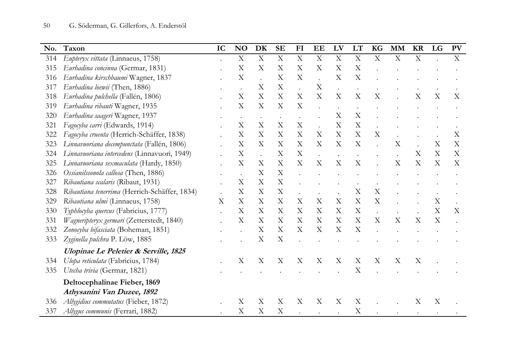| No. | Taxon                                            | IC | <b>NO</b>                 | DK                        | <b>SE</b>                 | F1                        | EE                        | LV                        | LT                        | KG                        | <b>MM</b>                 | <b>KR</b>                 | LG                        | <b>PV</b>                 |
|-----|--------------------------------------------------|----|---------------------------|---------------------------|---------------------------|---------------------------|---------------------------|---------------------------|---------------------------|---------------------------|---------------------------|---------------------------|---------------------------|---------------------------|
| 314 | Eupteryx vittata (Linnaeus, 1758)                |    | $\mathbf X$               | $\mathbf X$               | $\boldsymbol{\mathrm{X}}$ | $\overline{X}$            | $\mathbf X$               | $\mathbf X$               | $\boldsymbol{\mathrm{X}}$ | $\boldsymbol{\mathrm{X}}$ | $\mathbf X$               | $\mathbf X$               |                           | $\mathbf X$               |
| 315 | Eurhadina concinna (Germar, 1831)                |    | X                         | $\mathbf X$               | $\mathbf X$               | $\mathbf X$               | $\boldsymbol{\mathrm{X}}$ | $\mathbf X$               | $\mathbf X$               |                           |                           |                           |                           |                           |
| 316 | Eurhadina kirschbaumi Wagner, 1837               |    | X                         |                           | $\mathbf X$               | $\boldsymbol{\mathrm{X}}$ | $\ddot{\phantom{a}}$      | $\overline{X}$            | $\overline{X}$            |                           |                           |                           |                           |                           |
| 317 | Eurhadina loewii (Then, 1886)                    |    |                           | X                         | X                         |                           | X                         |                           |                           |                           |                           |                           |                           |                           |
| 318 | Eurhadina pulchella (Fallén, 1806)               |    | $\boldsymbol{\mathrm{X}}$ | X                         | X                         | X                         | X                         | X                         | X                         | X                         |                           | X                         | X                         | X                         |
| 319 | Eurhadina ribauti Wagner, 1935                   |    | X                         | X                         | X                         | X                         |                           |                           |                           |                           |                           |                           |                           |                           |
| 320 | Eurhadina saageri Wagner, 1937                   |    |                           |                           |                           |                           |                           | $\boldsymbol{\mathrm{X}}$ | $\boldsymbol{\mathrm{X}}$ |                           |                           |                           |                           |                           |
| 321 | Fagocyba carri (Edwards, 1914)                   |    | $\boldsymbol{\mathrm{X}}$ | X                         | X                         | X                         |                           | $\boldsymbol{\mathrm{X}}$ | X                         |                           |                           |                           |                           |                           |
| 322 | Fagocyba cruenta (Herrich-Schäffer, 1838)        |    | $\boldsymbol{\mathrm{X}}$ | $\boldsymbol{\mathrm{X}}$ | $\mathbf X$               | $\mathbf X$               | X                         | $\mathbf X$               | $\boldsymbol{\mathrm{X}}$ | $\mathbf X$               |                           |                           |                           | X                         |
| 323 | Linnavuoriana decempunctata (Fallén, 1806)       |    | X                         | $\boldsymbol{\mathrm{X}}$ | $\mathbf X$               | $\mathbf X$               | X                         | $\mathbf X$               | $\mathbf X$               |                           | X                         |                           | $\boldsymbol{\mathrm{X}}$ | $\boldsymbol{\mathrm{X}}$ |
| 324 | Linnavuoriana intercedens (Linnavuori, 1949)     |    | X                         |                           | $\boldsymbol{\mathrm{X}}$ | X                         |                           |                           |                           |                           |                           | X                         | X                         | X                         |
| 325 | Linnavuoriana sexmaculata (Hardy, 1850)          |    | $\boldsymbol{\mathrm{X}}$ | X                         | X                         | X                         | X                         | X                         | X                         |                           | X                         | X                         | X                         | X                         |
| 326 | Ossianilssonola callosa (Then, 1886)             |    |                           | X                         | $\boldsymbol{\mathrm{X}}$ |                           |                           |                           |                           |                           |                           |                           |                           |                           |
| 327 | Ribautiana scalaris (Ribaut, 1931)               |    | $\boldsymbol{\mathrm{X}}$ | X                         | X                         |                           |                           |                           |                           |                           |                           |                           |                           |                           |
| 328 | Ribautiana tenerrima (Herrich-Schäffer, 1834)    |    | X                         | X                         | X                         |                           |                           |                           | X                         | X                         |                           |                           |                           |                           |
| 329 | Ribautiana ulmi (Linnaeus, 1758)                 | X  | $\boldsymbol{\mathrm{X}}$ | X                         | $\mathbf X$               | $\boldsymbol{\mathrm{X}}$ | X                         | $\mathbf X$               | $\mathbf X$               | X                         |                           |                           | $\mathbf X$               |                           |
| 330 | Typhlocyba quercus (Fabricius, 1777)             |    | $\boldsymbol{\mathrm{X}}$ | $\mathbf X$               | $\boldsymbol{\mathrm{X}}$ | $\mathbf X$               | $\mathbf X$               | $\boldsymbol{\mathrm{X}}$ | $\mathbf X$               |                           |                           |                           | X                         | X                         |
| 331 | Wagneripteryx germari (Zetterstedt, 1840)        |    | $\boldsymbol{\mathrm{X}}$ | $\boldsymbol{\mathrm{X}}$ | $\mathbf X$               | $\boldsymbol{\mathrm{X}}$ | X                         | $\boldsymbol{\mathrm{X}}$ | $\mathbf X$               | $\boldsymbol{\mathrm{X}}$ | $\boldsymbol{\mathrm{X}}$ | $\boldsymbol{\mathrm{X}}$ | X                         |                           |
| 332 | Zonocyba bifasciata (Boheman, 1851)              |    |                           | $\boldsymbol{\mathrm{X}}$ | $\boldsymbol{\mathrm{X}}$ | X                         | X                         | $\boldsymbol{\mathrm{X}}$ | X                         |                           |                           |                           |                           |                           |
| 333 | Zyginella pulchra P. Löw, 1885                   |    |                           | $\boldsymbol{\mathrm{X}}$ | $\mathbf X$               |                           |                           |                           |                           |                           |                           |                           |                           |                           |
|     | <b>Ulopinae Le Peletier &amp; Serville, 1825</b> |    |                           |                           |                           |                           |                           |                           |                           |                           |                           |                           |                           |                           |
| 334 | Ulopa reticulata (Fabricius, 1784)               |    | $\boldsymbol{\mathrm{X}}$ | X                         | X                         | X                         | X                         | X                         | X                         | X                         | X                         | X                         |                           |                           |
| 335 | Utecha trivia (Germar, 1821)                     |    |                           |                           |                           |                           |                           |                           | $\overline{X}$            |                           |                           |                           |                           |                           |
|     | Deltocephalinae Fieber, 1869                     |    |                           |                           |                           |                           |                           |                           |                           |                           |                           |                           |                           |                           |
|     | Athysanini Van Duzee, 1892                       |    |                           |                           |                           |                           |                           |                           |                           |                           |                           |                           |                           |                           |
| 336 | Allygidius commutatus (Fieber, 1872)             |    | X                         | X                         | X                         | X                         | X                         | X                         | X                         |                           |                           | X                         | X                         |                           |
| 337 | Allygus communis (Ferrari, 1882)                 |    | X                         | X                         | X                         |                           |                           |                           | X                         |                           |                           |                           |                           |                           |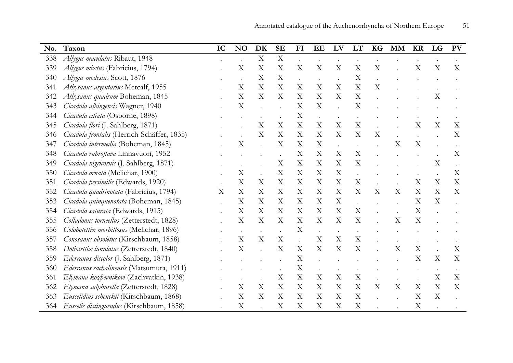| No. | Taxon                                       | IC | N <sub>O</sub>            | DK                        | <b>SE</b>                 | FI                        | EE                        | LV                        | LT                        | KG                        | <b>MM</b>                 | <b>KR</b>                 | LG                        | <b>PV</b>                 |
|-----|---------------------------------------------|----|---------------------------|---------------------------|---------------------------|---------------------------|---------------------------|---------------------------|---------------------------|---------------------------|---------------------------|---------------------------|---------------------------|---------------------------|
| 338 | Allygus maculatus Ribaut, 1948              |    |                           | $\boldsymbol{\mathrm{X}}$ | X                         |                           |                           |                           |                           |                           |                           |                           |                           |                           |
| 339 | Allygus mixtus (Fabricius, 1794)            |    | X                         | X                         | $\boldsymbol{\mathrm{X}}$ | X                         | $\boldsymbol{\mathrm{X}}$ | X                         | $\boldsymbol{\mathrm{X}}$ | $\boldsymbol{\mathrm{X}}$ |                           | X                         | X                         | X                         |
| 340 | Allygus modestus Scott, 1876                |    |                           | X                         | $\boldsymbol{\mathrm{X}}$ |                           |                           |                           | $\mathbf X$               |                           |                           |                           |                           |                           |
| 341 | Athysanus argentarius Metcalf, 1955         |    | $\boldsymbol{\mathrm{X}}$ | X                         | $\boldsymbol{\mathrm{X}}$ | $\boldsymbol{\mathrm{X}}$ | $\boldsymbol{\mathrm{X}}$ | $\boldsymbol{\mathrm{X}}$ | $\boldsymbol{\mathrm{X}}$ | $\boldsymbol{\mathrm{X}}$ |                           |                           |                           |                           |
| 342 | Athysanus quadrum Boheman, 1845             |    | X                         | X                         | X                         | X                         | X                         | X                         | $\mathbf X$               |                           |                           |                           | $\boldsymbol{\mathrm{X}}$ |                           |
| 343 | Cicadula albingensis Wagner, 1940           |    | X                         |                           |                           | $\boldsymbol{\mathrm{X}}$ | X                         |                           | $\mathbf X$               |                           |                           |                           |                           |                           |
| 344 | Cicadula ciliata (Osborne, 1898)            |    |                           |                           |                           | $\mathbf X$               | $\ddot{\phantom{0}}$      |                           |                           |                           |                           |                           |                           |                           |
| 345 | Cicadula flori (J. Sahlberg, 1871)          |    |                           | X                         | X                         | $\mathbf X$               | $\boldsymbol{\mathrm{X}}$ | $\boldsymbol{\mathrm{X}}$ | $\mathbf X$               |                           |                           | X                         | X                         | X                         |
| 346 | Cicadula frontalis (Herrich-Schäffer, 1835) |    |                           | X                         | X                         | X                         | X                         | X                         | X                         | X                         |                           |                           |                           | X                         |
| 347 | Cicadula intermedia (Boheman, 1845)         |    | $\boldsymbol{\mathrm{X}}$ |                           | X                         | X                         | $\boldsymbol{\mathrm{X}}$ |                           |                           |                           | X                         | X                         |                           |                           |
| 348 | Cicadula rubroflava Linnavuori, 1952        |    |                           |                           |                           | X                         | $\boldsymbol{\mathrm{X}}$ | $\boldsymbol{\mathrm{X}}$ | $\boldsymbol{\mathrm{X}}$ |                           |                           |                           |                           | X                         |
| 349 | Cicadula nigricornis (J. Sahlberg, 1871)    |    |                           |                           | X                         | X                         | X                         | X                         | $\boldsymbol{\mathrm{X}}$ |                           |                           |                           | X                         |                           |
| 350 | Cicadula ornata (Melichar, 1900)            |    | $\boldsymbol{\mathrm{X}}$ |                           | $\mathbf X$               | $\boldsymbol{\mathrm{X}}$ | X                         | X                         |                           |                           |                           |                           |                           | $\boldsymbol{\mathrm{X}}$ |
| 351 | Cicadula persimilis (Edwards, 1920)         |    | $\boldsymbol{\mathrm{X}}$ | X                         | $\boldsymbol{\mathrm{X}}$ | $\boldsymbol{\mathrm{X}}$ | X                         | $\boldsymbol{\mathrm{X}}$ | $\mathbf X$               |                           |                           | X                         | $\boldsymbol{\mathrm{X}}$ | X                         |
| 352 | Cicadula quadrinotata (Fabricius, 1794)     | X  | X                         | X                         | $\mathbf X$               | $\boldsymbol{\mathrm{X}}$ | X                         | X                         | $\mathbf X$               | $\boldsymbol{\mathrm{X}}$ | $\boldsymbol{\mathrm{X}}$ | X                         | X                         | X                         |
| 353 | Cicadula quinquenotata (Boheman, 1845)      |    | X                         | $\boldsymbol{\mathrm{X}}$ | $\mathbf X$               | $\boldsymbol{\mathrm{X}}$ | $\boldsymbol{\mathrm{X}}$ | $\mathbf X$               |                           |                           |                           | X                         | $\boldsymbol{\mathrm{X}}$ |                           |
| 354 | Cicadula saturata (Edwards, 1915)           |    | $\boldsymbol{\mathrm{X}}$ | X                         | $\mathbf X$               | $\mathbf X$               | X                         | $\boldsymbol{\mathrm{X}}$ | $\mathbf X$               |                           |                           | X                         |                           |                           |
| 355 | Colladonus torneellus (Zetterstedt, 1828)   |    | $\boldsymbol{\mathrm{X}}$ | X                         | X                         | X                         | X                         | X                         | X                         |                           | $\boldsymbol{\mathrm{X}}$ | X                         |                           |                           |
| 356 | Colobotettix morbillosus (Melichar, 1896)   |    |                           |                           | $\ddot{\phantom{0}}$      | X                         |                           |                           |                           |                           |                           |                           |                           |                           |
| 357 | Conosanus obsoletus (Kirschbaum, 1858)      |    | $\boldsymbol{\mathrm{X}}$ | X                         | $\boldsymbol{\mathrm{X}}$ |                           | X                         | X                         | $\mathbf X$               |                           |                           |                           |                           |                           |
| 358 | Doliotettix lunulatus (Zetterstedt, 1840)   |    | X                         |                           | X                         | $\boldsymbol{\mathrm{X}}$ | $\boldsymbol{\mathrm{X}}$ | $\boldsymbol{\mathrm{X}}$ | $\mathbf X$               |                           | X                         | X                         |                           | X                         |
| 359 | Ederranus discolor (J. Sahlberg, 1871)      |    |                           |                           |                           | X                         |                           |                           |                           |                           |                           | X                         | X                         | X                         |
| 360 | Ederranus sachalinensis (Matsumura, 1911)   |    |                           |                           |                           | X                         |                           |                           |                           |                           |                           |                           |                           |                           |
| 361 | Elymana kozhevnikovi (Zachvatkin, 1938)     |    |                           |                           | $\mathbf X$               | $\mathbf X$               | $\boldsymbol{\mathrm{X}}$ | $\boldsymbol{\mathrm{X}}$ | $\mathbf X$               |                           |                           |                           | $\boldsymbol{\mathrm{X}}$ | $\boldsymbol{\mathrm{X}}$ |
| 362 | Elymana sulphurella (Zetterstedt, 1828)     |    | $\boldsymbol{\mathrm{X}}$ | X                         | $\mathbf X$               | $\mathbf X$               | $\boldsymbol{\mathrm{X}}$ | $\boldsymbol{\mathrm{X}}$ | $\mathbf X$               | $\boldsymbol{\mathrm{X}}$ | X                         | $\boldsymbol{\mathrm{X}}$ | $\mathbf X$               | X                         |
| 363 | Euscelidius schenckii (Kirschbaum, 1868)    |    | X                         | X                         | X                         | X                         | X                         | X                         | $\boldsymbol{\mathrm{X}}$ |                           |                           | X                         | X                         |                           |
| 364 | Euscelis distinguendus (Kirschbaum, 1858)   |    | $\boldsymbol{\mathrm{X}}$ |                           | $\boldsymbol{\mathrm{X}}$ | X                         | X                         | X                         | $\mathbf X$               |                           |                           | $\boldsymbol{\mathrm{X}}$ |                           |                           |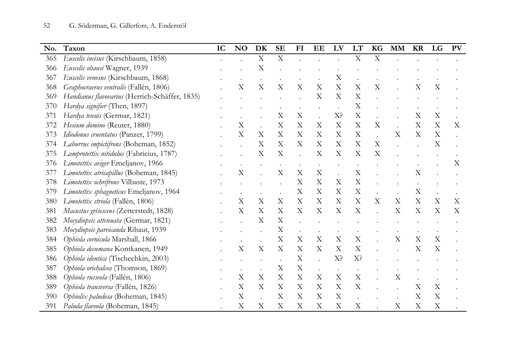| No. | Taxon                                          | IC | NO                        | DK                        | <b>SE</b>                 | FI                        | EE                        | LV                        | LT                        | KG                        | <b>MM</b> | <b>KR</b>                 | LG                        | <b>PV</b> |
|-----|------------------------------------------------|----|---------------------------|---------------------------|---------------------------|---------------------------|---------------------------|---------------------------|---------------------------|---------------------------|-----------|---------------------------|---------------------------|-----------|
| 365 | Euscelis incisus (Kirschbaum, 1858)            |    |                           | $\mathbf X$               | $\boldsymbol{\mathrm{X}}$ |                           |                           |                           | $\boldsymbol{\mathrm{X}}$ | $\mathbf X$               |           |                           |                           |           |
| 366 | Euscelis ohausi Wagner, 1939                   |    |                           | X                         |                           |                           |                           |                           |                           |                           |           |                           |                           |           |
| 367 | Euscelis venosus (Kirschbaum, 1868)            |    |                           |                           |                           |                           |                           | $\boldsymbol{\mathrm{X}}$ |                           |                           |           |                           |                           |           |
| 368 | Graphocraerus ventralis (Fallén, 1806)         |    | $\rm X$                   | X                         | X                         | $\boldsymbol{\mathrm{X}}$ | X                         | $\boldsymbol{\mathrm{X}}$ | X                         | X                         |           | X                         | X                         |           |
| 369 | Handianus flavovarius (Herrich-Schäffer, 1835) |    |                           |                           |                           |                           | X                         | $\boldsymbol{\mathrm{X}}$ | $\boldsymbol{\mathrm{X}}$ |                           |           |                           |                           |           |
| 370 | Hardya signifier (Then, 1897)                  |    |                           |                           |                           |                           |                           |                           | X                         |                           |           |                           |                           |           |
| 371 | Hardya tenuis (Germar, 1821)                   |    |                           |                           | X                         | $\boldsymbol{\mathrm{X}}$ |                           | X?                        | $\boldsymbol{\mathrm{X}}$ |                           |           | $\boldsymbol{\mathrm{X}}$ | $\boldsymbol{\mathrm{X}}$ |           |
| 372 | Hesium domino (Reuter, 1880)                   |    | $\mathbf X$               |                           | X                         | X                         | X                         | X                         | X                         | X                         |           | X                         | X                         | X         |
| 373 | Idiodonus cruentatus (Panzer, 1799)            |    | X                         | X                         | X                         | X                         | X                         | $\boldsymbol{\mathrm{X}}$ | X                         |                           | X         | $\boldsymbol{\mathrm{X}}$ | X                         |           |
| 374 | Laburrus impictifrons (Boheman, 1852)          |    |                           | X                         | $\boldsymbol{\mathrm{X}}$ | $\boldsymbol{\mathrm{X}}$ | X                         | $\boldsymbol{\mathrm{X}}$ | $\boldsymbol{\mathrm{X}}$ | $\boldsymbol{\mathrm{X}}$ |           |                           | X                         |           |
| 375 | Lamprotettix nitidulus (Fabricius, 1787)       |    |                           | X                         | X                         |                           | $\boldsymbol{\mathrm{X}}$ | $\boldsymbol{\mathrm{X}}$ | X                         | X                         |           |                           |                           |           |
| 376 | Limotettix aviger Emeljanov, 1966              |    |                           |                           |                           |                           |                           |                           |                           |                           |           |                           |                           | X         |
| 377 | Limotettix atricapillus (Boheman, 1845)        |    | $\boldsymbol{\mathrm{X}}$ |                           | X                         | $\boldsymbol{\mathrm{X}}$ | X                         |                           | X                         |                           |           | X                         |                           |           |
| 378 | Limotettix ochrifrons Vilbaste, 1973           |    |                           |                           |                           | X                         | X                         | $\boldsymbol{\mathrm{X}}$ | X                         |                           |           |                           |                           |           |
| 379 | Limotettix sphagneticus Emeljanov, 1964        |    |                           |                           |                           | X                         | X                         | X                         | $\boldsymbol{\mathrm{X}}$ |                           |           | $\mathbf X$               |                           |           |
| 380 | Limotettix striola (Fallén, 1806)              |    | $\boldsymbol{\mathrm{X}}$ | X                         | X                         | X                         | X                         | X                         | X                         | X                         | X         | X                         | X                         | X         |
| 381 | Macustus grisescens (Zetterstedt, 1828)        |    | $\boldsymbol{\mathrm{X}}$ | X                         | X                         | X                         | X                         | X                         | $\rm\overline{X}$         |                           | X         | X                         | X                         | X         |
| 382 | Mocydiopsis attenuata (Germar, 1821)           |    |                           | X                         | X                         |                           |                           |                           |                           |                           |           |                           |                           |           |
| 383 | Mocydiopsis parvicauda Ribaut, 1939            |    |                           |                           | X                         |                           |                           |                           |                           |                           |           |                           |                           |           |
| 384 | Ophiola cornicula Marshall, 1866               |    |                           |                           | $\boldsymbol{\mathrm{X}}$ | X                         | X                         | $\boldsymbol{\mathrm{X}}$ | X                         |                           | X         | X                         | X                         |           |
| 385 | Ophiola decumana Kontkanen, 1949               |    | $\boldsymbol{\mathrm{X}}$ | $\boldsymbol{\mathrm{X}}$ | X                         | $\boldsymbol{\mathrm{X}}$ | $\boldsymbol{\mathrm{X}}$ | $\boldsymbol{\mathrm{X}}$ | X                         |                           |           | $\boldsymbol{\mathrm{X}}$ | X                         |           |
| 386 | Ophiola identica (Tischechkin, 2003)           |    |                           |                           |                           | $\boldsymbol{\mathrm{X}}$ |                           | $X$ ?                     | X?                        |                           |           |                           |                           |           |
| 387 | Ophiola orichalcea (Thomson, 1869)             |    |                           |                           | X                         | $\boldsymbol{\mathrm{X}}$ |                           | $\bullet$                 |                           |                           |           |                           |                           |           |
| 388 | Ophiola russeola (Fallén, 1806)                |    | $\boldsymbol{\mathrm{X}}$ | X                         | X                         | X                         | X                         | X                         | $\boldsymbol{\mathrm{X}}$ |                           | $\rm X$   |                           |                           |           |
| 389 | Ophiola transversa (Fallén, 1826)              |    | X                         | X                         | X                         | $\boldsymbol{\mathrm{X}}$ | X                         | X                         | $\boldsymbol{\mathrm{X}}$ |                           |           | $\boldsymbol{\mathrm{X}}$ | $\boldsymbol{\mathrm{X}}$ |           |
| 390 | Ophiolix paludosa (Boheman, 1845)              |    | $\mathbf X$               |                           | $\boldsymbol{\mathrm{X}}$ | $\boldsymbol{\mathrm{X}}$ | X                         | $\mathbf X$               |                           |                           |           | $\mathbf X$               | $\mathbf X$               |           |
| 391 | Paluda flaveola (Boheman, 1845)                |    | X                         | X                         | $\boldsymbol{\mathrm{X}}$ | X                         | X                         | $\boldsymbol{\mathrm{X}}$ | $\boldsymbol{\mathrm{X}}$ |                           | Χ         | $\mathbf X$               | $\mathbf X$               |           |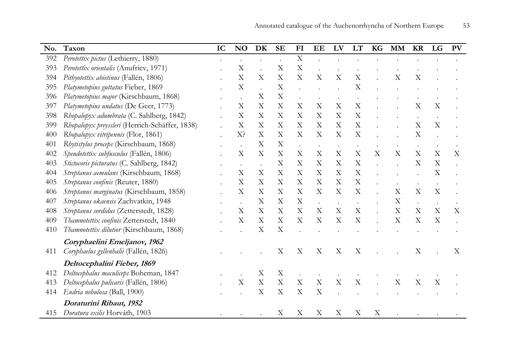| No. | Taxon                                          | IC | <b>NO</b>                 | DK                        | <b>SE</b>                 | FI                        | EE                        | LV                        | LT                        | KG                        | <b>MM</b>                 | <b>KR</b>                 | LG                        | <b>PV</b> |
|-----|------------------------------------------------|----|---------------------------|---------------------------|---------------------------|---------------------------|---------------------------|---------------------------|---------------------------|---------------------------|---------------------------|---------------------------|---------------------------|-----------|
| 392 | Perotettix pictus (Lethierry, 1880)            |    |                           |                           |                           | $\boldsymbol{\mathrm{X}}$ |                           |                           |                           |                           |                           |                           |                           |           |
| 393 | Perotettix orientalis (Anufriev, 1971)         |    | X                         |                           | X                         | X                         |                           |                           |                           |                           |                           |                           |                           |           |
| 394 | Pithyotettix abietinus (Fallén, 1806)          |    | X                         | X                         | X                         | X                         | $\boldsymbol{\mathrm{X}}$ | X                         | $\boldsymbol{\mathrm{X}}$ |                           | X                         | X                         |                           |           |
| 395 | Platymetopius guttatus Fieber, 1869            |    | $\boldsymbol{\mathrm{X}}$ | $\ddot{\phantom{a}}$      | X                         |                           |                           |                           | $\rm X$                   |                           |                           |                           |                           |           |
| 396 | Platymetopius major (Kirschbaum, 1868)         |    |                           | $\boldsymbol{\mathrm{X}}$ | X                         |                           |                           |                           |                           |                           |                           |                           |                           |           |
| 397 | Platymetopius undatus (De Geer, 1773)          |    | X                         | X                         | X                         | X                         | X                         | $\boldsymbol{\mathrm{X}}$ | X                         |                           |                           | X                         | X                         |           |
| 398 | Rhopalopyx adumbrata (C. Sahlberg, 1842)       |    | X                         | X                         | X                         | X                         | X                         | X                         | X                         |                           |                           |                           |                           |           |
| 399 | Rhopalopyx preyssleri (Herrich-Schäffer, 1838) |    | X                         | X                         | X                         | X                         | X                         | X                         | X                         |                           |                           | X                         | X                         |           |
| 400 | Rhopalopyx vitripennis (Flor, 1861)            |    | X <sup>2</sup>            | X                         | X                         | X                         | X                         | X                         | X                         |                           |                           | X                         |                           |           |
| 401 | Rhytistylus proceps (Kirschbaum, 1868)         |    |                           | X                         | X                         |                           |                           |                           |                           |                           |                           |                           |                           |           |
| 402 | Speudotettix subfusculus (Fallén, 1806)        |    | Х                         | $\boldsymbol{\mathrm{X}}$ | X                         | X                         | $\boldsymbol{\mathrm{X}}$ | X                         | X                         | $\boldsymbol{\mathrm{X}}$ | $\boldsymbol{\mathrm{X}}$ | X                         | $\boldsymbol{\mathrm{X}}$ | X         |
| 403 | Stictocoris picturatus (C. Sahlberg, 1842)     |    |                           | $\ddot{\phantom{a}}$      | X                         | X                         | $\boldsymbol{\mathrm{X}}$ | $\boldsymbol{\mathrm{X}}$ | $\boldsymbol{\mathrm{X}}$ |                           |                           | X                         | $\boldsymbol{\mathrm{X}}$ |           |
| 404 | Streptanus aemulans (Kirschbaum, 1868)         |    | X                         | $\boldsymbol{\mathrm{X}}$ | X                         | X                         | $\boldsymbol{\mathrm{X}}$ | $\boldsymbol{\mathrm{X}}$ | X                         |                           |                           |                           | X                         |           |
| 405 | Streptanus confinis (Reuter, 1880)             |    | X                         | $\mathbf X$               | $\boldsymbol{\mathrm{X}}$ | $\boldsymbol{\mathrm{X}}$ | $\boldsymbol{\mathrm{X}}$ | $\mathbf X$               | X                         |                           |                           |                           |                           |           |
| 406 | Streptanus marginatus (Kirschbaum, 1858)       |    | X                         | X                         | X                         | X                         | $\boldsymbol{\mathrm{X}}$ | X                         | $\boldsymbol{\mathrm{X}}$ |                           | $\boldsymbol{\mathrm{X}}$ | $\boldsymbol{\mathrm{X}}$ | $\boldsymbol{\mathrm{X}}$ |           |
| 407 | Streptanus okaensis Zachvatkin, 1948           |    |                           | X                         | X                         | $\boldsymbol{\mathrm{X}}$ | $\ddot{\phantom{0}}$      |                           |                           |                           | $\mathbf X$               |                           |                           |           |
| 408 | Streptanus sordidus (Zetterstedt, 1828)        |    | X                         | X                         | X                         | X                         | X                         | X                         | X                         |                           | X                         | X                         | X                         | X         |
| 409 | Thamnotettix confinis Zetterstedt, 1840        |    | X                         | $\boldsymbol{\mathrm{X}}$ | $\mathbf X$               | X                         | $\boldsymbol{\mathrm{X}}$ | X                         | X                         |                           | $\boldsymbol{\mathrm{X}}$ | X                         | $\boldsymbol{\mathrm{X}}$ |           |
| 410 | Thamnotettix dilutior (Kirschbaum, 1868)       |    |                           | X                         | X                         |                           |                           |                           |                           |                           |                           |                           |                           |           |
|     | Coryphaelini Emeljanov, 1962                   |    |                           |                           |                           |                           |                           |                           |                           |                           |                           |                           |                           |           |
| 411 | Coryphaelus gyllenhalii (Fallén, 1826)         |    |                           |                           | X                         | $\boldsymbol{\mathrm{X}}$ | X                         | X                         | X                         |                           |                           | X                         |                           | X         |
|     | Deltocephalini Fieber, 1869                    |    |                           |                           |                           |                           |                           |                           |                           |                           |                           |                           |                           |           |
| 412 | Deltocephalus maculiceps Boheman, 1847         |    |                           | $\boldsymbol{\mathrm{X}}$ | X                         |                           |                           |                           |                           |                           |                           |                           |                           |           |
| 413 | Deltocephalus pulicaris (Fallén, 1806)         |    | $\boldsymbol{\mathrm{X}}$ | $\boldsymbol{\mathrm{X}}$ | X                         | X                         | X                         | X                         | $\rm X$                   |                           | $\boldsymbol{\mathrm{X}}$ | X                         | $\boldsymbol{\mathrm{X}}$ |           |
| 414 | Endria nebulosa (Ball, 1900)                   |    |                           | $\boldsymbol{\mathrm{X}}$ | X                         | X                         | $\mathbf X$               |                           |                           |                           |                           |                           |                           |           |
|     | Doraturini Ribaut, 1952                        |    |                           |                           |                           |                           |                           |                           |                           |                           |                           |                           |                           |           |
| 415 | Doratura exilis Horváth, 1903                  |    |                           |                           | X                         | X                         | $\boldsymbol{\mathrm{X}}$ | X                         | X                         | $\boldsymbol{\mathrm{X}}$ |                           |                           |                           |           |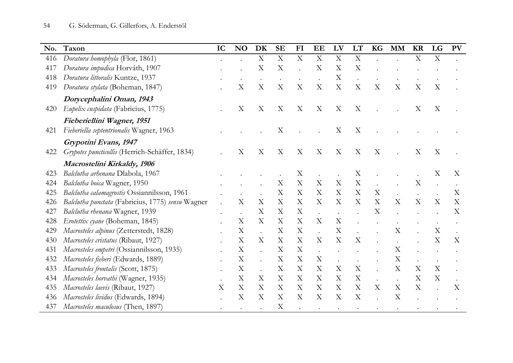| No. | Taxon                                             | IC | <b>NO</b> | DK                        | <b>SE</b>                 | FI                        | EE                        | LV                        | LT                        | <b>KG</b>                 | <b>MM</b>                 | <b>KR</b>                 | LG                        | <b>PV</b> |
|-----|---------------------------------------------------|----|-----------|---------------------------|---------------------------|---------------------------|---------------------------|---------------------------|---------------------------|---------------------------|---------------------------|---------------------------|---------------------------|-----------|
| 416 | Doratura homophyla (Flor, 1861)                   |    |           | $\boldsymbol{\mathrm{X}}$ | $\boldsymbol{\mathrm{X}}$ | $\boldsymbol{\mathrm{X}}$ | $\boldsymbol{\mathrm{X}}$ | $\mathbf X$               | X                         |                           |                           | $\mathbf X$               | $\boldsymbol{\mathrm{X}}$ |           |
| 417 | Doratura impudica Horváth, 1907                   |    |           | X                         | X                         |                           | X                         | X                         | X                         |                           |                           |                           |                           |           |
| 418 | Doratura littoralis Kuntze, 1937                  |    |           |                           |                           |                           |                           | $\boldsymbol{\mathrm{X}}$ |                           |                           |                           |                           |                           |           |
| 419 | Doratura stylata (Boheman, 1847)                  |    | X         | X                         | X                         | X                         | X                         | $\rm X$                   | X                         | X                         | X                         | X                         | X                         |           |
|     | Dorycephalini Oman, 1943                          |    |           |                           |                           |                           |                           |                           |                           |                           |                           |                           |                           |           |
| 420 | Eupelix cuspidata (Fabricius, 1775)               |    | X         | X                         | X                         | X                         | X                         | X                         | X                         |                           |                           | X                         | X                         |           |
|     | Fieberiellini Wagner, 1951                        |    |           |                           |                           |                           |                           |                           |                           |                           |                           |                           |                           |           |
| 421 | Fieberiella septentrionalis Wagner, 1963          |    |           |                           | $\boldsymbol{\mathrm{X}}$ |                           |                           | X                         | X                         |                           |                           |                           |                           |           |
|     | Grypotini Evans, 1947                             |    |           |                           |                           |                           |                           |                           |                           |                           |                           |                           |                           |           |
| 422 | Grypotes puncticollis (Herrich-Schäffer, 1834)    |    | X         | X                         | X                         | X                         | X                         | X                         | X                         | X                         |                           | X                         | X                         |           |
|     | Macrostelini Kirkaldy, 1906                       |    |           |                           |                           |                           |                           |                           |                           |                           |                           |                           |                           |           |
| 423 | Balclutha arhenana Dlabola, 1967                  |    |           |                           |                           | Χ                         |                           |                           | X                         |                           |                           |                           | X                         | Χ         |
| 424 | Balclutha boica Wagner, 1950                      |    |           |                           | $\boldsymbol{\mathrm{X}}$ | X                         | X                         | $\boldsymbol{\mathrm{X}}$ | X                         |                           |                           | $\mathbf X$               |                           |           |
| 425 | Balclutha calamagrostis Ossiannilsson, 1961       |    |           |                           | $\boldsymbol{\mathrm{X}}$ | X                         | X                         | X                         | $\boldsymbol{\mathrm{X}}$ | $\boldsymbol{\mathrm{X}}$ |                           |                           |                           | X         |
| 426 | Balclutha punctata (Fabricius, 1775) sensu Wagner |    | X         | X                         | $\boldsymbol{\mathrm{X}}$ | X                         | X                         | $\boldsymbol{\mathrm{X}}$ | $\boldsymbol{\mathrm{X}}$ | X                         | X                         | $\boldsymbol{\mathrm{X}}$ | X                         | X         |
| 427 | Balclutha rhenana Wagner, 1939                    |    |           | X                         | X                         | X                         |                           |                           |                           | X                         |                           |                           |                           | X         |
| 428 | Erotettix cyane (Boheman, 1845)                   |    | X         | X                         | X                         | X                         | X                         | $\boldsymbol{\mathrm{X}}$ |                           |                           |                           |                           |                           |           |
| 429 | Macrosteles alpinus (Zetterstedt, 1828)           |    | X         |                           | X                         | X                         |                           | X                         |                           |                           | X                         |                           | X                         |           |
| 430 | Macrosteles cristatus (Ribaut, 1927)              |    | Χ         | X                         | X                         | X                         | X                         | X                         | X                         |                           |                           |                           | X                         | X         |
| 431 | Macrosteles empetri (Ossiannilsson, 1935)         |    | X         |                           | X                         | X                         |                           |                           |                           |                           | X                         |                           |                           |           |
| 432 | Macrosteles fieberi (Edwards, 1889)               |    | X         |                           | $\boldsymbol{\mathrm{X}}$ | X                         | X                         | $\bullet$                 |                           |                           | $\boldsymbol{\mathrm{X}}$ |                           |                           |           |
| 433 | Macrosteles frontalis (Scott, 1875)               |    | X         |                           | $\boldsymbol{\mathrm{X}}$ | X                         | X                         | X                         | X                         |                           | X                         | X                         | X                         |           |
| 434 | Macrosteles horvathi (Wagner, 1935)               |    | X         | X                         | X                         | X                         | X                         | X                         | X                         |                           |                           | $\rm X$                   | X                         |           |
| 435 | Macrosteles laevis (Ribaut, 1927)                 | X  | X         | X                         | $\boldsymbol{\mathrm{X}}$ | X                         | X                         | $\boldsymbol{\mathrm{X}}$ | X                         | X                         | X                         | X                         |                           | X         |
| 436 | Macrosteles lividus (Edwards, 1894)               |    | X         | X                         | $\boldsymbol{\mathrm{X}}$ | X                         | X                         | X                         | X                         |                           | X                         |                           |                           |           |
| 437 | Macrosteles maculosus (Then, 1897)                |    |           |                           | $\boldsymbol{\mathrm{X}}$ |                           |                           |                           |                           |                           |                           |                           |                           |           |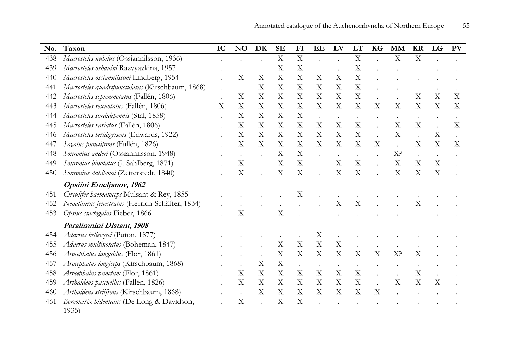| No. | Taxon                                                | IC | N <sub>O</sub>            | DK | <b>SE</b>                 | FI                        | EE                        | LV                        | LT                        | <b>KG</b>   | <b>MM</b>                 | <b>KR</b>   | LG                        | <b>PV</b> |
|-----|------------------------------------------------------|----|---------------------------|----|---------------------------|---------------------------|---------------------------|---------------------------|---------------------------|-------------|---------------------------|-------------|---------------------------|-----------|
| 438 | Macrosteles nubilus (Ossiannilsson, 1936)            |    |                           |    | $\boldsymbol{\mathrm{X}}$ | X                         |                           | $\cdot$                   | $\mathbf X$               |             | X                         | $\mathbf X$ |                           |           |
| 439 | Macrosteles oshanini Razvyazkina, 1957               |    |                           |    | $\boldsymbol{\mathrm{X}}$ | X                         |                           |                           | $\boldsymbol{\mathrm{X}}$ |             |                           |             |                           |           |
| 440 | Macrosteles ossiannilssoni Lindberg, 1954            |    | X                         | X  | X                         | X                         | X                         | X                         | X                         |             |                           |             |                           |           |
| 441 | Macrosteles quadripunctulatus (Kirschbaum, 1868)     |    |                           | X  | X                         | X                         | X                         | X                         | X                         |             |                           |             |                           |           |
| 442 | Macrosteles septemnotatus (Fallén, 1806)             |    | $\boldsymbol{\mathrm{X}}$ | X  | X                         | X                         | X                         | $\boldsymbol{\mathrm{X}}$ | $\boldsymbol{\mathrm{X}}$ |             |                           | X           | X                         | X         |
| 443 | Macrosteles sexnotatus (Fallén, 1806)                | X  | X                         | X  | X                         | X                         | X                         | X                         | X                         | X           | X                         | X           | X                         | X         |
| 444 | Macrosteles sordidipennis (Stål, 1858)               |    | $\boldsymbol{\mathrm{X}}$ | X  | X                         | X                         | $\ddot{\phantom{a}}$      | $\bullet$                 |                           |             | $\bullet$                 | $\bullet$   |                           | $\bullet$ |
| 445 | Macrosteles variatus (Fallén, 1806)                  |    | $\boldsymbol{\mathrm{X}}$ | X  | $\boldsymbol{\mathrm{X}}$ | $\boldsymbol{\mathrm{X}}$ | $\boldsymbol{\mathrm{X}}$ | $\boldsymbol{\mathrm{X}}$ | X                         |             | $\boldsymbol{\mathrm{X}}$ | X           |                           | X         |
| 446 | Macrosteles viridigriseus (Edwards, 1922)            |    | $\boldsymbol{\mathrm{X}}$ | X  | $\boldsymbol{\mathrm{X}}$ | X                         | X                         | $\boldsymbol{\mathrm{X}}$ | $\boldsymbol{\mathrm{X}}$ |             | $\boldsymbol{\mathrm{X}}$ |             | X                         |           |
| 447 | Sagatus punctifrons (Fallén, 1826)                   |    | X                         | X  | $\boldsymbol{\mathrm{X}}$ | X                         | $\boldsymbol{\mathrm{X}}$ | $\boldsymbol{\mathrm{X}}$ | X                         | X           |                           | X           | X                         | X         |
| 448 | Sonronius anderi (Ossiannilsson, 1948)               |    |                           |    | X                         | X                         |                           |                           |                           |             | X <sup>2</sup>            |             |                           |           |
| 449 | Sonronius binotatus (J. Sahlberg, 1871)              |    | $\boldsymbol{\mathrm{X}}$ |    | X                         | $\boldsymbol{\mathrm{X}}$ |                           | X                         | X                         |             | X                         | X           | X                         |           |
| 450 | Sonronius dahlbomi (Zetterstedt, 1840)               |    | $\boldsymbol{\mathrm{X}}$ |    | $\boldsymbol{\mathrm{X}}$ | X                         |                           | X                         | X                         |             | X                         | X           | $\boldsymbol{\mathrm{X}}$ |           |
|     | Opsiini Emeljanov, 1962                              |    |                           |    |                           |                           |                           |                           |                           |             |                           |             |                           |           |
| 451 | Circulifer haematoceps Mulsant & Rey, 1855           |    |                           |    |                           | X                         |                           |                           |                           |             |                           |             |                           |           |
| 452 | Neoaliturus fenestratus (Herrich-Schäffer, 1834)     |    |                           |    |                           |                           |                           | X                         | $\mathbf X$               |             |                           | X           |                           |           |
| 453 | Opsius stactogalus Fieber, 1866                      |    | X                         |    | X                         |                           |                           |                           |                           |             |                           |             |                           |           |
|     | Paralimnini Distant, 1908                            |    |                           |    |                           |                           |                           |                           |                           |             |                           |             |                           |           |
| 454 | Adarrus bellevoyei (Puton, 1877)                     |    |                           |    |                           |                           | X                         |                           |                           |             |                           |             |                           |           |
| 455 | Adarrus multinotatus (Boheman, 1847)                 |    |                           |    | X                         | $\boldsymbol{\mathrm{X}}$ | X                         | $\boldsymbol{\mathrm{X}}$ |                           |             |                           |             |                           |           |
| 456 | Arocephalus languidus (Flor, 1861)                   |    |                           |    | $\mathbf X$               | $\boldsymbol{\mathrm{X}}$ | X                         | $\boldsymbol{\mathrm{X}}$ | $\mathbf X$               | $\mathbf X$ | X <sup>2</sup>            | X           |                           |           |
| 457 | Arocephalus longiceps (Kirschbaum, 1868)             |    |                           | X  | $\mathbf X$               |                           |                           |                           |                           |             |                           |             |                           |           |
| 458 | Arocephalus punctum (Flor, 1861)                     |    | $\boldsymbol{\mathrm{X}}$ | X  | $\mathbf X$               | X                         | X                         | X                         | $\boldsymbol{\mathrm{X}}$ |             |                           | X           |                           |           |
| 459 | Arthaldeus pascuellus (Fallén, 1826)                 |    | $\boldsymbol{\mathrm{X}}$ | X  | X                         | X                         | $\boldsymbol{\mathrm{X}}$ | $\boldsymbol{\mathrm{X}}$ | $\mathbf X$               |             | $\boldsymbol{\mathrm{X}}$ | X           | X                         |           |
| 460 | Arthaldeus striifrons (Kirschbaum, 1868)             |    |                           | X  | X                         | X                         | X                         | X                         | X                         | X           |                           |             |                           |           |
| 461 | Boreotettix bidentatus (De Long & Davidson,<br>1935) |    | X                         |    | X                         | X                         |                           |                           |                           |             |                           |             |                           |           |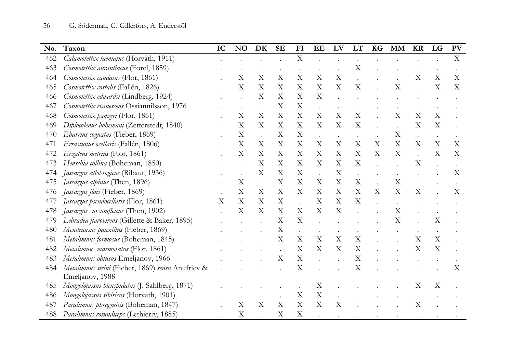| No. | Taxon                                             | IC | NO                        | DK                        | <b>SE</b>                 | FI                        | EE                        | LV                        | LT                        | <b>KG</b>                 | <b>MM</b>                 | <b>KR</b>                 | LG                        | <b>PV</b>                 |
|-----|---------------------------------------------------|----|---------------------------|---------------------------|---------------------------|---------------------------|---------------------------|---------------------------|---------------------------|---------------------------|---------------------------|---------------------------|---------------------------|---------------------------|
| 462 | Calamotettix taeniatus (Horváth, 1911)            |    |                           |                           |                           | $\boldsymbol{\mathrm{X}}$ |                           |                           |                           |                           |                           |                           |                           | $\mathbf X$               |
| 463 | Cosmotettix aurantiacus (Forel, 1859)             |    |                           |                           |                           |                           |                           |                           | X                         |                           |                           |                           |                           |                           |
| 464 | Cosmotettix caudatus (Flor, 1861)                 |    | $\boldsymbol{\mathrm{X}}$ | X                         | $\boldsymbol{\mathrm{X}}$ | $\mathbf X$               | X                         | $\mathbf X$               |                           |                           |                           | X                         | X                         | X                         |
| 465 | Cosmotettix costalis (Fallén, 1826)               |    | $\boldsymbol{\mathrm{X}}$ | X                         | X                         | $\boldsymbol{\mathrm{X}}$ | X                         | $\boldsymbol{\mathrm{X}}$ | X                         |                           | Х                         |                           | X                         | X                         |
| 466 | Cosmotettix edwardsi (Lindberg, 1924)             |    |                           | X                         | X                         | $\boldsymbol{\mathrm{X}}$ | X                         |                           |                           |                           |                           |                           |                           |                           |
| 467 | Cosmotettix evanescens Ossiannilsson, 1976        |    |                           |                           | X                         | $\mathbf X$               |                           |                           |                           |                           |                           |                           |                           |                           |
| 468 | Cosmotettix panzeri (Flor, 1861)                  |    | $\boldsymbol{\mathrm{X}}$ | X                         | X                         | $\boldsymbol{\mathrm{X}}$ | X                         | $\boldsymbol{\mathrm{X}}$ | $\boldsymbol{\mathrm{X}}$ |                           | X                         | $\boldsymbol{\mathrm{X}}$ | $\boldsymbol{\mathrm{X}}$ |                           |
| 469 | Diplocolenus bohemani (Zetterstedt, 1840)         |    | $\boldsymbol{\mathrm{X}}$ | X                         | X                         | X                         | X                         | $\boldsymbol{\mathrm{X}}$ | X                         |                           |                           | X                         | $\boldsymbol{\mathrm{X}}$ |                           |
| 470 | Ebarrius cognatus (Fieber, 1869)                  |    | $\mathbf X$               |                           | X                         | $\boldsymbol{\mathrm{X}}$ | $\ddot{\phantom{a}}$      |                           |                           |                           | X                         | $\bullet$                 |                           |                           |
| 471 | Errastunus ocellaris (Fallén, 1806)               |    | $\boldsymbol{\mathrm{X}}$ | X                         | $\boldsymbol{\mathrm{X}}$ | $\boldsymbol{\mathrm{X}}$ | X                         | X                         | X                         | X                         | $\boldsymbol{\mathrm{X}}$ | $\boldsymbol{\mathrm{X}}$ | X                         | X                         |
| 472 | Erzaleus metrius (Flor, 1861)                     |    | $\mathbf X$               | $\boldsymbol{\mathrm{X}}$ | $\boldsymbol{\mathrm{X}}$ | $\boldsymbol{\mathrm{X}}$ | X                         | $\mathbf X$               | $\boldsymbol{\mathrm{X}}$ | $\boldsymbol{\mathrm{X}}$ | $\boldsymbol{\mathrm{X}}$ | $\ddot{\phantom{a}}$      | X                         | X                         |
| 473 | Henschia collina (Boheman, 1850)                  |    |                           | X                         | X                         | X                         | X                         | X                         | X                         |                           |                           | $\boldsymbol{\mathrm{X}}$ |                           |                           |
| 474 | Jassargus allobrogicus (Ribaut, 1936)             |    |                           | X                         | X                         | $\boldsymbol{\mathrm{X}}$ |                           | $\boldsymbol{\mathrm{X}}$ |                           |                           |                           |                           |                           | X                         |
| 475 | Jassargus alpinus (Then, 1896)                    |    | $\boldsymbol{\mathrm{X}}$ |                           | X                         | X                         | X                         | X                         | X                         |                           | X                         |                           |                           |                           |
| 476 | Jassargus flori (Fieber, 1869)                    |    | $\boldsymbol{\mathrm{X}}$ | $\boldsymbol{\mathrm{X}}$ | X                         | $\boldsymbol{\mathrm{X}}$ | X                         | $\boldsymbol{\mathrm{X}}$ | $\boldsymbol{\mathrm{X}}$ | X                         | $\boldsymbol{\mathrm{X}}$ | $\boldsymbol{\mathrm{X}}$ |                           | $\boldsymbol{\mathrm{X}}$ |
| 477 | Jassargus pseudocellaris (Flor, 1861)             | X  | X                         | X                         | X                         |                           | X                         | X                         | X                         |                           |                           |                           |                           |                           |
| 478 | Jassargus sursumflexus (Then, 1902)               |    | $\boldsymbol{\mathrm{X}}$ | $\boldsymbol{\mathrm{X}}$ | X                         | $\mathbf X$               | $\boldsymbol{\mathrm{X}}$ | $\boldsymbol{\mathrm{X}}$ |                           |                           | X                         |                           |                           |                           |
| 479 | Lebradea flavovirens (Gillette & Baker, 1895)     |    |                           |                           | X                         | $\boldsymbol{\mathrm{X}}$ |                           |                           |                           |                           | X                         |                           | $\boldsymbol{\mathrm{X}}$ |                           |
| 480 | Mendrausus pauxillus (Fieber, 1869)               |    |                           |                           | $\boldsymbol{\mathrm{X}}$ | $\ddot{\phantom{0}}$      |                           |                           |                           |                           |                           |                           |                           |                           |
| 481 | Metalimnus formosus (Boheman, 1845)               |    |                           |                           | X                         | $\boldsymbol{\mathrm{X}}$ | X                         | $\mathbf X$               | X                         |                           |                           | X                         | $\boldsymbol{\mathrm{X}}$ |                           |
| 482 | Metalimnus marmoratus (Flor, 1861)                |    |                           |                           |                           | $\boldsymbol{\mathrm{X}}$ | X                         | $\boldsymbol{\mathrm{X}}$ | $\boldsymbol{\mathrm{X}}$ |                           |                           | $\boldsymbol{\mathrm{X}}$ | $\boldsymbol{\mathrm{X}}$ |                           |
| 483 | Metalimnus obtusus Emeljanov, 1966                |    |                           |                           | X                         | $\boldsymbol{\mathrm{X}}$ |                           |                           | X                         |                           |                           |                           |                           |                           |
| 484 | Metalimnus steini (Fieber, 1869) sensu Anufriev & |    |                           |                           |                           | $\boldsymbol{\mathrm{X}}$ |                           |                           | $\boldsymbol{\mathrm{X}}$ |                           |                           |                           |                           | X                         |
|     | Emeljanov, 1988                                   |    |                           |                           |                           |                           |                           |                           |                           |                           |                           |                           |                           |                           |
| 485 | Mongolojassus bicuspidatus (J. Sahlberg, 1871)    |    |                           |                           |                           |                           | X                         |                           |                           |                           |                           | X                         | X                         |                           |
| 486 | Mongolojassus sibiricus (Horvath, 1901)           |    |                           |                           |                           | $\mathbf X$               | $\mathbf X$               |                           |                           |                           |                           |                           |                           |                           |
| 487 | Paralimnus phragmitis (Boheman, 1847)             |    | $\boldsymbol{\mathrm{X}}$ | $\mathbf X$               | $\boldsymbol{\mathrm{X}}$ | $\mathbf X$               | $\boldsymbol{\mathrm{X}}$ | X                         |                           |                           |                           | X                         |                           |                           |
| 488 | Paralimnus rotundiceps (Lethierry, 1885)          |    | $\rm X$                   |                           | X                         | $\boldsymbol{\mathrm{X}}$ |                           |                           |                           |                           |                           |                           |                           |                           |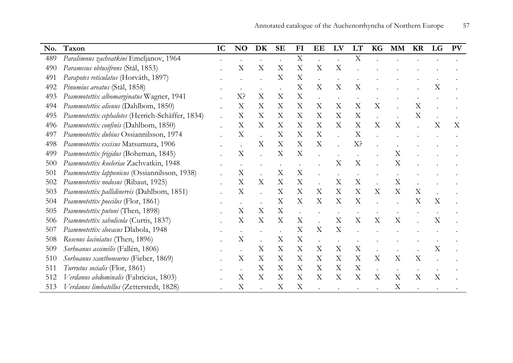| No. | Taxon                                            | IC | <b>NO</b>                 | DK                        | <b>SE</b>                 | FI                        | EE                        | LV                        | <b>LT</b>                 | KG | <b>MM</b>                 | <b>KR</b>                 | LG          | <b>PV</b> |
|-----|--------------------------------------------------|----|---------------------------|---------------------------|---------------------------|---------------------------|---------------------------|---------------------------|---------------------------|----|---------------------------|---------------------------|-------------|-----------|
| 489 | Paralimnus zachvatkini Emeljanov, 1964           |    |                           |                           |                           | X                         |                           |                           | $\mathbf X$               |    |                           |                           |             |           |
| 490 | Paramesus obtusifrons (Stål, 1853)               |    | Х                         | X                         | $\boldsymbol{\mathrm{X}}$ | $\mathbf X$               | X                         | $\boldsymbol{\mathrm{X}}$ |                           |    |                           |                           |             |           |
| 491 | Parapotes reticulatus (Horváth, 1897)            |    |                           |                           | X                         | X                         |                           |                           |                           |    |                           |                           |             |           |
| 492 | Pinumius areatus (Stål, 1858)                    |    |                           |                           |                           | X                         | $\boldsymbol{\mathrm{X}}$ | X                         | $\boldsymbol{\mathrm{X}}$ |    |                           |                           | X           |           |
| 493 | Psammotettix albomarginatus Wagner, 1941         |    | X?                        | X                         | X                         | $\boldsymbol{\mathrm{X}}$ |                           |                           |                           |    |                           |                           |             |           |
| 494 | Psammotettix alienus (Dahlbom, 1850)             |    | $\rm\overline{X}$         | X                         | X                         | X                         | X                         | X                         | X                         | X  |                           | X                         |             |           |
| 495 | Psammotettix cephalotes (Herrich-Schäffer, 1834) |    | $\rm X$                   | $\boldsymbol{\mathrm{X}}$ | X                         | X                         | X                         | X                         | X                         |    |                           | X                         |             |           |
| 496 | Psammotettix confinis (Dahlbom, 1850)            |    | X                         | X                         | X                         | X                         | X                         | X                         | X                         | X  | X                         |                           | X           | X         |
| 497 | Psammotettix dubius Ossiannilsson, 1974          |    | $\boldsymbol{\mathrm{X}}$ |                           | X                         | X                         | X                         |                           | $\boldsymbol{\mathrm{X}}$ |    |                           |                           |             |           |
| 498 | Psammotettix excisus Matsumura, 1906             |    |                           | $\boldsymbol{\mathrm{X}}$ | $\boldsymbol{\mathrm{X}}$ | $\boldsymbol{\mathrm{X}}$ | $\boldsymbol{\mathrm{X}}$ |                           | X?                        |    |                           |                           |             |           |
| 499 | Psammotettix frigidus (Boheman, 1845)            |    | Х                         |                           | $\mathbf X$               | X                         |                           |                           |                           |    | $\boldsymbol{\mathrm{X}}$ |                           |             |           |
| 500 | Psammotettix koeleriae Zachvatkin, 1948          |    |                           |                           |                           |                           |                           | X                         | X                         |    | X                         |                           |             |           |
| 501 | Psammotettix lapponicus (Ossiannilsson, 1938)    |    | X                         |                           | X                         | $\mathbf X$               |                           |                           |                           |    |                           |                           |             |           |
| 502 | Psammotettix nodosus (Ribaut, 1925)              |    | X                         | X                         | $\mathbf X$               | $\mathbf X$               |                           | X                         | $\mathbf X$               |    | X                         |                           |             |           |
| 503 | Psammotettix pallidinervis (Dahlbom, 1851)       |    | X                         |                           | X                         | X                         | X                         | X                         | $\boldsymbol{\mathrm{X}}$ | X  | X                         | $\boldsymbol{\mathrm{X}}$ |             |           |
| 504 | Psammotettix poecilus (Flor, 1861)               |    |                           |                           | X                         | $\boldsymbol{\mathrm{X}}$ | $\boldsymbol{\mathrm{X}}$ | $\boldsymbol{\mathrm{X}}$ | $\boldsymbol{\mathrm{X}}$ |    |                           | $\boldsymbol{\mathrm{X}}$ | X           |           |
| 505 | Psammotettix putoni (Then, 1898)                 |    | $\rm X$                   | X                         | X                         |                           |                           |                           |                           |    |                           |                           |             |           |
| 506 | Psammotettix sabulicola (Curtis, 1837)           |    | X                         | $\boldsymbol{\mathrm{X}}$ | X                         | X                         |                           | X                         | $\boldsymbol{\mathrm{X}}$ | X  | X                         |                           | X           |           |
| 507 | Psammotettix slovacus Dlabola, 1948              |    |                           |                           |                           | X                         | X                         | X                         |                           |    |                           |                           |             |           |
| 508 | Rosenus laciniatus (Then, 1896)                  |    | Х                         |                           | X                         | X                         |                           |                           |                           |    |                           |                           |             |           |
| 509 | Sorhoanus assimilis (Fallén, 1806)               |    |                           | X                         | $\boldsymbol{\mathrm{X}}$ | X                         | X                         | X                         | $\mathbf X$               |    |                           |                           | X           |           |
| 510 | Sorhoanus xanthoneurus (Fieber, 1869)            |    | X                         | X                         | $\boldsymbol{\mathrm{X}}$ | X                         | X                         | X                         | $\boldsymbol{\mathrm{X}}$ | X  | $\boldsymbol{\mathrm{X}}$ | $\overline{X}$            |             |           |
| 511 | Turrutus socialis (Flor, 1861)                   |    |                           | X                         | X                         | X                         | X                         | X                         | $\boldsymbol{\mathrm{X}}$ |    |                           |                           |             |           |
| 512 | Verdanus abdominalis (Fabricius, 1803)           |    | $\rm X$                   | $\boldsymbol{\mathrm{X}}$ | $\boldsymbol{\mathrm{X}}$ | $\boldsymbol{\mathrm{X}}$ | X                         | $\boldsymbol{\mathrm{X}}$ | $\boldsymbol{\mathrm{X}}$ | X  | X                         | X                         | $\mathbf X$ |           |
| 513 | Verdanus limbatellus (Zetterstedt, 1828)         |    | X                         |                           | X                         | X                         |                           |                           |                           |    | X                         |                           |             |           |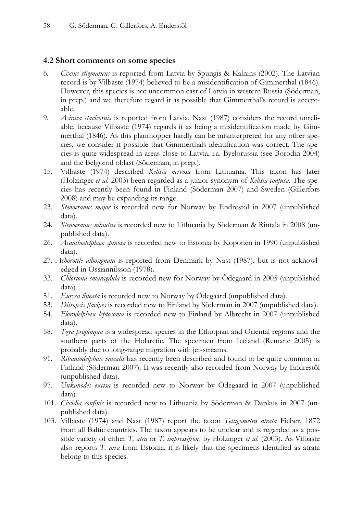### 4.2 Short comments on some species

- 6. Cixius stigmaticus is reported from Latvia by Spungis & Kalnins (2002). The Latvian record is by Vilbaste (1974) believed to be a misidentification of Gimmerthal (1846). However, this species is not uncommon east of Latvia in western Russia (Söderman, in prep.) and we therefore regard it as possible that Gimmerthal's record is acceptable.
- 9. Asiraca clavicornis is reported from Latvia. Nast (1987) considers the record unreliable, because Vilbaste (1974) regards it as being a misidentification made by Gimmerthal (1846). As this planthopper hardly can be misinterpreted for any other species, we consider it possible that Gimmerthals identification was correct. The species is quite widespread in areas close to Latvia, i.a. Byelorussia (see Borodin 2004) and the Belgorod oblast (Söderman, in prep.).
- 15. Vilbaste (1974) described Kelisia nervosa from Lithuania. This taxon has later (Holzinger et al. 2003) been regarded as a junior synonym of Kelisia confusa. The species has recently been found in Finland (Söderman 2007) and Sweden (Gillerfors 2008) and may be expanding its range.
- 23. Stenocranus major is recorded new for Norway by Endrestöl in 2007 (unpublished data).
- 24. Stenocranus minutus is recorded new to Lithuania by Söderman & Rintala in 2008 (unpublished data).
- 26. Acanthodelphax spinosa is recorded new to Estonia by Koponen in 1990 (unpublished data).
- 27. Achorotile albosignata is reported from Denmark by Nast (1987), but is not acknowledged in Ossiannilsson (1978).
- 33. Chloriona smaragdula is recorded new for Norway by Ödegaard in 2005 (unpublished data).
- 51. Eurysa lineata is recorded new to Norway by Ödegaard (unpublished data).
- 53. Ditropsis flavipes is recorded new to Finland by Söderman in 2007 (unpublished data).
- 54. Florodelphax leptosoma is recorded new to Finland by Albrecht in 2007 (unpublished data).
- 58. Toya propinqua is a widespread species in the Ethiopian and Oriental regions and the southern parts of the Holarctic. The specimen from Iceland (Remane 2005) is probably due to long-range migration with jet-streams.
- 91. Ribautodelphax vinealis has recently been described and found to be quite common in Finland (Söderman 2007). It was recently also recorded from Norway by Endrestöl (unpublished data).
- 97. Unkanodes excisa is recorded new to Norway by Ödegaard in 2007 (unpublished data).
- 101. Cixidia confinis is recorded new to Lithuania by Söderman & Dapkus in 2007 (unpublished data).
- 103. Vilbaste (1974) and Nast (1987) report the taxon Tettigometra atrata Fieber, 1872 from all Baltic countries. The taxon appears to be unclear and is regarded as a possible variety of either T. atra or T. impressifrons by Holzinger et al. (2003). As Vilbaste also reports T. atra from Estonia, it is likely that the specimens identified as atrata belong to this species.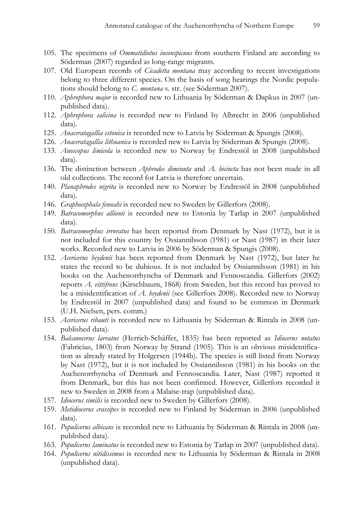- 105. The specimens of Ommatidiotus inconspicuus from southern Finland are according to Söderman (2007) regarded as long-range migrants.
- 107. Old European records of *Cicadetta montana* may according to recent investigations belong to three different species. On the basis of song hearings the Nordic populations should belong to C. montana s. str. (see Söderman 2007).
- 110. Aphrophora major is recorded new to Lithuania by Söderman & Dapkus in 2007 (unpublished data).
- 112. Aphrophora salicina is recorded new to Finland by Albrecht in 2006 (unpublished data).
- 125. Anaceratagallia estonica is recorded new to Latvia by Söderman & Spungis (2008).
- 126. *Anaceratagallia lithuanica* is recorded new to Latvia by Söderman & Spungis (2008).
- 133. Anoscopus limicola is recorded new to Norway by Endrestöl in 2008 (unpublished data).
- 136. The distinction between *Aphrodes diminuta* and *A. bicincta* has not been made in all old collections. The record for Latvia is therefore uncertain.
- 140. Planaphrodes nigrita is recorded new to Norway by Endrestöl in 2008 (unpublished data).
- 146. Graphocephala fennahi is recorded new to Sweden by Gillerfors (2008).
- 149. Batracomorphus allionii is recorded new to Estonia by Tarlap in 2007 (unpublished data).
- 150. Batracomorphus irroratus has been reported from Denmark by Nast (1972), but it is not included for this country by Ossiannilsson (1981) or Nast (1987) in their later works. Recorded new to Latvia in 2006 by Söderman & Spungis (2008).
- 152. Acericerus heydenii has been reported from Denmark by Nast (1972), but later he states the record to be dubious. It is not included by Ossiannilsson (1981) in his books on the Auchenorrhyncha of Denmark and Fennoscandia. Gillerfors (2002) reports A. vittifrons (Kirschbaum, 1868) from Sweden, but this record has proved to be a misidentification of A. heydenii (see Gillerfors 2008). Recorded new to Norway by Endrestöl in 2007 (unpublished data) and found to be common in Denmark (U.H. Nielsen, pers. comm.)
- 153. Acericerus ribauti is recorded new to Lithuania by Söderman & Rintala in 2008 (unpublished data).
- 154. Balcanocerus larvatus (Herrich-Schäffer, 1835) has been reported as Idiocerus notatus (Fabricius, 1803) from Norway by Strand (1905). This is an obvious misidentification as already stated by Holgersen (1944b). The species is still listed from Norway by Nast (1972), but it is not included by Ossiannilsson (1981) in his books on the Auchenorrhyncha of Denmark and Fennoscandia. Later, Nast (1987) reported it from Denmark, but this has not been confirmed. However, Gillerfors recorded it new to Sweden in 2008 from a Malaise-trap (unpublished data).
- 157. Idiocerus similis is recorded new to Sweden by Gillerfors (2008).
- 159. Metidiocerus crassipes is recorded new to Finland by Söderman in 2006 (unpublished data).
- 161. Populicerus albicans is recorded new to Lithuania by Söderman & Rintala in 2008 (unpublished data).
- 163. Populicerus laminatus is recorded new to Estonia by Tarlap in 2007 (unpublished data).
- 164. Populicerus nitidissimus is recorded new to Lithuania by Söderman & Rintala in 2008 (unpublished data).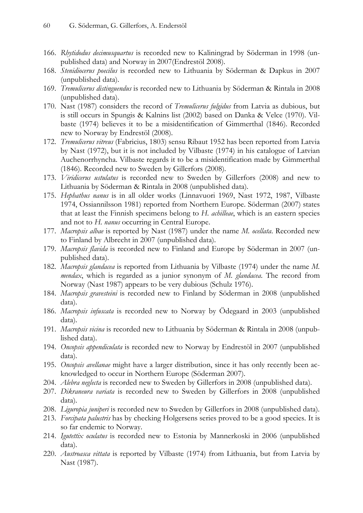- 166. Rhytidodus decimusquartus is recorded new to Kaliningrad by Söderman in 1998 (unpublished data) and Norway in 2007(Endrestöl 2008).
- 168. Stenidiocerus poecilus is recorded new to Lithuania by Söderman & Dapkus in 2007 (unpublished data).
- 169. Tremulicerus distinguendus is recorded new to Lithuania by Söderman & Rintala in 2008 (unpublished data).
- 170. Nast (1987) considers the record of Tremulicerus fulgidus from Latvia as dubious, but is still occurs in Spungis & Kalnins list (2002) based on Danka & Velce (1970). Vilbaste (1974) believes it to be a misidentification of Gimmerthal (1846). Recorded new to Norway by Endrestöl (2008).
- 172. Tremulicerus vitreus (Fabricius, 1803) sensu Ribaut 1952 has been reported from Latvia by Nast (1972), but it is not included by Vilbaste (1974) in his catalogue of Latvian Auchenorrhyncha. Vilbaste regards it to be a misidentification made by Gimmerthal (1846). Recorded new to Sweden by Gillerfors (2008).
- 173. Viridicerus ustulatus is recorded new to Sweden by Gillerfors (2008) and new to Lithuania by Söderman & Rintala in 2008 (unpublished data).
- 175. Hephathus nanus is in all older works (Linnavuori 1969, Nast 1972, 1987, Vilbaste 1974, Ossiannilsson 1981) reported from Northern Europe. Söderman (2007) states that at least the Finnish specimens belong to H. achilleae, which is an eastern species and not to H. nanus occurring in Central Europe.
- 177. Macropsis albae is reported by Nast (1987) under the name M. ocellata. Recorded new to Finland by Albrecht in 2007 (unpublished data).
- 179. Macropsis flavida is recorded new to Finland and Europe by Söderman in 2007 (unpublished data).
- 182. Macropsis glandacea is reported from Lithuania by Vilbaste (1974) under the name M. mendax, which is regarded as a junior synonym of M. glandacea. The record from Norway (Nast 1987) appears to be very dubious (Schulz 1976).
- 184. Macropsis gravesteini is recorded new to Finland by Söderman in 2008 (unpublished data).
- 186. Macropsis infuscata is recorded new to Norway by Ödegaard in 2003 (unpublished data).
- 191. Macropsis vicina is recorded new to Lithuania by Söderman & Rintala in 2008 (unpublished data).
- 194. Oncopsis appendiculata is recorded new to Norway by Endrestöl in 2007 (unpublished data).
- 195. Oncopsis avellanae might have a larger distribution, since it has only recently been acknowledged to occur in Northern Europe (Söderman 2007).
- 204. Alebra neglecta is recorded new to Sweden by Gillerfors in 2008 (unpublished data).
- 207. Dikraneura variata is recorded new to Sweden by Gillerfors in 2008 (unpublished data).
- 208. Liguropia juniperi is recorded new to Sweden by Gillerfors in 2008 (unpublished data).
- 213. Forcipata palustris has by checking Holgersens series proved to be a good species. It is so far endemic to Norway.
- 214. Igutettix oculatus is recorded new to Estonia by Mannerkoski in 2006 (unpublished data).
- 220. Austroasca vittata is reported by Vilbaste (1974) from Lithuania, but from Latvia by Nast (1987).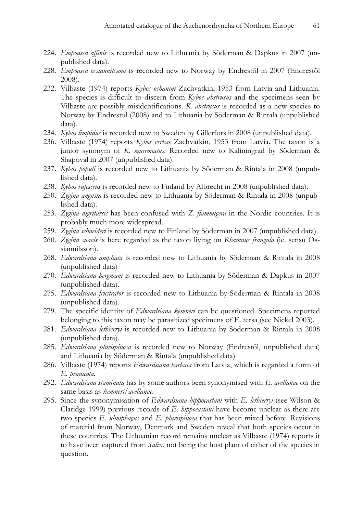- 224. Empoasca affinis is recorded new to Lithuania by Söderman & Dapkus in 2007 (unpublished data).
- 228. Empoasca ossiannilssoni is recorded new to Norway by Endrestöl in 2007 (Endrestöl 2008).
- 232. Vilbaste (1974) reports Kybos oshanini Zachvatkin, 1953 from Latvia and Lithuania. The species is difficult to discern from Kybos abstrusus and the specimens seen by Vilbaste are possibly misidentifications. K. abstrusus is recorded as a new species to Norway by Endrestöl (2008) and to Lithuania by Söderman & Rintala (unpublished data).
- 234. Kybos limpidus is recorded new to Sweden by Gillerfors in 2008 (unpublished data).
- 236. Vilbaste (1974) reports Kybos verbae Zachvatkin, 1953 from Latvia. The taxon is a junior synonym of K. *mucronatus*. Recorded new to Kaliningrad by Söderman & Shapoval in 2007 (unpublished data).
- 237. Kybos populi is recorded new to Lithuania by Söderman & Rintala in 2008 (unpublished data).
- 238. Kybos rufescens is recorded new to Finland by Albrecht in 2008 (unpublished data).
- 250. Zygina angusta is recorded new to Lithuania by Söderman & Rintala in 2008 (unpublished data).
- 253. Zygina nigritarsis has been confused with Z. flammigera in the Nordic countries. It is probably much more widespread.
- 259. Zygina schneideri is recorded new to Finland by Söderman in 2007 (unpublished data).
- 260. Zygina suavis is here regarded as the taxon living on Rhamnus frangula (ie. sensu Ossiannilsson).
- 268. Edwardsiana ampliata is recorded new to Lithuania by Söderman & Rintala in 2008 (unpublished data)
- 270. Edwardsiana bergmani is recorded new to Lithuania by Söderman & Dapkus in 2007 (unpublished data).
- 275. Edwardsiana frustrator is recorded new to Lithuania by Söderman & Rintala in 2008 (unpublished data).
- 279. The specific identity of *Edwardsiana kemneri* can be questioned. Specimens reported belonging to this taxon may be parasitized specimens of E. tersa (see Nickel 2003).
- 281. Edwardsiana lethierryi is recorded new to Lithuania by Söderman & Rintala in 2008 (unpublished data).
- 285. Edwardsiana plurispinosa is recorded new to Norway (Endrestöl, unpublished data) and Lithuania by Söderman & Rintala (unpublished data)
- 286. Vilbaste (1974) reports Edwardsiana barbata from Latvia, which is regarded a form of E. prunicola.
- 292. Edwardsiana staminata has by some authors been synonymised with E. avellanae on the same basis as kemneri/avellanae.
- 295. Since the synonymisation of Edwardsiana hippocastani with E. lethierryi (see Wilson & Claridge 1999) previous records of E. hippocastani have become unclear as there are two species E. ulmiphagus and E. plurispinosa that has been mixed before. Revisions of material from Norway, Denmark and Sweden reveal that both species occur in these countries. The Lithuanian record remains unclear as Vilbaste (1974) reports it to have been captured from *Salix*, not being the host plant of either of the species in question.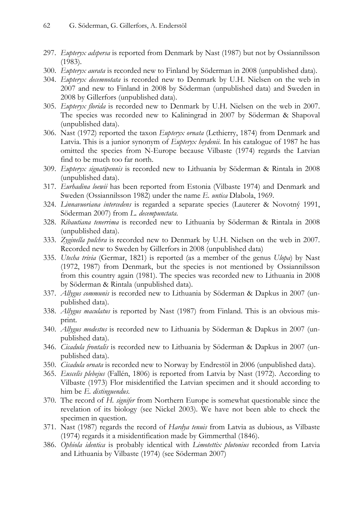- 297. Eupteryx adspersa is reported from Denmark by Nast (1987) but not by Ossiannilsson (1983).
- 300. Eupteryx aurata is recorded new to Finland by Söderman in 2008 (unpublished data).
- 304. Eupteryx decemnotata is recorded new to Denmark by U.H. Nielsen on the web in 2007 and new to Finland in 2008 by Söderman (unpublished data) and Sweden in 2008 by Gillerfors (unpublished data).
- 305. Eupteryx florida is recorded new to Denmark by U.H. Nielsen on the web in 2007. The species was recorded new to Kaliningrad in 2007 by Söderman & Shapoval (unpublished data).
- 306. Nast (1972) reported the taxon Eupteryx ornata (Lethierry, 1874) from Denmark and Latvia. This is a junior synonym of *Eupteryx heydenii*. In his catalogue of 1987 he has omitted the species from N-Europe because Vilbaste (1974) regards the Latvian find to be much too far north.
- 309. Eupteryx signatipennis is recorded new to Lithuania by Söderman & Rintala in 2008 (unpublished data).
- 317. Eurhadina loewii has been reported from Estonia (Vilbaste 1974) and Denmark and Sweden (Ossiannilsson 1982) under the name E. untica Dlabola, 1969.
- 324. Linnavuoriana intercedens is regarded a separate species (Lauterer & Novotný 1991, Söderman 2007) from L. decempunctata.
- 328. Ribautiana tenerrima is recorded new to Lithuania by Söderman & Rintala in 2008 (unpublished data).
- 333. Zyginella pulchra is recorded new to Denmark by U.H. Nielsen on the web in 2007. Recorded new to Sweden by Gillerfors in 2008 (unpublished data)
- 335. Utecha trivia (Germar, 1821) is reported (as a member of the genus Ulopa) by Nast (1972, 1987) from Denmark, but the species is not mentioned by Ossiannilsson from this country again (1981). The species was recorded new to Lithuania in 2008 by Söderman & Rintala (unpublished data).
- 337. Allygus communis is recorded new to Lithuania by Söderman & Dapkus in 2007 (unpublished data).
- 338. Allygus maculatus is reported by Nast (1987) from Finland. This is an obvious misprint.
- 340. Allygus modestus is recorded new to Lithuania by Söderman & Dapkus in 2007 (unpublished data).
- 346. Cicadula frontalis is recorded new to Lithuania by Söderman & Dapkus in 2007 (unpublished data).
- 350. Cicadula ornata is recorded new to Norway by Endrestöl in 2006 (unpublished data).
- 365. Euscelis plebejus (Fallén, 1806) is reported from Latvia by Nast (1972). According to Vilbaste (1973) Flor misidentified the Latvian specimen and it should according to him be E. distinguendus.
- 370. The record of H. signifer from Northern Europe is somewhat questionable since the revelation of its biology (see Nickel 2003). We have not been able to check the specimen in question.
- 371. Nast (1987) regards the record of Hardya tenuis from Latvia as dubious, as Vilbaste (1974) regards it a misidentification made by Gimmerthal (1846).
- 386. Ophiola identica is probably identical with Limotettix plutonius recorded from Latvia and Lithuania by Vilbaste (1974) (see Söderman 2007)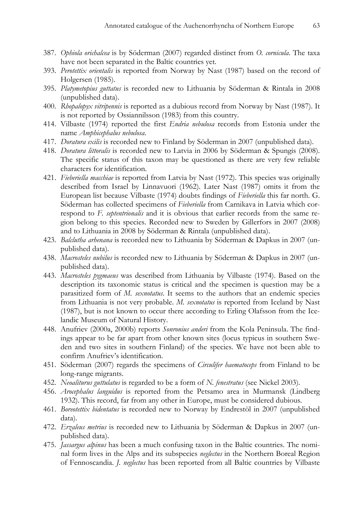- 387. Ophiola orichalcea is by Söderman (2007) regarded distinct from O. cornicula. The taxa have not been separated in the Baltic countries yet.
- 393. Perotettix orientalis is reported from Norway by Nast (1987) based on the record of Holgersen (1985).
- 395. Platymetopius guttatus is recorded new to Lithuania by Söderman & Rintala in 2008 (unpublished data).
- 400. Rhopalopyx vitripennis is reported as a dubious record from Norway by Nast (1987). It is not reported by Ossiannilsson (1983) from this country.
- 414. Vilbaste (1974) reported the first Endria nebulosa records from Estonia under the name Amphicephalus nebulosa.
- 417. Doratura exilis is recorded new to Finland by Söderman in 2007 (unpublished data).
- 418. Doratura littoralis is recorded new to Latvia in 2006 by Söderman & Spungis (2008). The specific status of this taxon may be questioned as there are very few reliable characters for identification.
- 421. Fieberiella macchiae is reported from Latvia by Nast (1972). This species was originally described from Israel by Linnavuori (1962). Later Nast (1987) omits it from the European list because Vilbaste (1974) doubts findings of Fieberiella this far north. G. Söderman has collected specimens of Fieberiella from Carnikava in Latvia which correspond to F. septentrionalis and it is obvious that earlier records from the same region belong to this species. Recorded new to Sweden by Gillerfors in 2007 (2008) and to Lithuania in 2008 by Söderman & Rintala (unpublished data).
- 423. Balclutha arhenana is recorded new to Lithuania by Söderman & Dapkus in 2007 (unpublished data).
- 438. Macrosteles nubilus is recorded new to Lithuania by Söderman & Dapkus in 2007 (unpublished data).
- 443. Macrosteles pygmaeus was described from Lithuania by Vilbaste (1974). Based on the description its taxonomic status is critical and the specimen is question may be a parasitized form of M. sexnotatus. It seems to the authors that an endemic species from Lithuania is not very probable. M. sexnotatus is reported from Iceland by Nast (1987), but is not known to occur there according to Erling Olafsson from the Icelandic Museum of Natural History.
- 448. Anufriev (2000a, 2000b) reports Sonronius anderi from the Kola Peninsula. The findings appear to be far apart from other known sites (locus typicus in southern Sweden and two sites in southern Finland) of the species. We have not been able to confirm Anufriev's identification.
- 451. Söderman (2007) regards the specimens of *Circulifer haematoceps* from Finland to be long-range migrants.
- 452. Neoaliturus guttulatus is regarded to be a form of N. fenestratus (see Nickel 2003).
- 456. Arocephalus languidus is reported from the Petsamo area in Murmansk (Lindberg 1932). This record, far from any other in Europe, must be considered dubious.
- 461. Boreotettix bidentatus is recorded new to Norway by Endrestöl in 2007 (unpublished data).
- 472. Erzaleus metrius is recorded new to Lithuania by Söderman & Dapkus in 2007 (unpublished data).
- 475. *Jassargus alpinus* has been a much confusing taxon in the Baltic countries. The nominal form lives in the Alps and its subspecies *neglectus* in the Northern Boreal Region of Fennoscandia. J. neglectus has been reported from all Baltic countries by Vilbaste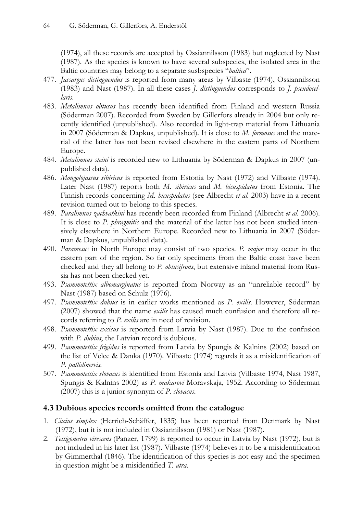(1974), all these records are accepted by Ossiannilsson (1983) but neglected by Nast (1987). As the species is known to have several subspecies, the isolated area in the Baltic countries may belong to a separate susbspecies "*baltica*".

- 477. Jassargus distinguendus is reported from many areas by Vilbaste (1974), Ossiannilsson (1983) and Nast (1987). In all these cases J. distinguendus corresponds to J. pseudocellaris.
- 483. Metalimnus obtusus has recently been identified from Finland and western Russia (Söderman 2007). Recorded from Sweden by Gillerfors already in 2004 but only recently identified (unpublished). Also recorded in light-trap material from Lithuania in 2007 (Söderman & Dapkus, unpublished). It is close to M. formosus and the material of the latter has not been revised elsewhere in the eastern parts of Northern Europe.
- 484. Metalimnus steini is recorded new to Lithuania by Söderman & Dapkus in 2007 (unpublished data).
- 486. Mongolojassus sibiricus is reported from Estonia by Nast (1972) and Vilbaste (1974). Later Nast (1987) reports both M. sibiricus and M. bicuspidatus from Estonia. The Finnish records concerning M. bicuspidatus (see Albrecht et al. 2003) have in a recent revision turned out to belong to this species.
- 489. Paralimnus zachvatkini has recently been recorded from Finland (Albrecht et al. 2006). It is close to P. *phragmitis* and the material of the latter has not been studied intensively elsewhere in Northern Europe. Recorded new to Lithuania in 2007 (Söderman & Dapkus, unpublished data).
- 490. Paramesus in North Europe may consist of two species. P. major may occur in the eastern part of the region. So far only specimens from the Baltic coast have been checked and they all belong to P. obtusifrons, but extensive inland material from Russia has not been checked yet.
- 493. Psammotettix albomarginatus is reported from Norway as an "unreliable record" by Nast (1987) based on Schulz (1976).
- 497. Psammotettix dubius is in earlier works mentioned as P. exilis. However, Söderman (2007) showed that the name *exilis* has caused much confusion and therefore all records referring to P. exilis are in need of revision.
- 498. Psammotettix excisus is reported from Latvia by Nast (1987). Due to the confusion with P. dubius, the Latvian record is dubious.
- 499. Psammotettix frigidus is reported from Latvia by Spungis & Kalnins (2002) based on the list of Velce & Danka (1970). Vilbaste (1974) regards it as a misidentification of P. pallidinervis.
- 507. Psammotettix slovacus is identified from Estonia and Latvia (Vilbaste 1974, Nast 1987, Spungis & Kalnins 2002) as P. makarovi Moravskaja, 1952. According to Söderman (2007) this is a junior synonym of P. slovacus.

## 4.3 Dubious species records omitted from the catalogue

- 1. Cixius simplex (Herrich-Schäffer, 1835) has been reported from Denmark by Nast (1972), but it is not included in Ossiannilsson (1981) or Nast (1987).
- 2. Tettigometra virescens (Panzer, 1799) is reported to occur in Latvia by Nast (1972), but is not included in his later list (1987). Vilbaste (1974) believes it to be a misidentification by Gimmerthal (1846). The identification of this species is not easy and the specimen in question might be a misidentified T. atra.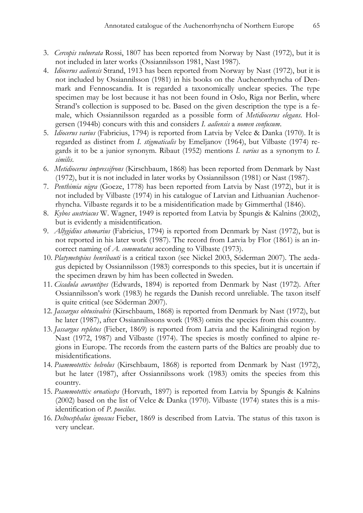- 3. Cercopis vulnerata Rossi, 1807 has been reported from Norway by Nast (1972), but it is not included in later works (Ossiannilsson 1981, Nast 1987).
- 4. Idiocerus aaliensis Strand, 1913 has been reported from Norway by Nast (1972), but it is not included by Ossiannilsson (1981) in his books on the Auchenorrhyncha of Denmark and Fennoscandia. It is regarded a taxonomically unclear species. The type specimen may be lost because it has not been found in Oslo, Riga nor Berlin, where Strand's collection is supposed to be. Based on the given description the type is a female, which Ossiannilsson regarded as a possible form of Metidiocerus elegans. Holgersen (1944b) concurs with this and considers I. *aaliensis* a *nomen confusum*.
- 5. Idiocerus varius (Fabricius, 1794) is reported from Latvia by Velce & Danka (1970). It is regarded as distinct from I. stigmaticalis by Emeljanov (1964), but Vilbaste (1974) regards it to be a junior synonym. Ribaut (1952) mentions I. varius as a synonym to I. similis.
- 6. Metidiocerus impressifrons (Kirschbaum, 1868) has been reported from Denmark by Nast (1972), but it is not included in later works by Ossiannilsson (1981) or Nast (1987).
- 7. Penthimia nigra (Goeze, 1778) has been reported from Latvia by Nast (1972), but it is not included by Vilbaste (1974) in his catalogue of Latvian and Lithuanian Auchenorrhyncha. Vilbaste regards it to be a misidentification made by Gimmerthal (1846).
- 8. Kybos austriacus W. Wagner, 1949 is reported from Latvia by Spungis & Kalnins (2002), but is evidently a misidentification.
- 9. Allygidius atomarius (Fabricius, 1794) is reported from Denmark by Nast (1972), but is not reported in his later work (1987). The record from Latvia by Flor (1861) is an incorrect naming of A. commutatus according to Vilbaste (1973).
- 10. Platymetopius henribauti is a critical taxon (see Nickel 2003, Söderman 2007). The aedagus depicted by Ossiannilsson (1983) corresponds to this species, but it is uncertain if the specimen drawn by him has been collected in Sweden.
- 11. Cicadula aurantipes (Edwards, 1894) is reported from Denmark by Nast (1972). After Ossiannilsson's work (1983) he regards the Danish record unreliable. The taxon itself is quite critical (see Söderman 2007).
- 12. Jassargus obtusivalvis (Kirschbaum, 1868) is reported from Denmark by Nast (1972), but he later (1987), after Ossiannilssons work (1983) omits the species from this country.
- 13. Jassargus repletus (Fieber, 1869) is reported from Latvia and the Kaliningrad region by Nast (1972, 1987) and Vilbaste (1974). The species is mostly confined to alpine regions in Europe. The records from the eastern parts of the Baltics are proably due to misidentifications.
- 14. Psammotettix helvolus (Kirschbaum, 1868) is reported from Denmark by Nast (1972), but he later (1987), after Ossiannilssons work (1983) omits the species from this country.
- 15. Psammotettix ornaticeps (Horvath, 1897) is reported from Latvia by Spungis & Kalnins (2002) based on the list of Velce & Danka (1970). Vilbaste (1974) states this is a misidentification of P. poecilus.
- 16. Deltocephalus ignoscus Fieber, 1869 is described from Latvia. The status of this taxon is very unclear.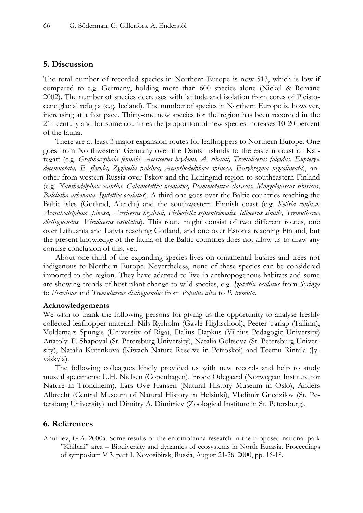#### 5. Discussion

The total number of recorded species in Northern Europe is now 513, which is low if compared to e.g. Germany, holding more than 600 species alone (Nickel & Remane 2002). The number of species decreases with latitude and isolation from cores of Pleistocene glacial refugia (e.g. Iceland). The number of species in Northern Europe is, however, increasing at a fast pace. Thirty-one new species for the region has been recorded in the 21st century and for some countries the proportion of new species increases 10-20 percent of the fauna.

There are at least 3 major expansion routes for leafhoppers to Northern Europe. One goes from Northwestern Germany over the Danish islands to the eastern coast of Kattegatt (e.g. Graphocephala fennahi, Acericerus heydenii, A. ribauti, Tremulicerus fulgidus, Eupteryx decemnotata, E. florida, Zyginella pulchra, Acanthodelphax spinosa, Eurybregma nigrolineata), another from western Russia over Pskov and the Leningrad region to southeastern Finland (e.g. Xanthodelphax xantha, Calamotettix taeniatus, Psammotettix slovacus, Mongolojassus sibiricus, Balclutha arhenana, Igutettix oculatus). A third one goes over the Baltic countries reaching the Baltic isles (Gotland, Alandia) and the southwestern Finnish coast (e.g. Kelisia confusa, Acanthodelphax spinosa, Acericerus heydenii, Fieberiella septentrionalis, Idiocerus similis, Tremulicerus distinguendus, Viridicerus ustulatus). This route might consist of two different routes, one over Lithuania and Latvia reaching Gotland, and one over Estonia reaching Finland, but the present knowledge of the fauna of the Baltic countries does not allow us to draw any concise conclusion of this, yet.

About one third of the expanding species lives on ornamental bushes and trees not indigenous to Northern Europe. Nevertheless, none of these species can be considered imported to the region. They have adapted to live in anthropogenous habitats and some are showing trends of host plant change to wild species, e.g. Igutettix oculatus from Syringa to Fraxinus and Tremulicerus distinguendus from Populus alba to P. tremula.

#### Acknowledgements

We wish to thank the following persons for giving us the opportunity to analyse freshly collected leafhopper material: Nils Ryrholm (Gävle Highschool), Peeter Tarlap (Tallinn), Voldemars Spungis (University of Riga), Dalius Dapkus (Vilnius Pedagogic University) Anatolyi P. Shapoval (St. Petersburg University), Natalia Goltsova (St. Petersburg University), Natalia Kutenkova (Kiwach Nature Reserve in Petroskoi) and Teemu Rintala (Jyväskylä).

The following colleagues kindly provided us with new records and help to study museal specimens: U.H. Nielsen (Copenhagen), Frode Ödegaard (Norwegian Institute for Nature in Trondheim), Lars Ove Hansen (Natural History Museum in Oslo), Anders Albrecht (Central Museum of Natural History in Helsinki), Vladimir Gnedzilov (St. Petersburg University) and Dimitry A. Dimitriev (Zoological Institute in St. Petersburg).

#### 6. References

Anufriev, G.A. 2000a. Some results of the entomofauna research in the proposed national park "Khibini" area – Biodiversity and dynamics of ecosystems in North Eurasia. Proceedings of symposium V 3, part 1. Novosibirsk, Russia, August 21-26. 2000, pp. 16-18.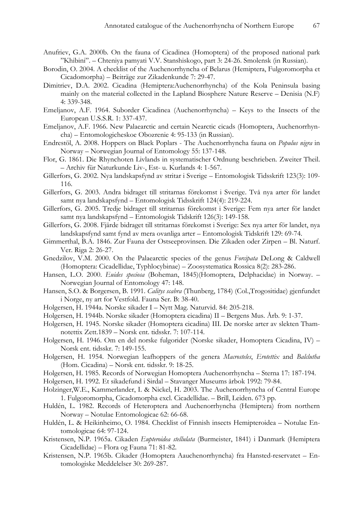- Anufriev, G.A. 2000b. On the fauna of Cicadinea (Homoptera) of the proposed national park "Khibini". – Chteniya pamyati V.V. Stanshiskogo, part 3: 24-26. Smolensk (in Russian).
- Borodin, O. 2004. A checklist of the Auchenorrhyncha of Belarus (Hemiptera, Fulgoromorpha et Cicadomorpha) – Beiträge zur Zikadenkunde 7: 29-47.
- Dimitriev, D.A. 2002. Cicadina (Hemiptera:Auchenorrhyncha) of the Kola Peninsula basing mainly on the material collected in the Lapland Biosphere Nature Reserve – Denisia (N.F) 4: 339-348.
- Emeljanov, A.F. 1964. Suborder Cicadinea (Auchenorrhyncha) Keys to the Insects of the European U.S.S.R. 1: 337-437.
- Emeljanov, A.F. 1966. New Palaearctic and certain Nearctic cicads (Homoptera, Auchenorrhyncha) – Entomologicheskoe Obozrenie 4: 95-133 (in Russian).
- Endrestöl, A. 2008. Hoppers on Black Poplars The Auchenorrhyncha fauna on Populus nigra in Norway – Norwegian Journal of Entomology 55: 137-148.
- Flor, G. 1861. Die Rhynchoten Livlands in systematischer Ordnung beschrieben. Zweiter Theil. – Archiv für Naturkunde Liv-, Est- u. Kurlands 4: 1-567.
- Gillerfors, G. 2002. Nya landskapsfynd av stritar i Sverige Entomologisk Tidsskrift 123(3): 109- 116.
- Gillerfors, G. 2003. Andra bidraget till stritarnas förekomst i Sverige. Två nya arter för landet samt nya landskapsfynd – Entomologisk Tidsskrift 124(4): 219-224.
- Gillerfors, G. 2005. Tredje bidraget till stritarnas förekomst i Sverige: Fem nya arter för landet samt nya landskapsfynd – Entomologisk Tidskrift 126(3): 149-158.
- Gillerfors, G. 2008. Fjärde bidraget till stritarnas förekomst i Sverige: Sex nya arter för landet, nya landskapsfynd samt fynd av mera ovanliga arter – Entomologisk Tidskrift 129: 69-74.
- Gimmerthal, B.A. 1846. Zur Fauna der Ostseeprovinsen. Die Zikaden oder Zirpen Bl. Naturf. Ver. Riga 2: 26-27.
- Gnedzilov, V.M. 2000. On the Palaearctic species of the genus Forcipata DeLong & Caldwell (Homoptera: Cicadellidae, Typhlocybinae) – Zoosystematica Rossica 8(2): 283-286.
- Hansen, L.O. 2000. Euides speciosa (Boheman, 1845)(Homoptera, Delphacidae) in Norway. Norwegian Journal of Entomology 47: 148.
- Hansen, S.O. & Borgersen, B. 1991. Calitys scabra (Thunberg, 1784) (Col.,Trogositidae) gjenfundet i Norge, ny art for Vestfold. Fauna Ser. B: 38-40.
- Holgersen, H. 1944a. Norske sikader I Nytt Mag. Naturvid. 84: 205-218.
- Holgersen, H. 1944b. Norske sikader (Homoptera cicadina) II Bergens Mus. Årb. 9: 1-37.
- Holgersen, H. 1945. Norske sikader (Homoptera cicadina) III. De norske arter av slekten Thamnotettix Zett.1839 – Norsk ent. tidsskr. 7: 107-114.
- Holgersen, H. 1946. Om en del norske fulgorider (Norske sikader, Homoptera Cicadina, IV) Norsk ent. tidsskr. 7: 149-155.
- Holgersen, H. 1954. Norwegian leafhoppers of the genera Macrosteles, Erotettix and Balclutha (Hom. Cicadina) – Norsk ent. tidsskr. 9: 18-25.
- Holgersen, H. 1985. Records of Norwegian Homoptera Auchenorrhyncha Sterna 17: 187-194.
- Holgersen, H. 1992. Et sikadefund i Sirdal Stavanger Museums årbok 1992: 79-84.
- Holzinger,W.E., Kammerlander, I. & Nickel, H. 2003. The Auchenorrhyncha of Central Europe 1. Fulgoromorpha, Cicadomorpha excl. Cicadellidae. – Brill, Leiden. 673 pp.
- Huldén, L. 1982. Records of Heteroptera and Auchenorrhyncha (Hemiptera) from northern Norway – Notulae Entomologicae 62: 66-68.
- Huldén, L. & Heikinheimo, O. 1984. Checklist of Finnish insects Hemipteroidea Notulae Entomologicae 64: 97-124.
- Kristensen, N.P. 1965a. Cikaden Eupteroidea stellulata (Burmeister, 1841) i Danmark (Hemiptera Cicadellidae) – Flora og Fauna 71: 81-82.
- Kristensen, N.P. 1965b. Cikader (Homoptera Aauchenorrhyncha) fra Hansted-reservatet Entomologiske Meddelelser 30: 269-287.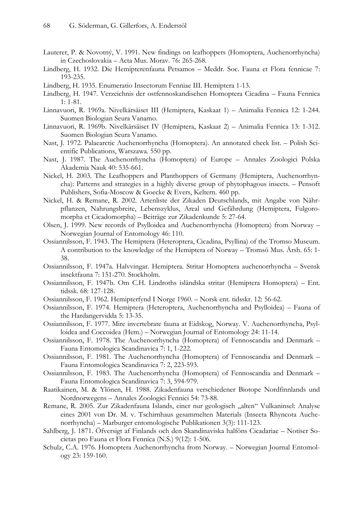- Lauterer, P. & Novotný, V. 1991. New findings on leafhoppers (Homoptera, Auchenorrhyncha) in Czechoslovakia – Acta Mus. Morav. 76: 265-268.
- Lindberg, H. 1932. Die Hemipterenfauna Petsamos Meddr. Soc. Fauna et Flora fennicae 7: 193-235.
- Lindberg, H. 1935. Enumeratio Insectorum Fenniae III. Hemiptera 1-13.
- Lindberg, H. 1947. Verzeichnis der ostfennoskandischen Homoptera Cicadina Fauna Fennica 1: 1-81.
- Linnavuori, R. 1969a. Nivelkärsäiset III (Hemiptera, Kaskaat 1) Animalia Fennica 12: 1-244. Suomen Biologian Seura Vanamo.
- Linnavuori, R. 1969b. Nivelkärsäiset IV (Hemiptera, Kaskaat 2) Animalia Fennica 13: 1-312. Suomen Biologian Seura Vanamo.
- Nast, J. 1972. Palaearctic Auchenorrhyncha (Homoptera). An annotated check list. Polish Scientific Publications, Warszawa. 550 pp.
- Nast, J. 1987. The Auchenorrhyncha (Homoptera) of Europe Annales Zoologici Polska Akademia Nauk 40: 535-661.
- Nickel, H. 2003. The Leafhoppers and Planthoppers of Germany (Hemiptera, Auchenorrhyncha): Patterns and strategies in a highly diverse group of phytophagous insects. – Pensoft Publishers, Sofia-Moscow & Goecke & Evers, Keltern. 460 pp.
- Nickel, H. & Remane, R. 2002. Artenliste der Zikaden Deutschlands, mit Angabe von Nährpflanzen, Nahrungsbreite, Lebenszyklus, Areal und Gefährdung (Hemiptera, Fulgoromorpha et Cicadomorpha) – Beiträge zur Zikadenkunde 5: 27-64.
- Olsen, J. 1999. New records of Psylloidea and Auchenorrhyncha (Homoptera) from Norway Norwegian Journal of Entomology 46: 110.
- Ossiannilsson, F. 1943. The Hemiptera (Heteroptera, Cicadina, Psyllina) of the Tromso Museum. A contribution to the knowledge of the Hemiptera of Norway – Tromsö Mus. Årsh. 65: 1- 38.
- Ossiannilsson, F. 1947a. Halvvingar. Hemiptera. Stritar Homoptera auchenorrhyncha Svensk insektfauna 7: 151-270. Stockholm.
- Ossiannilsson, F. 1947b. Om C.H. Lindroths isländska stritar (Hemiptera Homoptera) Ent. tidssk. 68: 127-128.
- Ossiannilsson, F. 1962. Hemipterfynd I Norge 1960. Norsk ent. tidsskr. 12: 56-62.
- Ossiannilsson, F. 1974. Hemiptera (Heteroptera, Auchenorrhyncha and Psylloidea) Fauna of the Hardangervidda 5: 13-35.
- Ossiannilsson, F. 1977. Mire invertebrate fauna at Eidskog, Norway. V. Auchenorrhyncha, Psylloidea and Coccoidea (Hem.) – Norwegian Journal of Entomology 24: 11-14.
- Ossiannilsson, F. 1978. The Auchenorrhyncha (Homoptera) of Fennoscandia and Denmark Fauna Entomologica Scandinavica 7: 1, 1-222.
- Ossiannilsson, F. 1981. The Auchenorrhyncha (Homoptera) of Fennoscandia and Denmark Fauna Entomologica Scandinavica 7: 2, 223-593.
- Ossiannilsson, F. 1983. The Auchenorrhyncha (Homoptera) of Fennoscandia and Denmark Fauna Entomologica Scandinavica 7: 3, 594-979.
- Raatikainen, M. & Ylönen, H. 1988. Zikadenfauna verschiedener Biotope Nordfinnlands und Nordnorwegens – Annales Zoologici Fennici 54: 73-88.
- Remane, R. 2005. Zur Zikadenfauna Islands, einer nur geologisch "alten" Vulkaninsel: Analyse eines 2001 von Dr. M. v. Tschirnhaus gesammelten Materials (Insecta Rhyncota Auchenorrhyncha) – Marburger entomologische Publikationen 3(3): 111-123.
- Sahlberg, J. 1871. Öfversigt af Finlands och den Skandinaviska halföns Cicadariae Notiser Societas pro Fauna et Flora Fennica (N.S.) 9(12): 1-506.
- Schulz, C.A. 1976. Homoptera Auchenorrhyncha from Norway. Norwegian Journal Entomology 23: 159-160.